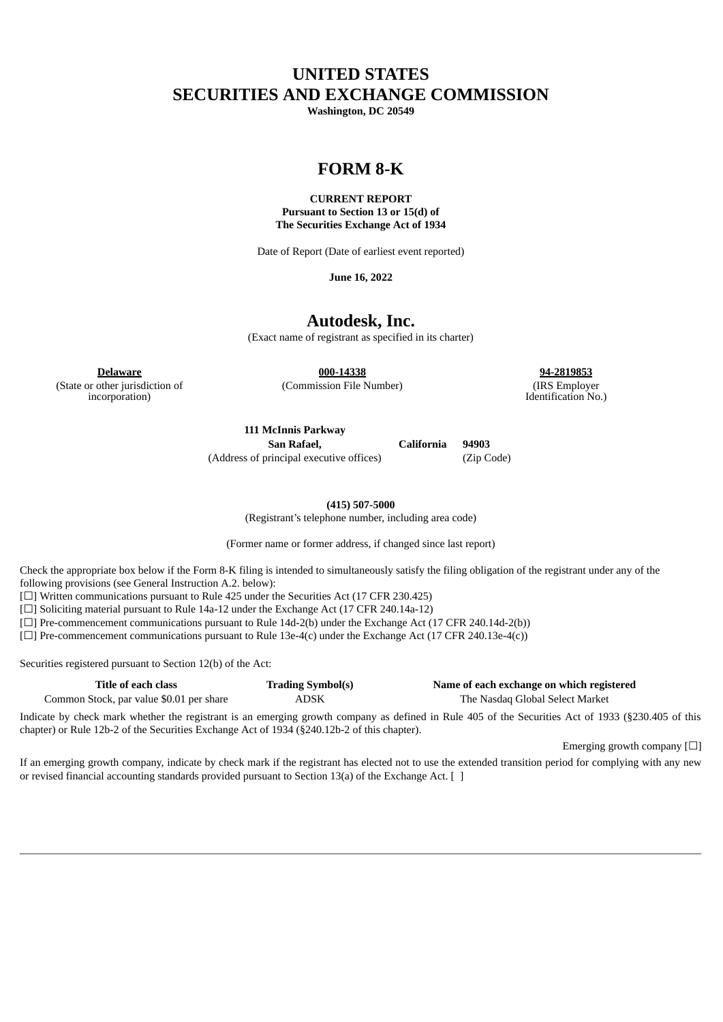# **UNITED STATES SECURITIES AND EXCHANGE COMMISSION**

**Washington, DC 20549**

# **FORM 8-K**

# **CURRENT REPORT Pursuant to Section 13 or 15(d) of The Securities Exchange Act of 1934**

Date of Report (Date of earliest event reported)

**June 16, 2022**

# **Autodesk, Inc.**

(Exact name of registrant as specified in its charter)

(State or other jurisdiction of incorporation)

**Delaware 000-14338 94-2819853**

(Commission File Number) (IRS Employer Identification No.)

**111 McInnis Parkway**

**San Rafael, California 94903** (Address of principal executive offices) (Zip Code)

**(415) 507-5000**

(Registrant's telephone number, including area code)

(Former name or former address, if changed since last report)

Check the appropriate box below if the Form 8-K filing is intended to simultaneously satisfy the filing obligation of the registrant under any of the following provisions (see General Instruction A.2. below):

[ $\Box$ ] Written communications pursuant to Rule 425 under the Securities Act (17 CFR 230.425)

[ $\Box$ ] Soliciting material pursuant to Rule 14a-12 under the Exchange Act (17 CFR 240.14a-12)

[☐] Pre-commencement communications pursuant to Rule 14d-2(b) under the Exchange Act (17 CFR 240.14d-2(b))

[☐] Pre-commencement communications pursuant to Rule 13e-4(c) under the Exchange Act (17 CFR 240.13e-4(c))

Securities registered pursuant to Section 12(b) of the Act:

| Title of each class                      | <b>Trading Symbol(s)</b> | Name of each exchange on which registered |
|------------------------------------------|--------------------------|-------------------------------------------|
| Common Stock, par value \$0.01 per share | ADSK                     | The Nasdag Global Select Market           |

Indicate by check mark whether the registrant is an emerging growth company as defined in Rule 405 of the Securities Act of 1933 (§230.405 of this chapter) or Rule 12b-2 of the Securities Exchange Act of 1934 (§240.12b-2 of this chapter).

Emerging growth company  $\Box$ 

If an emerging growth company, indicate by check mark if the registrant has elected not to use the extended transition period for complying with any new or revised financial accounting standards provided pursuant to Section 13(a) of the Exchange Act. [ ]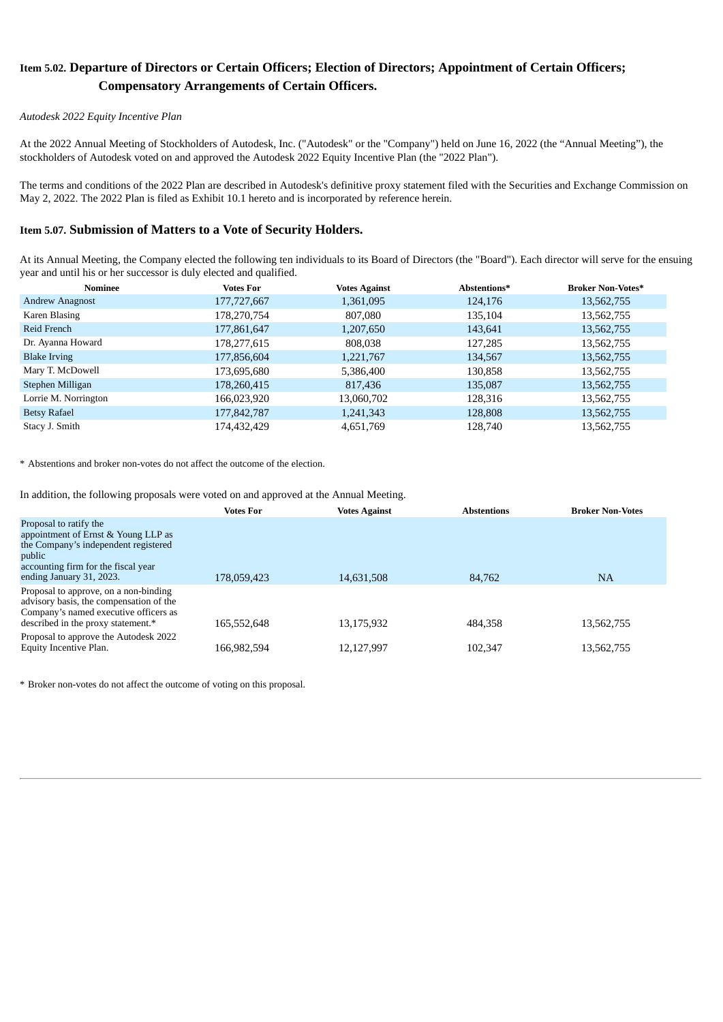# **Item 5.02. Departure of Directors or Certain Officers; Election of Directors; Appointment of Certain Officers; Compensatory Arrangements of Certain Officers.**

# *Autodesk 2022 Equity Incentive Plan*

At the 2022 Annual Meeting of Stockholders of Autodesk, Inc. ("Autodesk" or the "Company") held on June 16, 2022 (the "Annual Meeting"), the stockholders of Autodesk voted on and approved the Autodesk 2022 Equity Incentive Plan (the "2022 Plan").

The terms and conditions of the 2022 Plan are described in Autodesk's definitive proxy statement filed with the Securities and Exchange Commission on May 2, 2022. The 2022 Plan is filed as Exhibit 10.1 hereto and is incorporated by reference herein.

# **Item 5.07. Submission of Matters to a Vote of Security Holders.**

At its Annual Meeting, the Company elected the following ten individuals to its Board of Directors (the "Board"). Each director will serve for the ensuing year and until his or her successor is duly elected and qualified.

| Nominee                | <b>Votes For</b> | <b>Votes Against</b> | Abstentions* | <b>Broker Non-Votes*</b> |
|------------------------|------------------|----------------------|--------------|--------------------------|
| <b>Andrew Anagnost</b> | 177,727,667      | 1,361,095            | 124,176      | 13,562,755               |
| Karen Blasing          | 178,270,754      | 807,080              | 135,104      | 13,562,755               |
| Reid French            | 177,861,647      | 1,207,650            | 143,641      | 13,562,755               |
| Dr. Ayanna Howard      | 178,277,615      | 808,038              | 127,285      | 13,562,755               |
| <b>Blake Irving</b>    | 177,856,604      | 1,221,767            | 134,567      | 13,562,755               |
| Mary T. McDowell       | 173,695,680      | 5,386,400            | 130,858      | 13,562,755               |
| Stephen Milligan       | 178,260,415      | 817,436              | 135,087      | 13,562,755               |
| Lorrie M. Norrington   | 166.023.920      | 13,060,702           | 128,316      | 13,562,755               |
| <b>Betsy Rafael</b>    | 177,842,787      | 1,241,343            | 128,808      | 13,562,755               |
| Stacy J. Smith         | 174,432,429      | 4,651,769            | 128,740      | 13,562,755               |

\* Abstentions and broker non-votes do not affect the outcome of the election.

In addition, the following proposals were voted on and approved at the Annual Meeting.

|                                                                                                                                                                                    | <b>Votes For</b> | <b>Votes Against</b> | <b>Abstentions</b> | <b>Broker Non-Votes</b> |
|------------------------------------------------------------------------------------------------------------------------------------------------------------------------------------|------------------|----------------------|--------------------|-------------------------|
| Proposal to ratify the<br>appointment of Ernst & Young LLP as<br>the Company's independent registered<br>public<br>accounting firm for the fiscal year<br>ending January 31, 2023. | 178,059,423      | 14,631,508           | 84,762             | <b>NA</b>               |
| Proposal to approve, on a non-binding<br>advisory basis, the compensation of the<br>Company's named executive officers as<br>described in the proxy statement.*                    | 165,552,648      | 13,175,932           | 484,358            | 13,562,755              |
| Proposal to approve the Autodesk 2022<br>Equity Incentive Plan.                                                                                                                    | 166,982,594      | 12,127,997           | 102.347            | 13,562,755              |

\* Broker non-votes do not affect the outcome of voting on this proposal.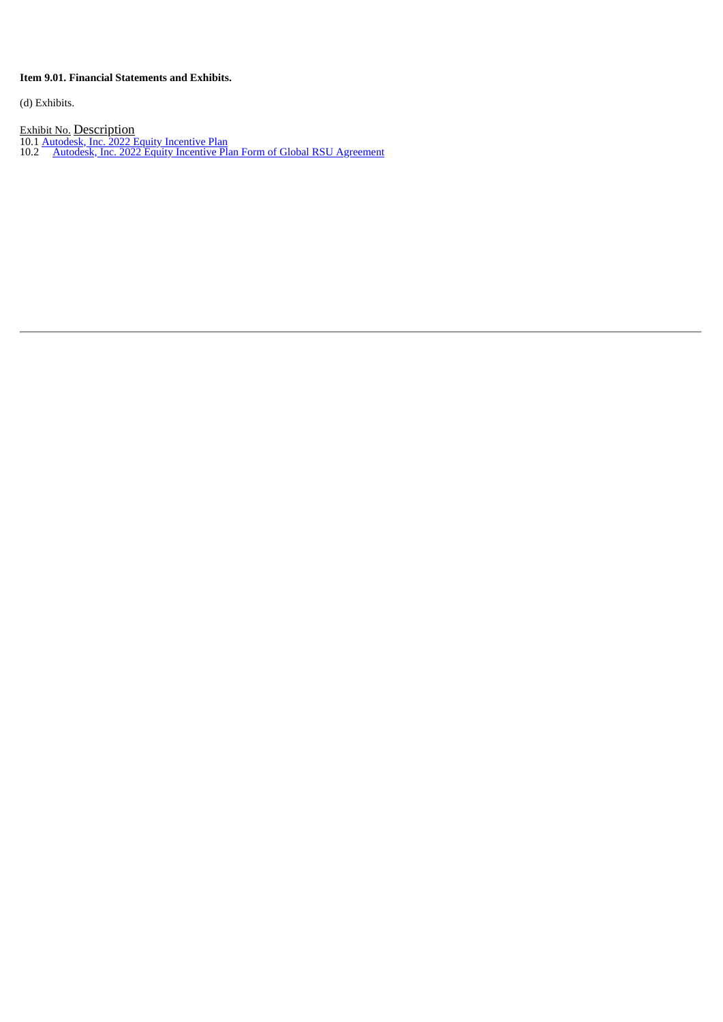# **Item 9.01. Financial Statements and Exhibits.**

(d) Exhibits.

**Exhibit No. Description** 

- 10.1 [Autodesk,](#page-4-0) Inc. 2022 Equity Incentive Plan
- 10.2 Autodesk, Inc. 2022 Equity Incentive Plan Form of Global RSU [Agreement](#page-19-0)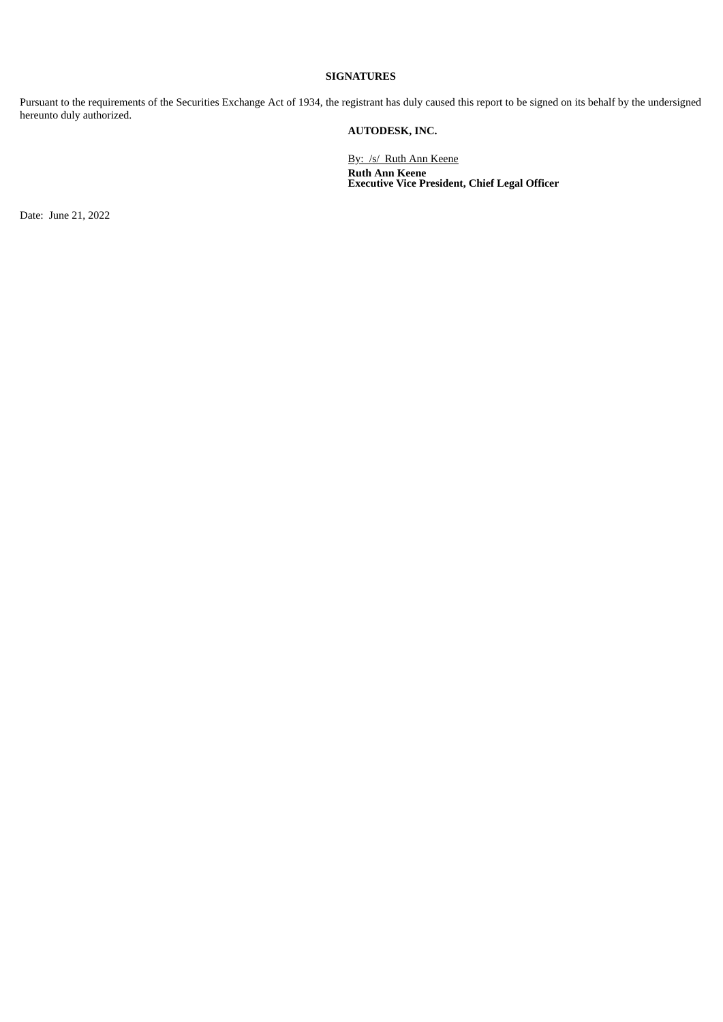# **SIGNATURES**

Pursuant to the requirements of the Securities Exchange Act of 1934, the registrant has duly caused this report to be signed on its behalf by the undersigned hereunto duly authorized.

# **AUTODESK, INC.**

By: /s/ Ruth Ann Keene **Ruth Ann Keene Executive Vice President, Chief Legal Officer**

Date: June 21, 2022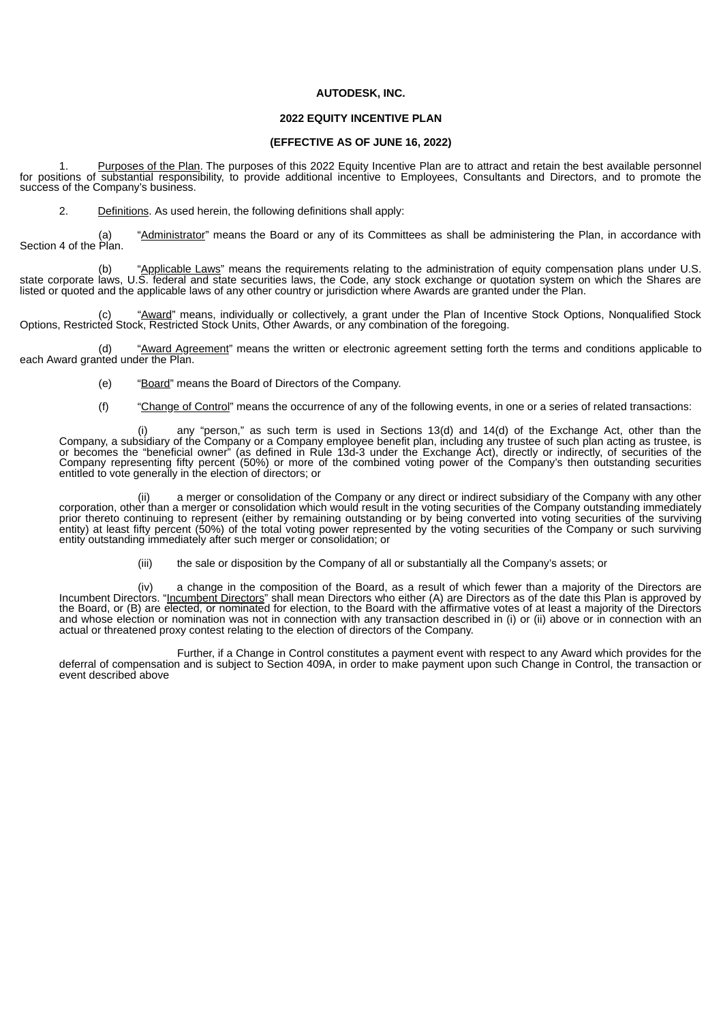#### **AUTODESK, INC.**

## **2022 EQUITY INCENTIVE PLAN**

#### **(EFFECTIVE AS OF JUNE 16, 2022)**

<span id="page-4-0"></span>1. Purposes of the Plan. The purposes of this 2022 Equity Incentive Plan are to attract and retain the best available personnel for positions of substantial responsibility, to provide additional incentive to Employees, Consultants and Directors, and to promote the success of the Company's business.

2. Definitions. As used herein, the following definitions shall apply:

"Administrator" means the Board or any of its Committees as shall be administering the Plan, in accordance with Section 4 of the Plan.

(b) "Applicable Laws" means the requirements relating to the administration of equity compensation plans under U.S. state corporate laws, U.S. federal and state securities laws, the Code, any stock exchange or quotation system on which the Shares are listed or quoted and the applicable laws of any other country or jurisdiction where Awards are granted under the Plan.

(c) "Award" means, individually or collectively, a grant under the Plan of Incentive Stock Options, Nonqualified Stock Options, Restricted Stock, Restricted Stock Units, Other Awards, or any combination of the foregoing.

"Award Agreement" means the written or electronic agreement setting forth the terms and conditions applicable to each Award granted under the Plan.

- (e) "Board" means the Board of Directors of the Company.
- (f) "Change of Control" means the occurrence of any of the following events, in one or a series of related transactions:

(i) any "person," as such term is used in Sections 13(d) and 14(d) of the Exchange Act, other than the Company, a subsidiary of the Company or a Company employee benefit plan, including any trustee of such plan acting as trustee, is or becomes the "beneficial owner" (as defined in Rule 13d-3 under the Exchange Act), directly or indirectly, of securities of the Company representing fifty percent (50%) or more of the combined voting power of the Company's then outstanding securities entitled to vote generally in the election of directors; or

(ii) a merger or consolidation of the Company or any direct or indirect subsidiary of the Company with any other corporation, other than a merger or consolidation which would result in the voting securities of the Company outstanding immediately prior thereto continuing to represent (either by remaining outstanding or by being converted into voting securities of the surviving entity) at least fifty percent (50%) of the total voting power represented by the voting securities of the Company or such surviving entity outstanding immediately after such merger or consolidation; or

(iii) the sale or disposition by the Company of all or substantially all the Company's assets; or

(iv) a change in the composition of the Board, as a result of which fewer than a majority of the Directors are Incumbent Directors. "<u>Incumbent Directors</u>" shall mean Directors who either (A) are Directors as of the date this Plan is approved by the Board, or (B) are elected, or nominated for election, to the Board with the affirmative votes of at least a majority of the Directors and whose election or nomination was not in connection with any transaction described in (i) or (ii) above or in connection with an actual or threatened proxy contest relating to the election of directors of the Company.

Further, if a Change in Control constitutes a payment event with respect to any Award which provides for the deferral of compensation and is subject to Section 409A, in order to make payment upon such Change in Control, the transaction or event described above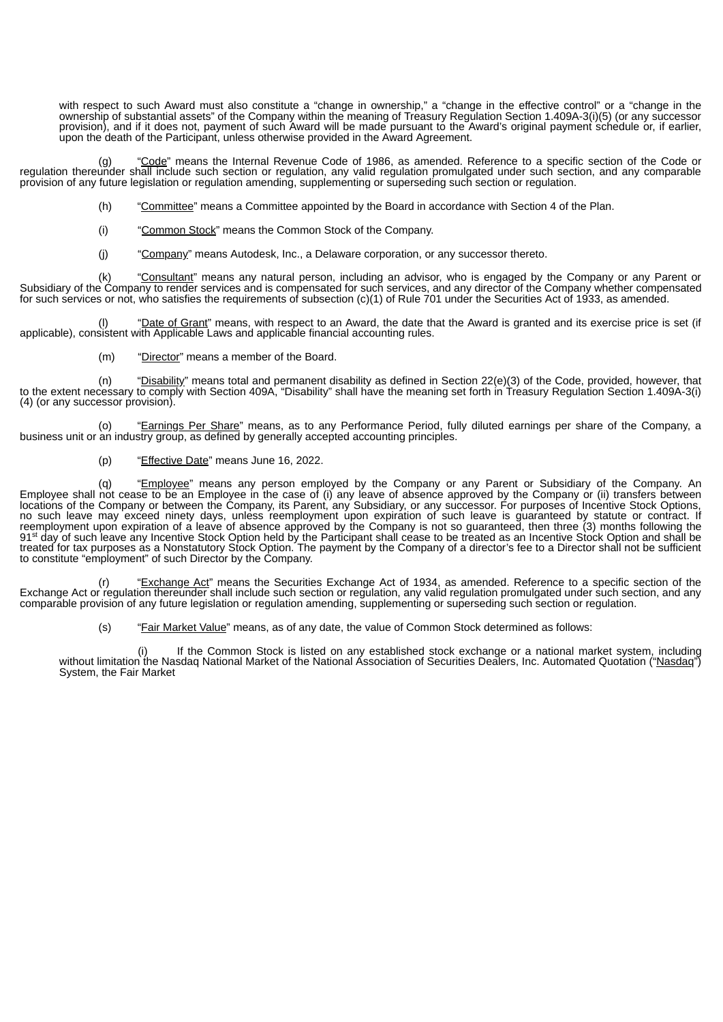with respect to such Award must also constitute a "change in ownership," a "change in the effective control" or a "change in the ownership of substantial assets" of the Company within the meaning of Treasury Regulation Section 1.409A-3(i)(5) (or any successor provision), and if it does not, payment of such Award will be made pursuant to the Award's original payment schedule or, if earlier, upon the death of the Participant, unless otherwise provided in the Award Agreement.

"Code" means the Internal Revenue Code of 1986, as amended. Reference to a specific section of the Code or regulation thereunder shall include such section or regulation, any valid regulation promulgated under such section, and any comparable provision of any future legislation or regulation amending, supplementing or superseding such section or regulation.

- (h) "Committee" means a Committee appointed by the Board in accordance with Section 4 of the Plan.
- (i) "Common Stock" means the Common Stock of the Company.
- (j) "Company" means Autodesk, Inc., a Delaware corporation, or any successor thereto.

(k) "Consultant" means any natural person, including an advisor, who is engaged by the Company or any Parent or Subsidiary of the Company to render services and is compensated for such services, and any director of the Company whether compensated for such services or not, who satisfies the requirements of subsection (c)(1) of Rule 701 under the Securities Act of 1933, as amended.

(I) "Date of Grant" means, with respect to an Award, the date that the Award is granted and its exercise price is set (if applicable), consistent with Applicable Laws and applicable financial accounting rules.

(m) "Director" means a member of the Board.

(n) "Disability" means total and permanent disability as defined in Section  $22(e)(3)$  of the Code, provided, however, that to the extent necessary to comply with Section 409A, "Disability" shall have the meaning set forth in Treasury Regulation Section 1.409A-3(i) (4) (or any successor provision).

(o) "Earnings Per Share" means, as to any Performance Period, fully diluted earnings per share of the Company, a business unit or an industry group, as defined by generally accepted accounting principles.

(p) "Effective Date" means June 16, 2022.

(q) "Employee" means any person employed by the Company or any Parent or Subsidiary of the Company. An Employee shall not cease to be an Employee in the case of (i) any leave of absence approved by the Company or (ii) transfers between locations of the Company or between the Company, its Parent, any Subsidiary, or any successor. For purposes of Incentive Stock Options, no such leave may exceed ninety days, unless reemployment upon expiration of such leave is guaranteed by statute or contract. If reemployment upon expiration of a leave of absence approved by the Company is not so guaranteed, then three (3) months following the 91<sup>st</sup> day of such leave any Incentive Stock Option held by the Participant shall cease to be treated as an Incentive Stock Option and shall be treated for tax purposes as a Nonstatutory Stock Option. The payment by the Company of a director's fee to a Director shall not be sufficient to constitute "employment" of such Director by the Company.

(r) "Exchange Act" means the Securities Exchange Act of 1934, as amended. Reference to a specific section of the Exchange Act or regulation thereunder shall include such section or regulation, any valid regulation promulgated under such section, and any comparable provision of any future legislation or regulation amending, supplementing or superseding such section or regulation.

(s) "Fair Market Value" means, as of any date, the value of Common Stock determined as follows:

(i) If the Common Stock is listed on any established stock exchange or a national market system, including without limitation the Nasdaq National Market of the National Association of Securities Dealers, Inc. Automated Quotation ("<u>Nasdaq</u>") System, the Fair Market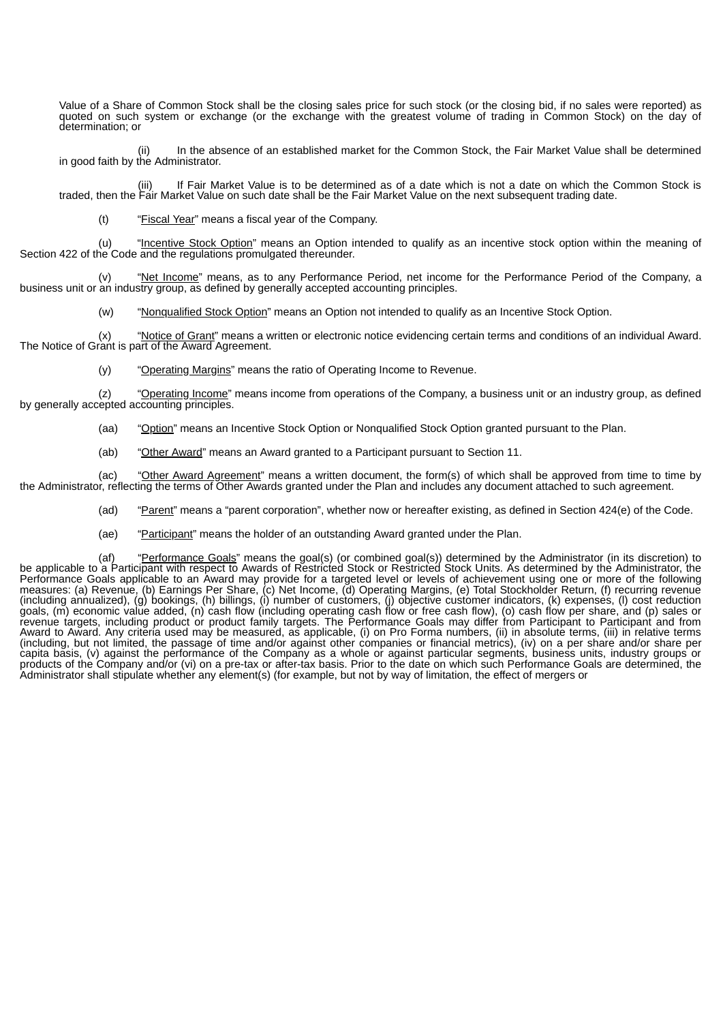Value of a Share of Common Stock shall be the closing sales price for such stock (or the closing bid, if no sales were reported) as quoted on such system or exchange (or the exchange with the greatest volume of trading in Common Stock) on the day of determination; or

In the absence of an established market for the Common Stock, the Fair Market Value shall be determined in the ab.<br>.in good faith by the Administrator.

(iii) If Fair Market Value is to be determined as of a date which is not a date on which the Common Stock is traded, then the Fair Market Value on such date shall be the Fair Market Value on the next subsequent trading date.

(t) "Fiscal Year" means a fiscal year of the Company.

(u) "Incentive Stock Option" means an Option intended to qualify as an incentive stock option within the meaning of Section 422 of the Code and the regulations promulgated thereunder.

"Net Income" means, as to any Performance Period, net income for the Performance Period of the Company, a business unit or an industry group, as defined by generally accepted accounting principles.

(w) "Nonqualified Stock Option" means an Option not intended to qualify as an Incentive Stock Option.

(x) "Notice of Grant" means a written or electronic notice evidencing certain terms and conditions of an individual Award. The Notice of Grant is part of the Award Agreement.

(y) "Operating Margins" means the ratio of Operating Income to Revenue.

(z) "Operating Income" means income from operations of the Company, a business unit or an industry group, as defined by generally accepted accounting principles.

- (aa) "Option" means an Incentive Stock Option or Nonqualified Stock Option granted pursuant to the Plan.
- (ab) "Other Award" means an Award granted to a Participant pursuant to Section 11.

(ac) "Other Award Agreement" means a written document, the form(s) of which shall be approved from time to time by the Administrator, reflecting the terms of Other Awards granted under the Plan and includes any document attached to such agreement.

- (ad) "Parent" means a "parent corporation", whether now or hereafter existing, as defined in Section 424(e) of the Code.
- (ae) "Participant" means the holder of an outstanding Award granted under the Plan.

(af) "Performance Goals" means the goal(s) (or combined goal(s)) determined by the Administrator (in its discretion) to be applicable to a Participant with respect to Awards of Restricted Stock or Restricted Stock Units. As determined by the Administrator, the Performance Goals applicable to an Award may provide for a targeted level or levels of achievement using one or more of the following measures: (a) Revenue, (b) Earnings Per Share, (c) Net Income, (d) Operating Margins, (e) Total Stockholder Return, (f) recurring revenue (including annualized), (g) bookings, (h) billings, (i) number of customers, (j) objective customer indicators, (k) expenses, (l) cost reduction goals, (m) economic value added, (n) cash flow (including operating cash flow or free cash flow), (o) cash flow per share, and (p) sales or revenue targets, including product or product family targets. The Performance Goals may differ from Participant to Participant and from Award to Award. Any criteria used may be measured, as applicable, (i) on Pro Forma numbers, (ii) in absolute terms, (iii) in relative terms (including, but not limited, the passage of time and/or against other companies or financial metrics), (iv) on a per share and/or share per capita basis, (v) against the performance of the Company as a whole or against particular segments, business units, industry groups or products of the Company and/or (vi) on a pre-tax or after-tax basis. Prior to the date on which such Performance Goals are determined, the Administrator shall stipulate whether any element(s) (for example, but not by way of limitation, the effect of mergers or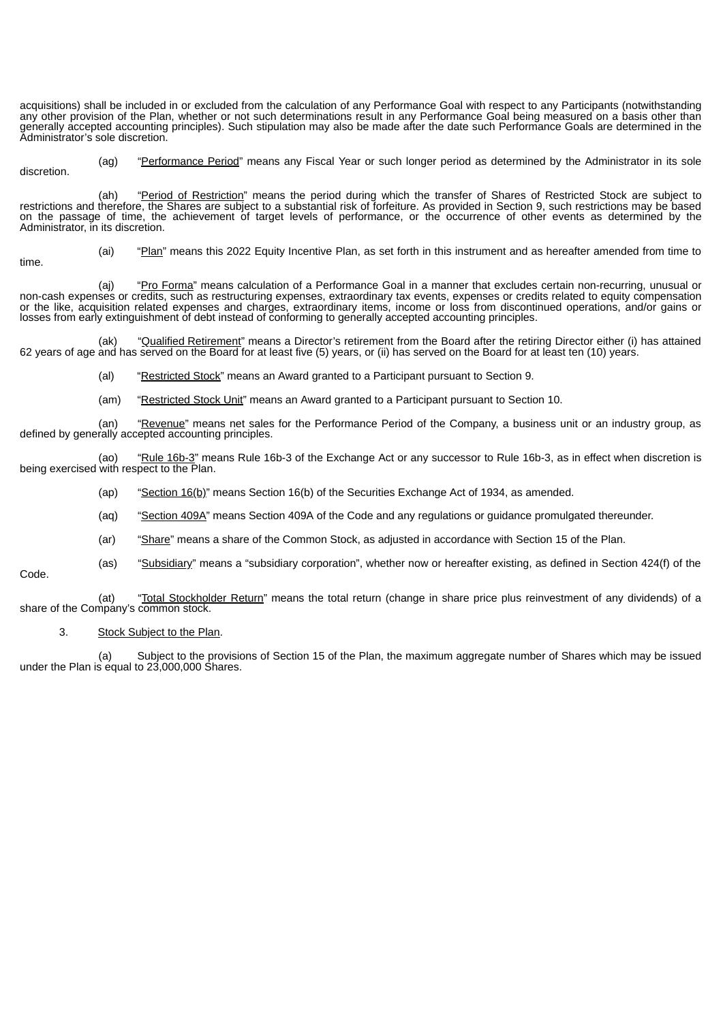acquisitions) shall be included in or excluded from the calculation of any Performance Goal with respect to any Participants (notwithstanding any other provision of the Plan, whether or not such determinations result in any Performance Goal being measured on a basis other than generally accepted accounting principles). Such stipulation may also be made after the date such Performance Goals are determined in the Administrator's sole discretion.

(ag) "Performance Period" means any Fiscal Year or such longer period as determined by the Administrator in its sole discretion.

(ah) "Period of Restriction" means the period during which the transfer of Shares of Restricted Stock are subject to restrictions and therefore, the Shares are subject to a substantial risk of forfeiture. As provided in Section 9, such restrictions may be based on the passage of time, the achievement of target levels of performance, or the occurrence of other events as determined by the Administrator, in its discretion.

time.

(ai) "Plan" means this 2022 Equity Incentive Plan, as set forth in this instrument and as hereafter amended from time to

(aj) "Pro Forma" means calculation of a Performance Goal in a manner that excludes certain non-recurring, unusual or non-cash expenses or credits, such as restructuring expenses, extraordinary tax events, expenses or credits related to equity compensation or the like, acquisition related expenses and charges, extraordinary items, income or loss from discontinued operations, and/or gains or losses from early extinguishment of debt instead of conforming to generally accepted accounting principles.

(ak) "Qualified Retirement" means a Director's retirement from the Board after the retiring Director either (i) has attained 62 years of age and has served on the Board for at least five (5) years, or (ii) has served on the Board for at least ten (10) years.

(al) "Restricted Stock" means an Award granted to a Participant pursuant to Section 9.

(am) "Restricted Stock Unit" means an Award granted to a Participant pursuant to Section 10.

(an) "Revenue" means net sales for the Performance Period of the Company, a business unit or an industry group, as defined by generally accepted accounting principles.

(ao) "Rule 16b-3" means Rule 16b-3 of the Exchange Act or any successor to Rule 16b-3, as in effect when discretion is being exercised with respect to the Plan.

(ap) "Section  $16(b)$ " means Section 16(b) of the Securities Exchange Act of 1934, as amended.

(aq) "Section 409A" means Section 409A of the Code and any regulations or guidance promulgated thereunder.

(ar) "Share" means a share of the Common Stock, as adjusted in accordance with Section 15 of the Plan.

(as) "Subsidiary" means a "subsidiary corporation", whether now or hereafter existing, as defined in Section 424(f) of the

Code.

(at) "Total Stockholder Return" means the total return (change in share price plus reinvestment of any dividends) of a share of the Company's common stock.

3. Stock Subject to the Plan.

(a) Subject to the provisions of Section 15 of the Plan, the maximum aggregate number of Shares which may be issued under the Plan is equal to 23,000,000 Shares.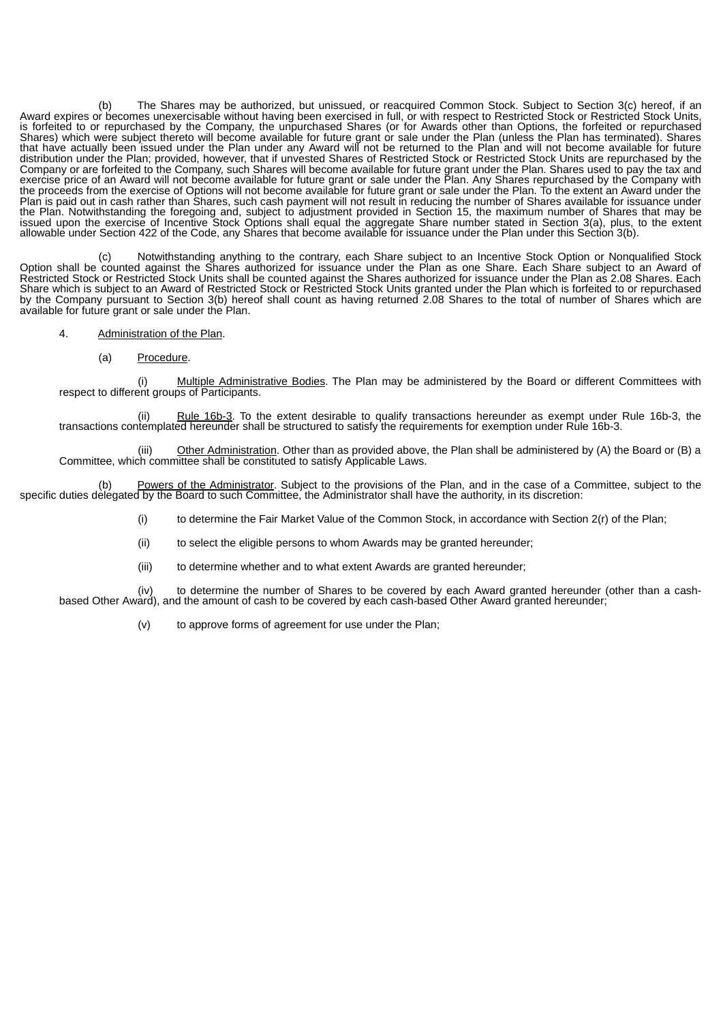The Shares may be authorized, but unissued, or reacquired Common Stock. Subject to Section 3(c) hereof, if an Award expires or becomes unexercisable without having been exercised in full, or with respect to Restricted Stock or Restricted Stock Units, is forfeited to or repurchased by the Company, the unpurchased Shares (or for Awards other than Options, the forfeited or repurchased Shares) which were subject thereto will become available for future grant or sale under the Plan (unless the Plan has terminated). Shares that have actually been issued under the Plan under any Award will not be returned to the Plan and will not become available for future distribution under the Plan; provided, however, that if unvested Shares of Restricted Stock or Restricted Stock Units are repurchased by the Company or are forfeited to the Company, such Shares will become available for future grant under the Plan. Shares used to pay the tax and exercise price of an Award will not become available for future grant or sale under the Plan. Any Shares repurchased by the Company with the proceeds from the exercise of Options will not become available for future grant or sale under the Plan. To the extent an Award under the Plan is paid out in cash rather than Shares, such cash payment will not result in reducing the number of Shares available for issuance under the Plan. Notwithstanding the foregoing and, subject to adjustment provided in Section 15, the maximum number of Shares that may be issued upon the exercise of Incentive Stock Options shall equal the aggregate Share number stated in Section 3(a), plus, to the extent allowable under Section 422 of the Code, any Shares that become available for issuance under the Plan under this Section 3(b).

(c) Notwithstanding anything to the contrary, each Share subject to an Incentive Stock Option or Nonqualified Stock Option shall be counted against the Shares authorized for issuance under the Plan as one Share. Each Share subject to an Award of Restricted Stock or Restricted Stock Units shall be counted against the Shares authorized for issuance under the Plan as 2.08 Shares. Each Share which is subject to an Award of Restricted Stock or Restricted Stock Units granted under the Plan which is forfeited to or repurchased by the Company pursuant to Section 3(b) hereof shall count as having returned 2.08 Shares to the total of number of Shares which are available for future grant or sale under the Plan.

- 4. Administration of the Plan.
	- (a) Procedure.

(i) Multiple Administrative Bodies. The Plan may be administered by the Board or different Committees with respect to different groups of Participants.

Rule 16b-3. To the extent desirable to qualify transactions hereunder as exempt under Rule 16b-3, the transactions contemplated hereunder shall be structured to satisfy the requirements for exemption under Rule 16b-3.

Other Administration. Other than as provided above, the Plan shall be administered by (A) the Board or (B) a (iii) Other Administration. Other than as provided above Committee, which committee shall be constituted to satisfy Applicable Laws.

(b) Powers of the Administrator. Subject to the provisions of the Plan, and in the case of a Committee, subject to the specific duties delegated by the Board to such Committee, the Administrator shall have the authority, in its discretion:

(i) to determine the Fair Market Value of the Common Stock, in accordance with Section 2(r) of the Plan;

(ii) to select the eligible persons to whom Awards may be granted hereunder;

(iii) to determine whether and to what extent Awards are granted hereunder;

(iv) to determine the number of Shares to be covered by each Award granted hereunder (other than a cashbased Other Award), and the amount of cash to be covered by each cash-based Other Award granted hereunder;

(v) to approve forms of agreement for use under the Plan;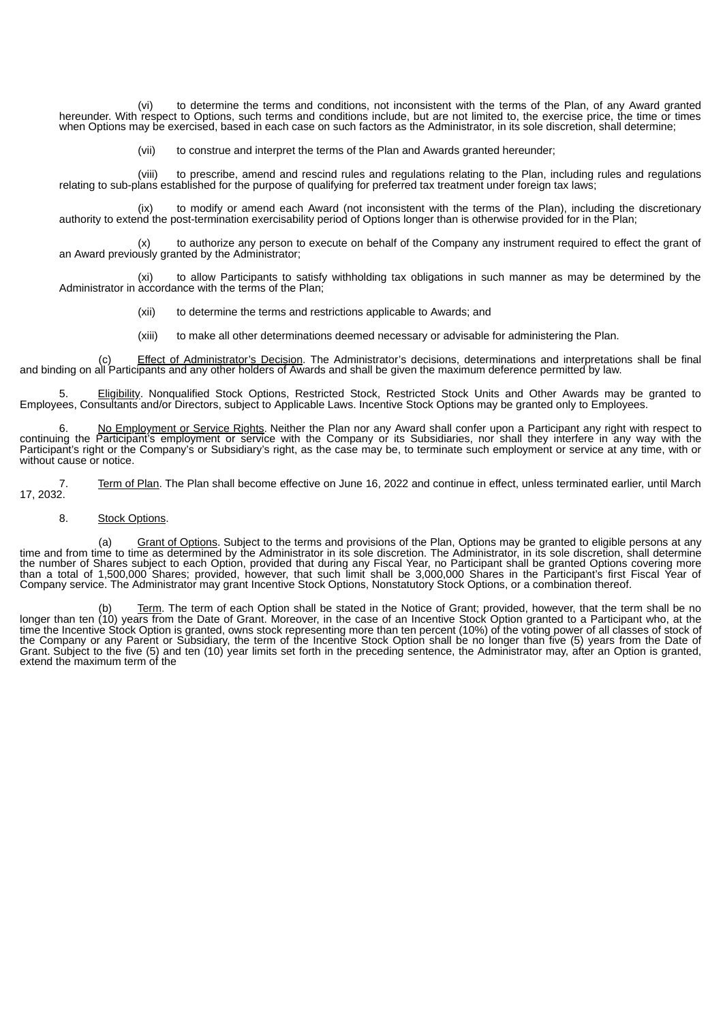(vi) to determine the terms and conditions, not inconsistent with the terms of the Plan, of any Award granted hereunder. With respect to Options, such terms and conditions include, but are not limited to, the exercise price, the time or times when Options may be exercised, based in each case on such factors as the Administrator, in its sole discretion, shall determine;

(vii) to construe and interpret the terms of the Plan and Awards granted hereunder;

(viii) to prescribe, amend and rescind rules and regulations relating to the Plan, including rules and regulations relating to sub-plans established for the purpose of qualifying for preferred tax treatment under foreign tax laws;

(ix) to modify or amend each Award (not inconsistent with the terms of the Plan), including the discretionary authority to extend the post-termination exercisability period of Options longer than is otherwise provided for in the Plan;

(x) to authorize any person to execute on behalf of the Company any instrument required to effect the grant of an Award previously granted by the Administrator;

(xi) to allow Participants to satisfy withholding tax obligations in such manner as may be determined by the Administrator in accordance with the terms of the Plan;

- (xii) to determine the terms and restrictions applicable to Awards; and
- (xiii) to make all other determinations deemed necessary or advisable for administering the Plan.

Effect of Administrator's Decision. The Administrator's decisions, determinations and interpretations shall be final (c) Effect of Administrator's Decision. The Administrator's decisions, determinations and interpretation<br>and binding on all Participants and any other holders of Awards and shall be given the maximum deference permitted by

5. Eligibility. Nonqualified Stock Options, Restricted Stock, Restricted Stock Units and Other Awards may be granted to Employees, Consultants and/or Directors, subject to Applicable Laws. Incentive Stock Options may be granted only to Employees.

No Employment or Service Rights. Neither the Plan nor any Award shall confer upon a Participant any right with respect to continuing the Participant's employment or service with the Company or its Subsidiaries, nor shall they interfere in any way with the Participant's right or the Company's or Subsidiary's right, as the case may be, to terminate such employment or service at any time, with or without cause or notice.

7. Term of Plan. The Plan shall become effective on June 16, 2022 and continue in effect, unless terminated earlier, until March 17, 2032.

# 8. Stock Options.

(a) Grant of Options. Subject to the terms and provisions of the Plan, Options may be granted to eligible persons at any time and from time to time as determined by the Administrator in its sole discretion. The Administrator, in its sole discretion, shall determine the number of Shares subject to each Option, provided that during any Fiscal Year, no Participant shall be granted Options covering more than a total of 1,500,000 Shares; provided, however, that such limit shall be 3,000,000 Shares in the Participant's first Fiscal Year of Company service. The Administrator may grant Incentive Stock Options, Nonstatutory Stock Options, or a combination thereof.

(b) Term. The term of each Option shall be stated in the Notice of Grant; provided, however, that the term shall be no longer than ten (10) years from the Date of Grant. Moreover, in the case of an Incentive Stock Option granted to a Participant who, at the time the Incentive Stock Option is granted, owns stock representing more than ten percent (10%) of the voting power of all classes of stock of the Company or any Parent or Subsidiary, the term of the Incentive Stock Option shall be no longer than five (5) years from the Date of Grant. Subject to the five (5) and ten (10) year limits set forth in the preceding sentence, the Administrator may, after an Option is granted, extend the maximum term of the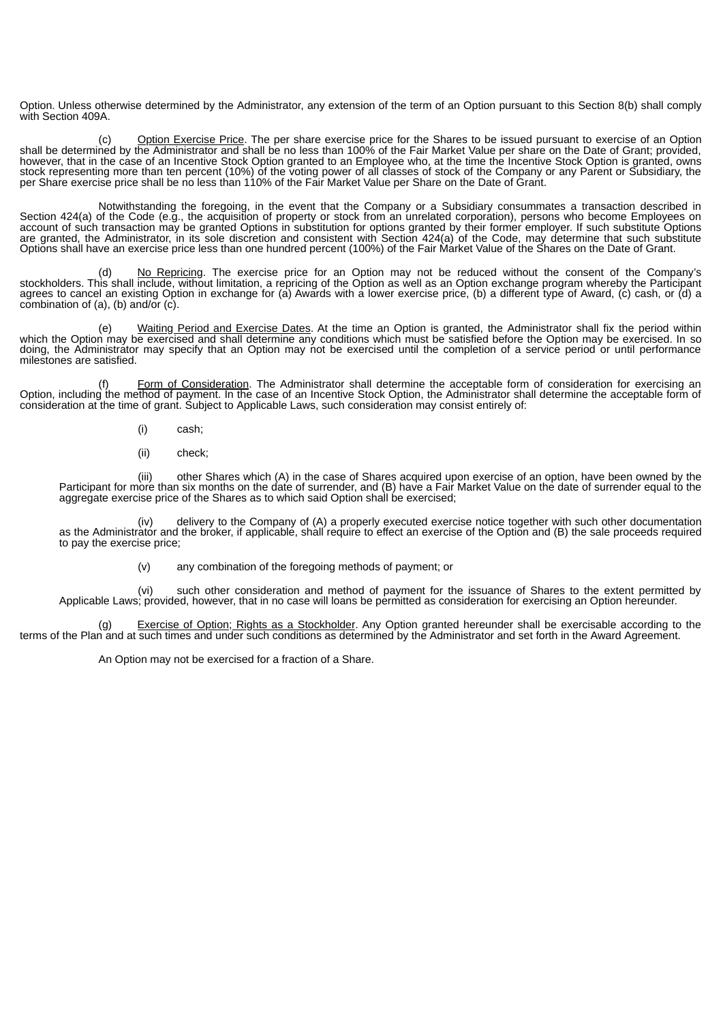Option. Unless otherwise determined by the Administrator, any extension of the term of an Option pursuant to this Section 8(b) shall comply with Section 409A.

(c) Option Exercise Price. The per share exercise price for the Shares to be issued pursuant to exercise of an Option shall be determined by the Administrator and shall be no less than 100% of the Fair Market Value per share on the Date of Grant; provided, however, that in the case of an Incentive Stock Option granted to an Employee who, at the time the Incentive Stock Option is granted, owns stock representing more than ten percent (10%) of the voting power of all classes of stock of the Company or any Parent or Subsidiary, the per Share exercise price shall be no less than 110% of the Fair Market Value per Share on the Date of Grant.

Notwithstanding the foregoing, in the event that the Company or a Subsidiary consummates a transaction described in Section 424(a) of the Code (e.g., the acquisition of property or stock from an unrelated corporation), persons who become Employees on account of such transaction may be granted Options in substitution for options granted by their former employer. If such substitute Options are granted, the Administrator, in its sole discretion and consistent with Section 424(a) of the Code, may determine that such substitute Options shall have an exercise price less than one hundred percent (100%) of the Fair Market Value of the Shares on the Date of Grant.

(d) No Repricing. The exercise price for an Option may not be reduced without the consent of the Company's stockholders. This shall include, without limitation, a repricing of the Option as well as an Option exchange program whereby the Participant agrees to cancel an existing Option in exchange for (a) Awards with a lower exercise price, (b) a different type of Award, (c) cash, or (d) a combination of (a), (b) and/or (c).

(e) Waiting Period and Exercise Dates. At the time an Option is granted, the Administrator shall fix the period within which the Option may be exercised and shall determine any conditions which must be satisfied before the Option may be exercised. In so doing, the Administrator may specify that an Option may not be exercised until the completion of a service period or until performance milestones are satisfied.

(f) Form of Consideration. The Administrator shall determine the acceptable form of consideration for exercising an Option, including the method of payment. In the case of an Incentive Stock Option, the Administrator shall determine the acceptable form of consideration at the time of grant. Subject to Applicable Laws, such consideration may consist entirely of:

- (i) cash;
- (ii) check;

(iii) other Shares which (A) in the case of Shares acquired upon exercise of an option, have been owned by the Participant for more than six months on the date of surrender, and (B) have a Fair Market Value on the date of surrender equal to the aggregate exercise price of the Shares as to which said Option shall be exercised;

(iv) delivery to the Company of (A) a properly executed exercise notice together with such other documentation as the Administrator and the broker, if applicable, shall require to effect an exercise of the Option and (B) the sale proceeds required to pay the exercise price;

(v) any combination of the foregoing methods of payment; or

(vi) such other consideration and method of payment for the issuance of Shares to the extent permitted by Applicable Laws; provided, however, that in no case will loans be permitted as consideration for exercising an Option hereunder.

(g) Exercise of Option; Rights as a Stockholder. Any Option granted hereunder shall be exercisable according to the terms of the Plan and at such times and under such conditions as determined by the Administrator and set forth in the Award Agreement.

An Option may not be exercised for a fraction of a Share.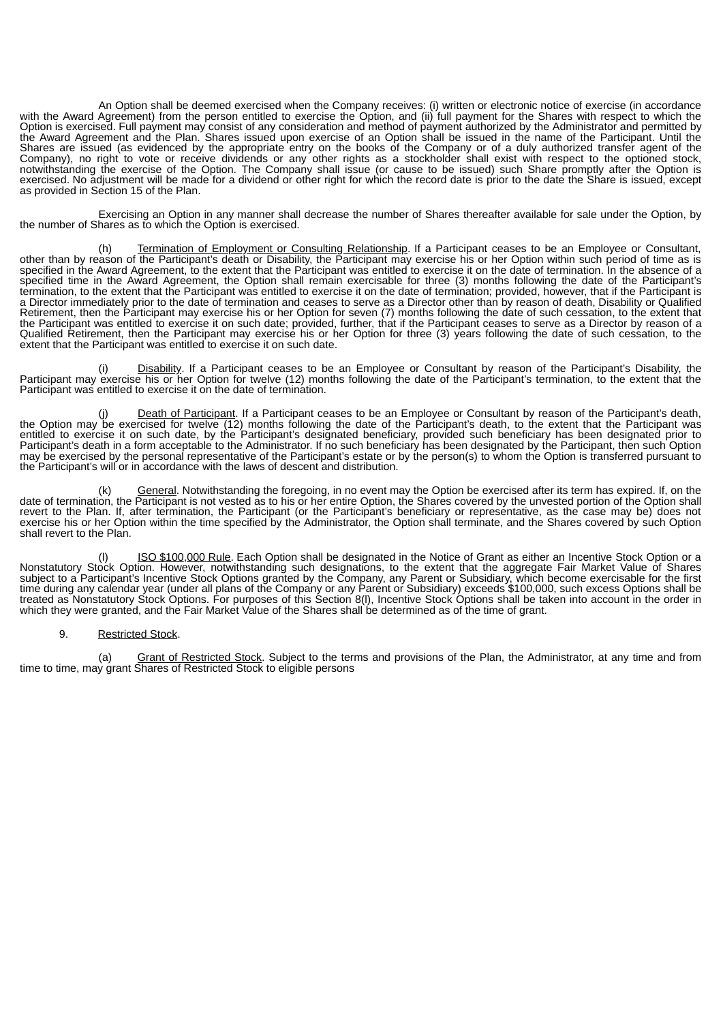An Option shall be deemed exercised when the Company receives: (i) written or electronic notice of exercise (in accordance with the Award Agreement) from the person entitled to exercise the Option, and (ii) full payment for the Shares with respect to which the Option is exercised. Full payment may consist of any consideration and method of payment authorized by the Administrator and permitted by the Award Agreement and the Plan. Shares issued upon exercise of an Option shall be issued in the name of the Participant. Until the Shares are issued (as evidenced by the appropriate entry on the books of the Company or of a duly authorized transfer agent of the Company), no right to vote or receive dividends or any other rights as a stockholder shall exist with respect to the optioned stock, notwithstanding the exercise of the Option. The Company shall issue (or cause to be issued) such Share promptly after the Option is exercised. No adjustment will be made for a dividend or other right for which the record date is prior to the date the Share is issued, except as provided in Section 15 of the Plan.

Exercising an Option in any manner shall decrease the number of Shares thereafter available for sale under the Option, by the number of Shares as to which the Option is exercised.

(h) Termination of Employment or Consulting Relationship. If a Participant ceases to be an Employee or Consultant, other than by reason of the Participant's death or Disability, the Participant may exercise his or her Option within such period of time as is specified in the Award Agreement, to the extent that the Participant was entitled to exercise it on the date of termination. In the absence of a specified time in the Award Agreement, the Option shall remain exercisable for three (3) months following the date of the Participant's termination, to the extent that the Participant was entitled to exercise it on the date of termination; provided, however, that if the Participant is a Director immediately prior to the date of termination and ceases to serve as a Director other than by reason of death, Disability or Qualified Retirement, then the Participant may exercise his or her Option for seven (7) months following the date of such cessation, to the extent that the Participant was entitled to exercise it on such date; provided, further, that if the Participant ceases to serve as a Director by reason of a Qualified Retirement, then the Participant may exercise his or her Option for three (3) years following the date of such cessation, to the extent that the Participant was entitled to exercise it on such date.

(i) Disability. If a Participant ceases to be an Employee or Consultant by reason of the Participant's Disability, the Participant may exercise his or her Option for twelve (12) months following the date of the Participant's termination, to the extent that the Participant was entitled to exercise it on the date of termination.

(j) Death of Participant. If a Participant ceases to be an Employee or Consultant by reason of the Participant's death, the Option may be exercised for twelve (12) months following the date of the Participant's death, to the extent that the Participant was entitled to exercise it on such date, by the Participant's designated beneficiary, provided such beneficiary has been designated prior to Participant's death in a form acceptable to the Administrator. If no such beneficiary has been designated by the Participant, then such Option may be exercised by the personal representative of the Participant's estate or by the person(s) to whom the Option is transferred pursuant to the Participant's will or in accordance with the laws of descent and distribution.

(k) General. Notwithstanding the foregoing, in no event may the Option be exercised after its term has expired. If, on the date of termination, the Participant is not vested as to his or her entire Option, the Shares covered by the unvested portion of the Option shall revert to the Plan. If, after termination, the Participant (or the Participant's beneficiary or representative, as the case may be) does not exercise his or her Option within the time specified by the Administrator, the Option shall terminate, and the Shares covered by such Option shall revert to the Plan.

(I) ISO \$100,000 Rule. Each Option shall be designated in the Notice of Grant as either an Incentive Stock Option or a Nonstatutory Stock Option. However, notwithstanding such designations, to the extent that the aggregate Fair Market Value of Shares subject to a Participant's Incentive Stock Options granted by the Company, any Parent or Subsidiary, which become exercisable for the first time during any calendar year (under all plans of the Company or any Parent or Subsidiary) exceeds \$100,000, such excess Options shall be treated as Nonstatutory Stock Options. For purposes of this Section 8(l), Incentive Stock Options shall be taken into account in the order in which they were granted, and the Fair Market Value of the Shares shall be determined as of the time of grant.

# 9. Restricted Stock.

(a) Grant of Restricted Stock. Subject to the terms and provisions of the Plan, the Administrator, at any time and from time to time, may grant Shares of Restricted Stock to eligible persons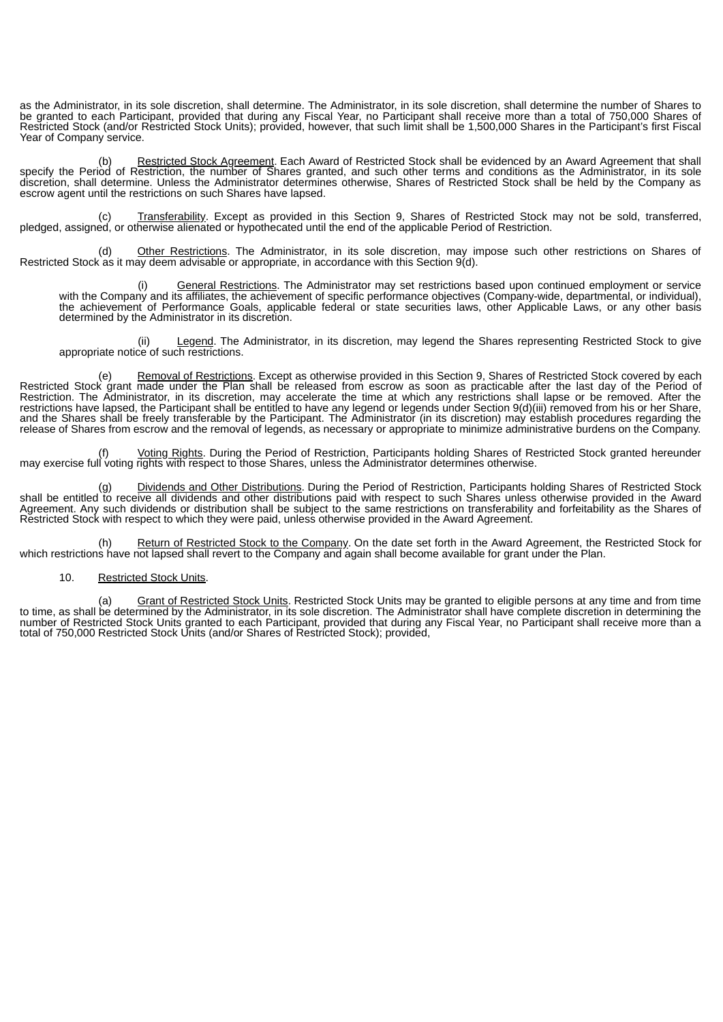as the Administrator, in its sole discretion, shall determine. The Administrator, in its sole discretion, shall determine the number of Shares to be granted to each Participant, provided that during any Fiscal Year, no Participant shall receive more than a total of 750,000 Shares of Restricted Stock (and/or Restricted Stock Units); provided, however, that such limit shall be 1,500,000 Shares in the Participant's first Fiscal Year of Company service.

(b) Restricted Stock Agreement. Each Award of Restricted Stock shall be evidenced by an Award Agreement that shall specify the Period of Restriction, the number of Shares granted, and such other terms and conditions as the Administrator, in its sole discretion, shall determine. Unless the Administrator determines otherwise, Shares of Restricted Stock shall be held by the Company as escrow agent until the restrictions on such Shares have lapsed.

Transferability. Except as provided in this Section 9, Shares of Restricted Stock may not be sold, transferred, (c) Transferability. Except as provided in this Section 9, Shares of Restricted Stock<br>pledged, assigned, or otherwise alienated or hypothecated until the end of the applicable Period of Restriction.

(d) Other Restrictions. The Administrator, in its sole discretion, may impose such other restrictions on Shares of Restricted Stock as it may deem advisable or appropriate, in accordance with this Section 9(d).

(i) General Restrictions. The Administrator may set restrictions based upon continued employment or service with the Company and its affiliates, the achievement of specific performance objectives (Company-wide, departmental, or individual), the achievement of Performance Goals, applicable federal or state securities laws, other Applicable Laws, or any other basis determined by the Administrator in its discretion.

Legend. The Administrator, in its discretion, may legend the Shares representing Restricted Stock to give (ii) <u>Legend</u>. The appropriate notice of such restrictions.

(e) Removal of Restrictions. Except as otherwise provided in this Section 9, Shares of Restricted Stock covered by each Restricted Stock grant made under the Plan shall be released from escrow as soon as practicable after the last day of the Period of Restriction. The Administrator, in its discretion, may accelerate the time at which any restrictions shall lapse or be removed. After the restrictions have lapsed, the Participant shall be entitled to have any legend or legends under Section 9(d)(iii) removed from his or her Share, and the Shares shall be freely transferable by the Participant. The Administrator (in its discretion) may establish procedures regarding the release of Shares from escrow and the removal of legends, as necessary or appropriate to minimize administrative burdens on the Company.

Voting Rights. During the Period of Restriction, Participants holding Shares of Restricted Stock granted hereunder f) Voting Rights. During the Period of Restriction, Participants holding Shares or Re<br>may exercise full voting rights with respect to those Shares, unless the Administrator determines otherwise.

(g) Dividends and Other Distributions. During the Period of Restriction, Participants holding Shares of Restricted Stock shall be entitled to receive all dividends and other distributions paid with respect to such Shares unless otherwise provided in the Award Agreement. Any such dividends or distribution shall be subject to the same restrictions on transferability and forfeitability as the Shares of Restricted Stock with respect to which they were paid, unless otherwise provided in the Award Agreement.

(h) Return of Restricted Stock to the Company. On the date set forth in the Award Agreement, the Restricted Stock for which restrictions have not lapsed shall revert to the Company and again shall become available for grant under the Plan.

# 10. Restricted Stock Units.

(a) Grant of Restricted Stock Units. Restricted Stock Units may be granted to eligible persons at any time and from time to time, as shall be determined by the Administrator, in its sole discretion. The Administrator shall have complete discretion in determining the number of Restricted Stock Units granted to each Participant, provided that during any Fiscal Year, no Participant shall receive more than a total of 750,000 Restricted Stock Units (and/or Shares of Restricted Stock); provided,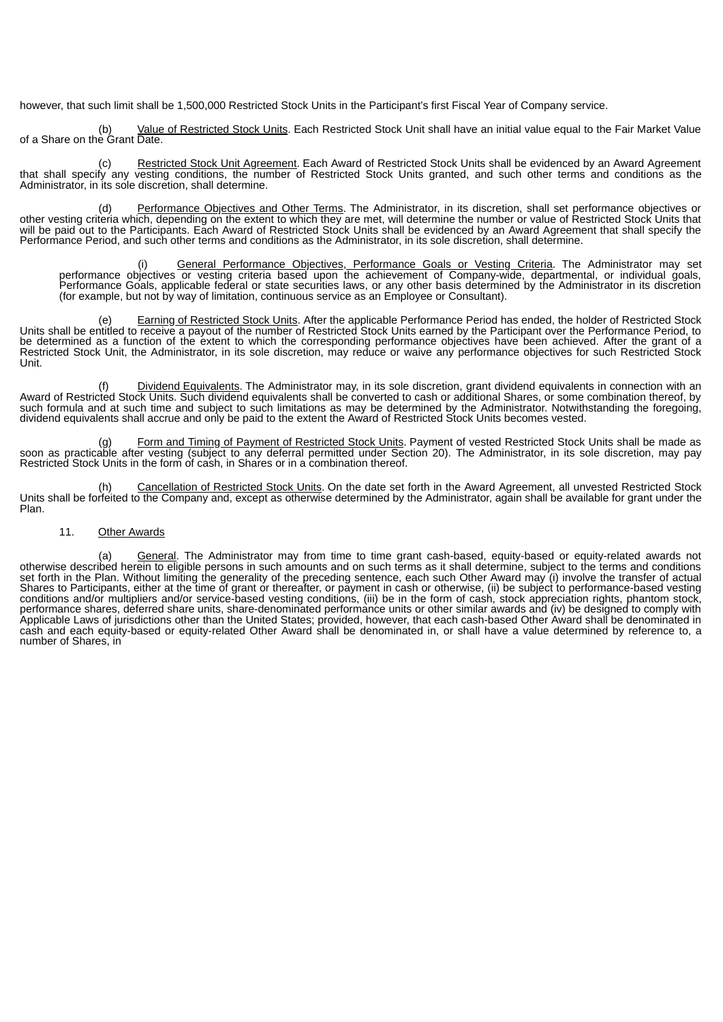however, that such limit shall be 1,500,000 Restricted Stock Units in the Participant's first Fiscal Year of Company service.

Value of Restricted Stock Units. Each Restricted Stock Unit shall have an initial value equal to the Fair Market Value of a Share on the Grant Date.

(c) Restricted Stock Unit Agreement. Each Award of Restricted Stock Units shall be evidenced by an Award Agreement that shall specify any vesting conditions, the number of Restricted Stock Units granted, and such other terms and conditions as the Administrator, in its sole discretion, shall determine.

(d) Performance Objectives and Other Terms. The Administrator, in its discretion, shall set performance objectives or other vesting criteria which, depending on the extent to which they are met, will determine the number or value of Restricted Stock Units that will be paid out to the Participants. Each Award of Restricted Stock Units shall be evidenced by an Award Agreement that shall specify the Performance Period, and such other terms and conditions as the Administrator, in its sole discretion, shall determine.

(i) General Performance Objectives, Performance Goals or Vesting Criteria. The Administrator may set performance objectives or vesting criteria based upon the achievement of Company-wide, departmental, or individual goals, Performance Goals, applicable federal or state securities laws, or any other basis determined by the Administrator in its discretion (for example, but not by way of limitation, continuous service as an Employee or Consultant).

(e) Earning of Restricted Stock Units. After the applicable Performance Period has ended, the holder of Restricted Stock Units shall be entitled to receive a payout of the number of Restricted Stock Units earned by the Participant over the Performance Period, to be determined as a function of the extent to which the corresponding performance objectives have been achieved. After the grant of a Restricted Stock Unit, the Administrator, in its sole discretion, may reduce or waive any performance objectives for such Restricted Stock Unit.

Dividend Equivalents. The Administrator may, in its sole discretion, grant dividend equivalents in connection with an Award of Restricted Stock Units. Such dividend equivalents shall be converted to cash or additional Shares, or some combination thereof, by such formula and at such time and subject to such limitations as may be determined by the Administrator. Notwithstanding the foregoing, dividend equivalents shall accrue and only be paid to the extent the Award of Restricted Stock Units becomes vested.

Form and Timing of Payment of Restricted Stock Units. Payment of vested Restricted Stock Units shall be made as soon as practicable after vesting (subject to any deferral permitted under Section 20). The Administrator, in its sole discretion, may pay Restricted Stock Units in the form of cash, in Shares or in a combination thereof.

(h) Cancellation of Restricted Stock Units. On the date set forth in the Award Agreement, all unvested Restricted Stock Units shall be forfeited to the Company and, except as otherwise determined by the Administrator, again shall be available for grant under the Plan.

#### 11. Other Awards

(a) General. The Administrator may from time to time grant cash-based, equity-based or equity-related awards not otherwise described herein to eligible persons in such amounts and on such terms as it shall determine, subject to the terms and conditions set forth in the Plan. Without limiting the generality of the preceding sentence, each such Other Award may (i) involve the transfer of actual Shares to Participants, either at the time of grant or thereafter, or payment in cash or otherwise, (ii) be subject to performance-based vesting conditions and/or multipliers and/or service-based vesting conditions, (iii) be in the form of cash, stock appreciation rights, phantom stock, performance shares, deferred share units, share-denominated performance units or other similar awards and (iv) be designed to comply with Applicable Laws of jurisdictions other than the United States; provided, however, that each cash-based Other Award shall be denominated in cash and each equity-based or equity-related Other Award shall be denominated in, or shall have a value determined by reference to, a number of Shares, in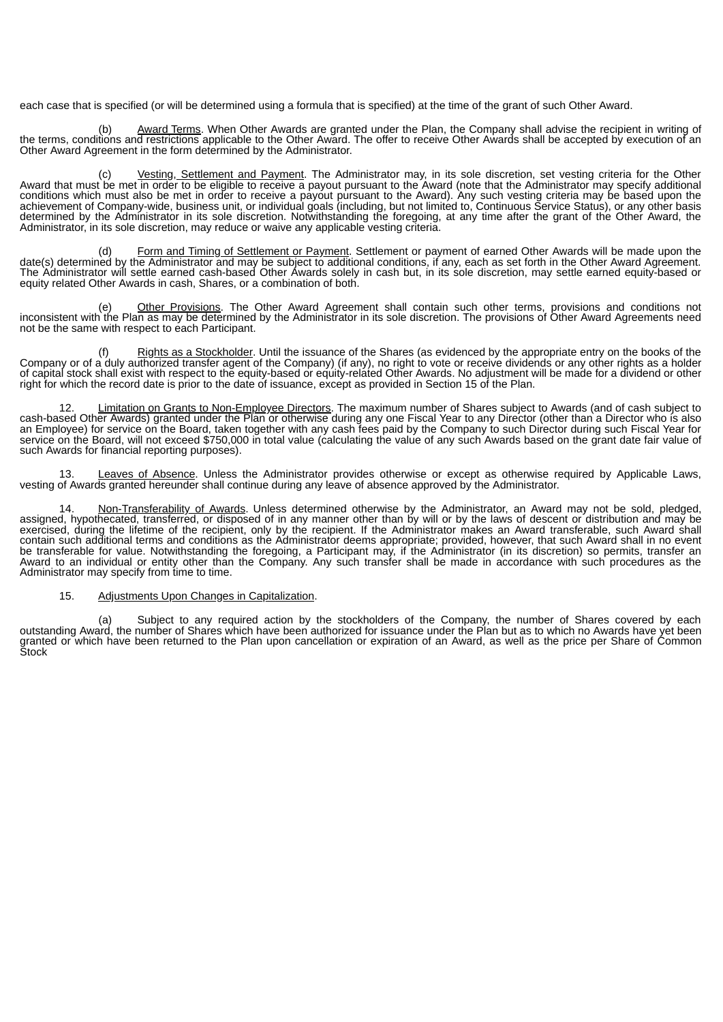each case that is specified (or will be determined using a formula that is specified) at the time of the grant of such Other Award.

Award Terms. When Other Awards are granted under the Plan, the Company shall advise the recipient in writing of the terms, conditions and restrictions applicable to the Other Award. The offer to receive Other Awards shall be accepted by execution of an Other Award Agreement in the form determined by the Administrator.

(c) Vesting, Settlement and Payment. The Administrator may, in its sole discretion, set vesting criteria for the Other Award that must be met in order to be eligible to receive a payout pursuant to the Award (note that the Administrator may specify additional conditions which must also be met in order to receive a payout pursuant to the Award). Any such vesting criteria may be based upon the achievement of Company-wide, business unit, or individual goals (including, but not limited to, Continuous Service Status), or any other basis determined by the Administrator in its sole discretion. Notwithstanding the foregoing, at any time after the grant of the Other Award, the Administrator, in its sole discretion, may reduce or waive any applicable vesting criteria.

(d) Form and Timing of Settlement or Payment. Settlement or payment of earned Other Awards will be made upon the date(s) determined by the Administrator and may be subject to additional conditions, if any, each as set forth in the Other Award Agreement. The Administrator will settle earned cash-based Other Awards solely in cash but, in its sole discretion, may settle earned equity-based or equity related Other Awards in cash, Shares, or a combination of both.

(e) Other Provisions. The Other Award Agreement shall contain such other terms, provisions and conditions not inconsistent with the Plan as may be determined by the Administrator in its sole discretion. The provisions of Other Award Agreements need not be the same with respect to each Participant.

(f) Rights as a Stockholder. Until the issuance of the Shares (as evidenced by the appropriate entry on the books of the Company or of a duly authorized transfer agent of the Company) (if any), no right to vote or receive dividends or any other rights as a holder of capital stock shall exist with respect to the equity-based or equity-related Other Awards. No adjustment will be made for a dividend or other right for which the record date is prior to the date of issuance, except as provided in Section 15 of the Plan.

12. Limitation on Grants to Non-Employee Directors. The maximum number of Shares subject to Awards (and of cash subject to cash-based Other Awards) granted under the Plan or otherwise during any one Fiscal Year to any Director (other than a Director who is also an Employee) for service on the Board, taken together with any cash fees paid by the Company to such Director during such Fiscal Year for service on the Board, will not exceed \$750,000 in total value (calculating the value of any such Awards based on the grant date fair value of such Awards for financial reporting purposes).

13. Leaves of Absence. Unless the Administrator provides otherwise or except as otherwise required by Applicable Laws, vesting of Awards granted hereunder shall continue during any leave of absence approved by the Administrator.

14. Non-Transferability of Awards. Unless determined otherwise by the Administrator, an Award may not be sold, pledged, assigned, hypothecated, transferred, or disposed of in any manner other than by will or by the laws of descent or distribution and may be exercised, during the lifetime of the recipient, only by the recipient. If the Administrator makes an Award transferable, such Award shall contain such additional terms and conditions as the Administrator deems appropriate; provided, however, that such Award shall in no event be transferable for value. Notwithstanding the foregoing, a Participant may, if the Administrator (in its discretion) so permits, transfer an Award to an individual or entity other than the Company. Any such transfer shall be made in accordance with such procedures as the Administrator may specify from time to time.

## 15. Adjustments Upon Changes in Capitalization.

(a) Subject to any required action by the stockholders of the Company, the number of Shares covered by each outstanding Award, the number of Shares which have been authorized for issuance under the Plan but as to which no Awards have yet been granted or which have been returned to the Plan upon cancellation or expiration of an Award, as well as the price per Share of Common Stock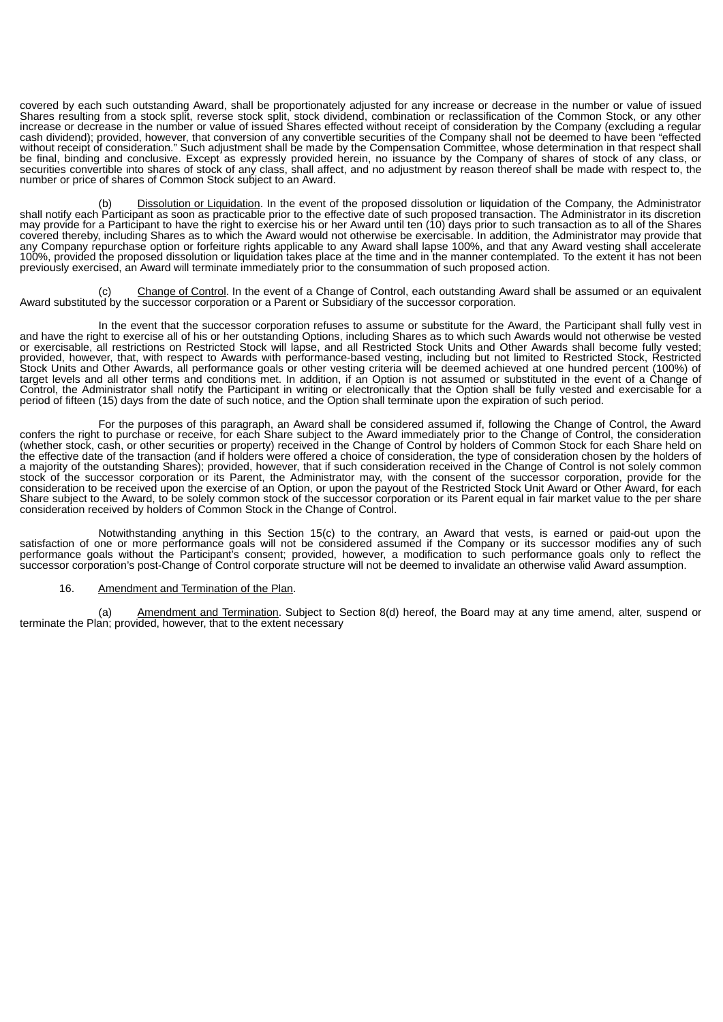covered by each such outstanding Award, shall be proportionately adjusted for any increase or decrease in the number or value of issued Shares resulting from a stock split, reverse stock split, stock dividend, combination or reclassification of the Common Stock, or any other increase or decrease in the number or value of issued Shares effected without receipt of consideration by the Company (excluding a regular cash dividend); provided, however, that conversion of any convertible securities of the Company shall not be deemed to have been "effected edsh dividerial, provided, network, that economics and providers in the Compensation Committee, whose determination in that respect shall without receipt of consideration." Such adjustment shall be made by the Compensation be final, binding and conclusive. Except as expressly provided herein, no issuance by the Company of shares of stock of any class, or securities convertible into shares of stock of any class, shall affect, and no adjustment by reason thereof shall be made with respect to, the number or price of shares of Common Stock subject to an Award.

Dissolution or Liquidation. In the event of the proposed dissolution or liquidation of the Company, the Administrator shall notify each Participant as soon as practicable prior to the effective date of such proposed transaction. The Administrator in its discretion may provide for a Participant to have the right to exercise his or her Award until ten (10) days prior to such transaction as to all of the Shares covered thereby, including Shares as to which the Award would not otherwise be exercisable. In addition, the Administrator may provide that any Company repurchase option or forfeiture rights applicable to any Award shall lapse 100%, and that any Award vesting shall accelerate 100%, provided the proposed dissolution or liquidation takes place at the time and in the manner contemplated. To the extent it has not been previously exercised, an Award will terminate immediately prior to the consummation of such proposed action.

Change of Control. In the event of a Change of Control, each outstanding Award shall be assumed or an equivalent (c) Change of Control. In the event of a Change of Control, each outstanding Award substituted by the successor corporation or a Parent or Subsidiary of the successor corporation.

In the event that the successor corporation refuses to assume or substitute for the Award, the Participant shall fully vest in and have the right to exercise all of his or her outstanding Options, including Shares as to which such Awards would not otherwise be vested or exercisable, all restrictions on Restricted Stock will lapse, and all Restricted Stock Units and Other Awards shall become fully vested; provided, however, that, with respect to Awards with performance-based vesting, including but not limited to Restricted Stock, Restricted Stock Units and Other Awards, all performance goals or other vesting criteria will be deemed achieved at one hundred percent (100%) of target levels and all other terms and conditions met. In addition, if an Option is not assumed or substituted in the event of a Change of Control, the Administrator shall notify the Participant in writing or electronically that the Option shall be fully vested and exercisable for a period of fifteen (15) days from the date of such notice, and the Option shall terminate upon the expiration of such period.

For the purposes of this paragraph, an Award shall be considered assumed if, following the Change of Control, the Award confers the right to purchase or receive, for each Share subject to the Award immediately prior to the Change of Control, the consideration (whether stock, cash, or other securities or property) received in the Change of Control by holders of Common Stock for each Share held on the effective date of the transaction (and if holders were offered a choice of consideration, the type of consideration chosen by the holders of a majority of the outstanding Shares); provided, however, that if such consideration received in the Change of Control is not solely common stock of the successor corporation or its Parent, the Administrator may, with the consent of the successor corporation, provide for the consideration to be received upon the exercise of an Option, or upon the payout of the Restricted Stock Unit Award or Other Award, for each Share subject to the Award, to be solely common stock of the successor corporation or its Parent equal in fair market value to the per share consideration received by holders of Common Stock in the Change of Control.

Notwithstanding anything in this Section 15(c) to the contrary, an Award that vests, is earned or paid-out upon the satisfaction of one or more performance goals will not be considered assumed if the Company or its successor modifies any of such performance goals without the Participant's consent; provided, however, a modification to such performance goals only to reflect the successor corporation's post-Change of Control corporate structure will not be deemed to invalidate an otherwise valid Award assumption.

#### 16. Amendment and Termination of the Plan.

(a) Amendment and Termination. Subject to Section 8(d) hereof, the Board may at any time amend, alter, suspend or terminate the Plan; provided, however, that to the extent necessary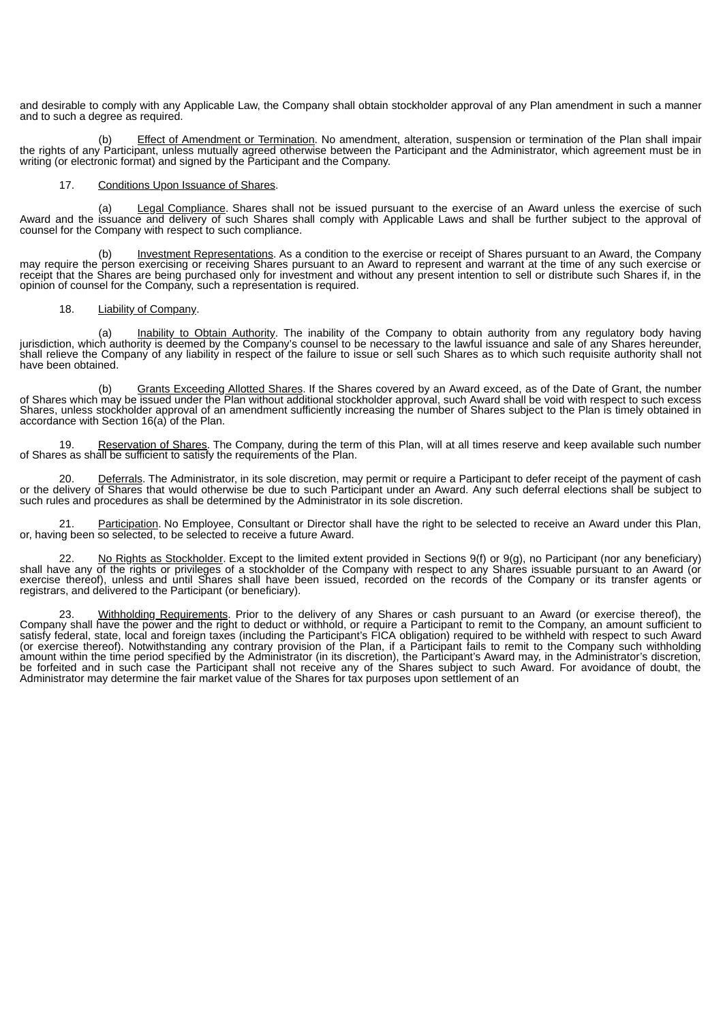and desirable to comply with any Applicable Law, the Company shall obtain stockholder approval of any Plan amendment in such a manner and to such a degree as required.

(b) Effect of Amendment or Termination. No amendment, alteration, suspension or termination of the Plan shall impair the rights of any Participant, unless mutually agreed otherwise between the Participant and the Administrator, which agreement must be in writing (or electronic format) and signed by the Participant and the Company.

#### 17. Conditions Upon Issuance of Shares.

(a) Legal Compliance. Shares shall not be issued pursuant to the exercise of an Award unless the exercise of such Award and the issuance and delivery of such Shares shall comply with Applicable Laws and shall be further subject to the approval of counsel for the Company with respect to such compliance.

(b) Investment Representations. As a condition to the exercise or receipt of Shares pursuant to an Award, the Company may require the person exercising or receiving Shares pursuant to an Award to represent and warrant at the time of any such exercise or receipt that the Shares are being purchased only for investment and without any present intention to sell or distribute such Shares if, in the opinion of counsel for the Company, such a representation is required.

#### 18. Liability of Company.

(a) Inability to Obtain Authority. The inability of the Company to obtain authority from any regulatory body having jurisdiction, which authority is deemed by the Company's counsel to be necessary to the lawful issuance and sale of any Shares hereunder, shall relieve the Company of any liability in respect of the failure to issue or sell such Shares as to which such requisite authority shall not have been obtained.

(b) Grants Exceeding Allotted Shares. If the Shares covered by an Award exceed, as of the Date of Grant, the number of Shares which may be issued under the Plan without additional stockholder approval, such Award shall be void with respect to such excess Shares, unless stockholder approval of an amendment sufficiently increasing the number of Shares subject to the Plan is timely obtained in accordance with Section 16(a) of the Plan.

19. Reservation of Shares. The Company, during the term of this Plan, will at all times reserve and keep available such number of Shares as shall be sufficient to satisfy the requirements of the Plan.

20. Deferrals. The Administrator, in its sole discretion, may permit or require a Participant to defer receipt of the payment of cash or the delivery of Shares that would otherwise be due to such Participant under an Award. Any such deferral elections shall be subject to such rules and procedures as shall be determined by the Administrator in its sole discretion.

21. Participation. No Employee, Consultant or Director shall have the right to be selected to receive an Award under this Plan, or, having been so selected, to be selected to receive a future Award.

22. No Rights as Stockholder. Except to the limited extent provided in Sections 9(f) or 9(g), no Participant (nor any beneficiary) shall have any of the rights or privileges of a stockholder of the Company with respect to any Shares issuable pursuant to an Award (or exercise thereof), unless and until Shares shall have been issued, recorded on the records of the Company or its transfer agents or registrars, and delivered to the Participant (or beneficiary).

23. Withholding Requirements. Prior to the delivery of any Shares or cash pursuant to an Award (or exercise thereof), the Company shall have the power and the right to deduct or withhold, or require a Participant to remit to the Company, an amount sufficient to satisfy federal, state, local and foreign taxes (including the Participant's FICA obligation) required to be withheld with respect to such Award (or exercise thereof). Notwithstanding any contrary provision of the Plan, if a Participant fails to remit to the Company such withholding amount within the time period specified by the Administrator (in its discretion), the Participant's Award may, in the Administrator's discretion, be forfeited and in such case the Participant shall not receive any of the Shares subject to such Award. For avoidance of doubt, the Administrator may determine the fair market value of the Shares for tax purposes upon settlement of an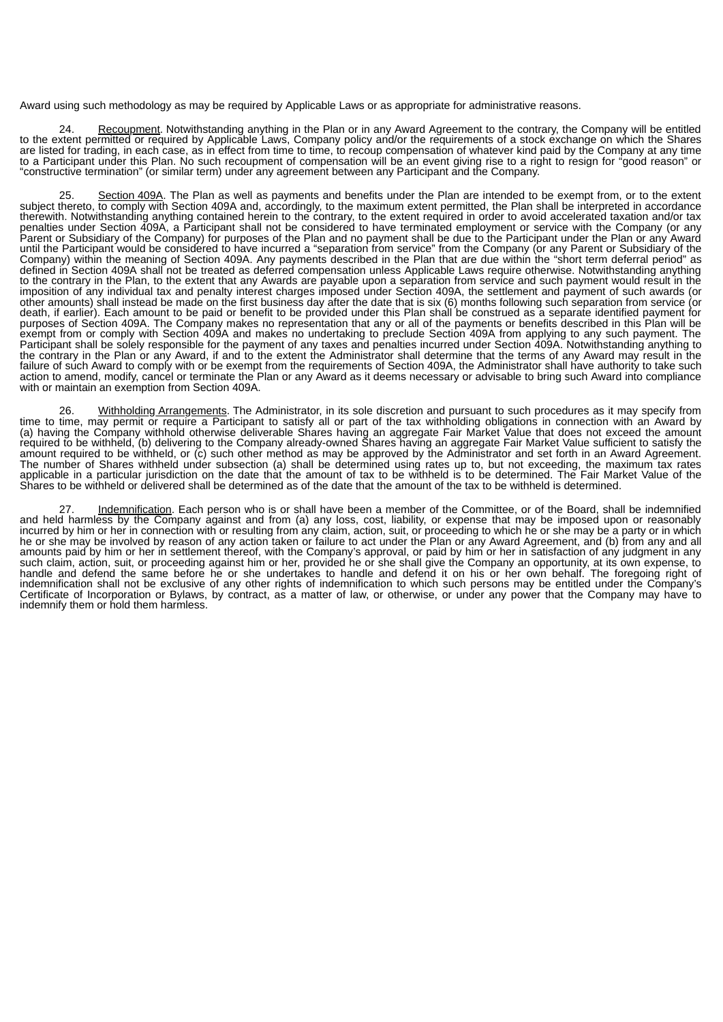Award using such methodology as may be required by Applicable Laws or as appropriate for administrative reasons.

24. Recoupment. Notwithstanding anything in the Plan or in any Award Agreement to the contrary, the Company will be entitled to the extent permitted or required by Applicable Laws, Company policy and/or the requirements of a stock exchange on which the Shares are listed for trading, in each case, as in effect from time to time, to recoup compensation of whatever kind paid by the Company at any time to a Participant under this Plan. No such recoupment of compensation will be an event giving rise to a right to resign for "good reason" or "constructive termination" (or similar term) under any agreement between any Participant and the Company.

25. Section 409A. The Plan as well as payments and benefits under the Plan are intended to be exempt from, or to the extent subject thereto, to comply with Section 409A and, accordingly, to the maximum extent permitted, the Plan shall be interpreted in accordance therewith. Notwithstanding anything contained herein to the contrary, to the extent required in order to avoid accelerated taxation and/or tax penalties under Section 409A, a Participant shall not be considered to have terminated employment or service with the Company (or any Parent or Subsidiary of the Company) for purposes of the Plan and no payment shall be due to the Participant under the Plan or any Award until the Participant would be considered to have incurred a "separation from service" from the Company (or any Parent or Subsidiary of the Company) within the meaning of Section 409A. Any payments described in the Plan that are due within the "short term deferral period" as defined in Section 409A shall not be treated as deferred compensation unless Applicable Laws require otherwise. Notwithstanding anything to the contrary in the Plan, to the extent that any Awards are payable upon a separation from service and such payment would result in the imposition of any individual tax and penalty interest charges imposed under Section 409A, the settlement and payment of such awards (or other amounts) shall instead be made on the first business day after the date that is six (6) months following such separation from service (or death, if earlier). Each amount to be paid or benefit to be provided under this Plan shall be construed as a separate identified payment for purposes of Section 409A. The Company makes no representation that any or all of the payments or benefits described in this Plan will be exempt from or comply with Section 409A and makes no undertaking to preclude Section 409A from applying to any such payment. The Participant shall be solely responsible for the payment of any taxes and penalties incurred under Section 409A. Notwithstanding anything to the contrary in the Plan or any Award, if and to the extent the Administrator shall determine that the terms of any Award may result in the failure of such Award to comply with or be exempt from the requirements of Section 409A, the Administrator shall have authority to take such action to amend, modify, cancel or terminate the Plan or any Award as it deems necessary or advisable to bring such Award into compliance with or maintain an exemption from Section 409A.

26. Withholding Arrangements. The Administrator, in its sole discretion and pursuant to such procedures as it may specify from time to time, may permit or require a Participant to satisfy all or part of the tax withholding obligations in connection with an Award by (a) having the Company withhold otherwise deliverable Shares having an aggregate Fair Market Value that does not exceed the amount required to be withheld, (b) delivering to the Company already-owned Shares having an aggregate Fair Market Value sufficient to satisfy the amount required to be withheld, or (c) such other method as may be approved by the Administrator and set forth in an Award Agreement. The number of Shares withheld under subsection (a) shall be determined using rates up to, but not exceeding, the maximum tax rates applicable in a particular jurisdiction on the date that the amount of tax to be withheld is to be determined. The Fair Market Value of the Shares to be withheld or delivered shall be determined as of the date that the amount of the tax to be withheld is determined.

Indemnification. Each person who is or shall have been a member of the Committee, or of the Board, shall be indemnified and held harmless by the Company against and from (a) any loss, cost, liability, or expense that may be imposed upon or reasonably incurred by him or her in connection with or resulting from any claim, action, suit, or proceeding to which he or she may be a party or in which he or she may be involved by reason of any action taken or failure to act under the Plan or any Award Agreement, and (b) from any and all amounts paid by him or her in settlement thereof, with the Company's approval, or paid by him or her in satisfaction of any judgment in any such claim, action, suit, or proceeding against him or her, provided he or she shall give the Company an opportunity, at its own expense, to handle and defend the same before he or she undertakes to handle and defend it on his or her own behalf. The foregoing right of indemnification shall not be exclusive of any other rights of indemnification to which such persons may be entitled under the Company's Certificate of Incorporation or Bylaws, by contract, as a matter of law, or otherwise, or under any power that the Company may have to indemnify them or hold them harmless.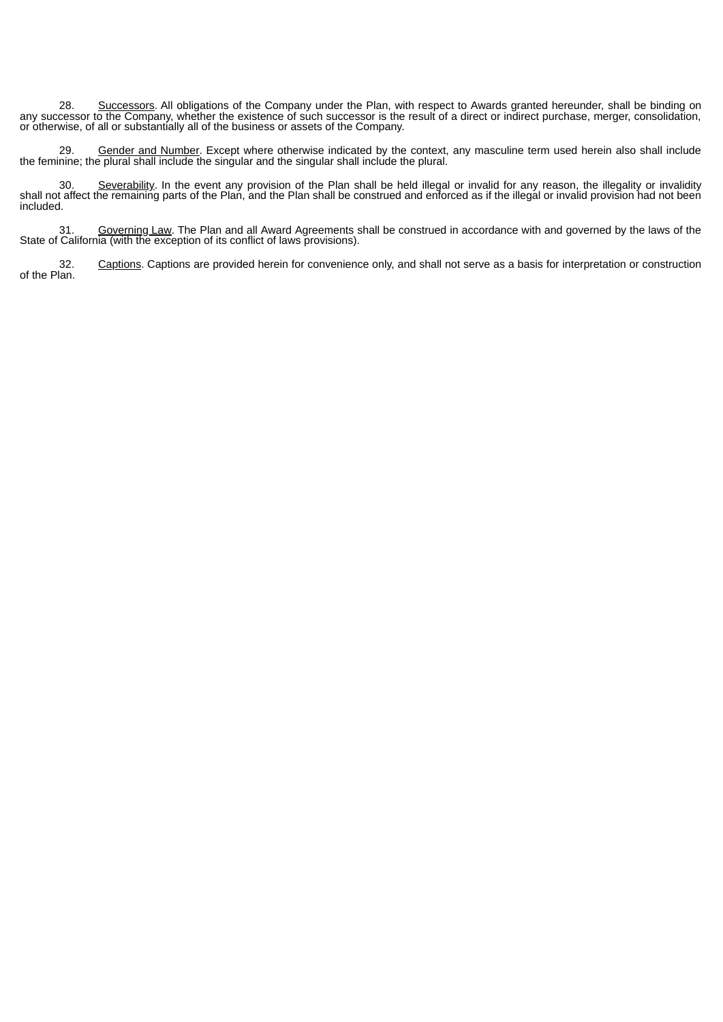28. Successors. All obligations of the Company under the Plan, with respect to Awards granted hereunder, shall be binding on any successor to the Company, whether the existence of such successor is the result of a direct or indirect purchase, merger, consolidation, or otherwise, of all or substantially all of the business or assets of the Company.

29. Gender and Number. Except where otherwise indicated by the context, any masculine term used herein also shall include the feminine; the plural shall include the singular and the singular shall include the plural.

30. Severability. In the event any provision of the Plan shall be held illegal or invalid for any reason, the illegality or invalidity shall not affect the remaining parts of the Plan, and the Plan shall be construed and enforced as if the illegal or invalid provision had not been included.

31. Governing Law. The Plan and all Award Agreements shall be construed in accordance with and governed by the laws of the State of California (with the exception of its conflict of laws provisions).

Captions. Captions are provided herein for convenience only, and shall not serve as a basis for interpretation or construction .32<br>.of the Plan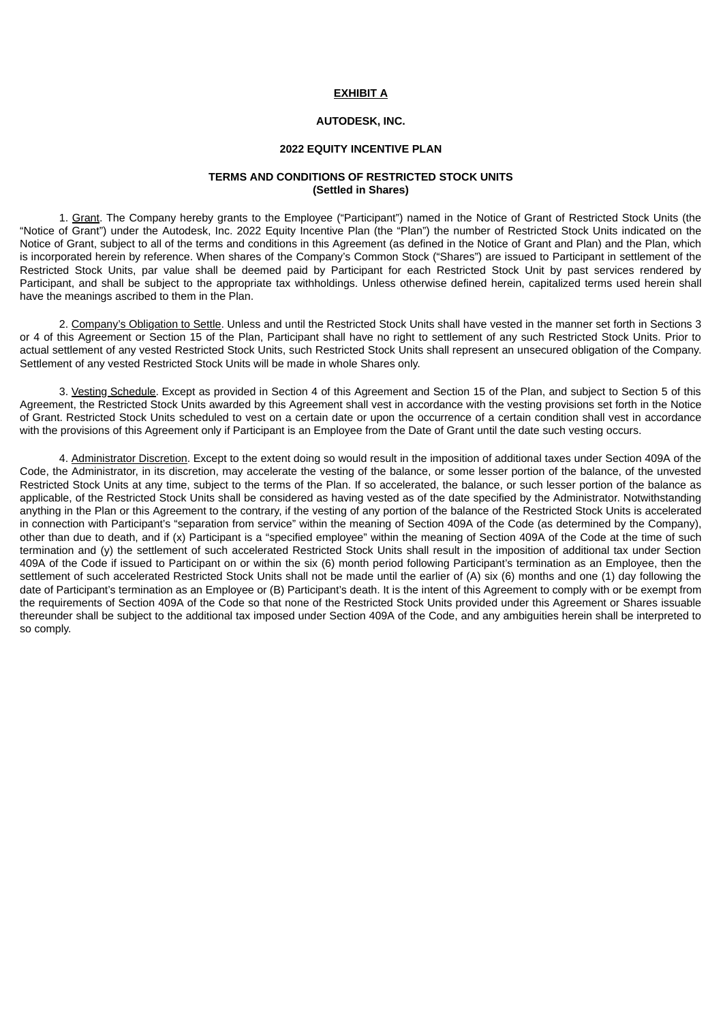#### **EXHIBIT A**

## **AUTODESK, INC.**

#### **2022 EQUITY INCENTIVE PLAN**

# **TERMS AND CONDITIONS OF RESTRICTED STOCK UNITS (Settled in Shares)**

<span id="page-19-0"></span>1. Grant. The Company hereby grants to the Employee ("Participant") named in the Notice of Grant of Restricted Stock Units (the "Notice of Grant") under the Autodesk, Inc. 2022 Equity Incentive Plan (the "Plan") the number of Restricted Stock Units indicated on the Notice of Grant, subject to all of the terms and conditions in this Agreement (as defined in the Notice of Grant and Plan) and the Plan, which is incorporated herein by reference. When shares of the Company's Common Stock ("Shares") are issued to Participant in settlement of the Restricted Stock Units, par value shall be deemed paid by Participant for each Restricted Stock Unit by past services rendered by Participant, and shall be subject to the appropriate tax withholdings. Unless otherwise defined herein, capitalized terms used herein shall have the meanings ascribed to them in the Plan.

2. Company's Obligation to Settle. Unless and until the Restricted Stock Units shall have vested in the manner set forth in Sections 3 or 4 of this Agreement or Section 15 of the Plan, Participant shall have no right to settlement of any such Restricted Stock Units. Prior to actual settlement of any vested Restricted Stock Units, such Restricted Stock Units shall represent an unsecured obligation of the Company. Settlement of any vested Restricted Stock Units will be made in whole Shares only.

3. Vesting Schedule. Except as provided in Section 4 of this Agreement and Section 15 of the Plan, and subject to Section 5 of this Agreement, the Restricted Stock Units awarded by this Agreement shall vest in accordance with the vesting provisions set forth in the Notice of Grant. Restricted Stock Units scheduled to vest on a certain date or upon the occurrence of a certain condition shall vest in accordance with the provisions of this Agreement only if Participant is an Employee from the Date of Grant until the date such vesting occurs.

4. Administrator Discretion. Except to the extent doing so would result in the imposition of additional taxes under Section 409A of the Code, the Administrator, in its discretion, may accelerate the vesting of the balance, or some lesser portion of the balance, of the unvested Restricted Stock Units at any time, subject to the terms of the Plan. If so accelerated, the balance, or such lesser portion of the balance as applicable, of the Restricted Stock Units shall be considered as having vested as of the date specified by the Administrator. Notwithstanding anything in the Plan or this Agreement to the contrary, if the vesting of any portion of the balance of the Restricted Stock Units is accelerated in connection with Participant's "separation from service" within the meaning of Section 409A of the Code (as determined by the Company), other than due to death, and if (x) Participant is a "specified employee" within the meaning of Section 409A of the Code at the time of such termination and (y) the settlement of such accelerated Restricted Stock Units shall result in the imposition of additional tax under Section 409A of the Code if issued to Participant on or within the six (6) month period following Participant's termination as an Employee, then the settlement of such accelerated Restricted Stock Units shall not be made until the earlier of (A) six (6) months and one (1) day following the date of Participant's termination as an Employee or (B) Participant's death. It is the intent of this Agreement to comply with or be exempt from the requirements of Section 409A of the Code so that none of the Restricted Stock Units provided under this Agreement or Shares issuable thereunder shall be subject to the additional tax imposed under Section 409A of the Code, and any ambiguities herein shall be interpreted to so comply.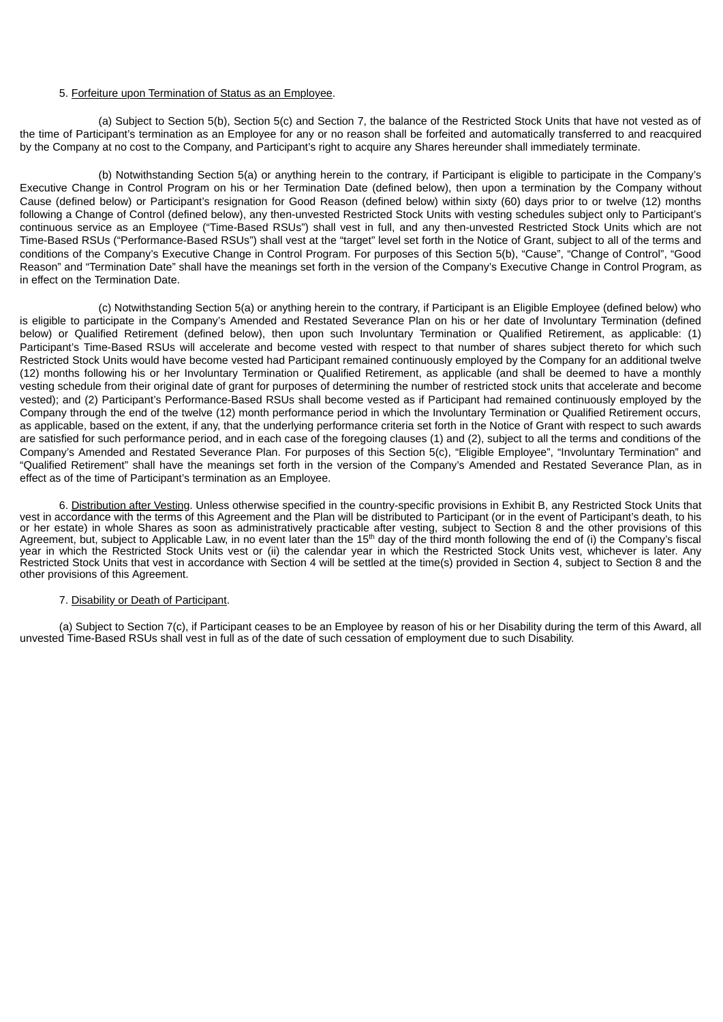#### 5. Forfeiture upon Termination of Status as an Employee.

(a) Subject to Section 5(b), Section 5(c) and Section 7, the balance of the Restricted Stock Units that have not vested as of the time of Participant's termination as an Employee for any or no reason shall be forfeited and automatically transferred to and reacquired by the Company at no cost to the Company, and Participant's right to acquire any Shares hereunder shall immediately terminate.

(b) Notwithstanding Section 5(a) or anything herein to the contrary, if Participant is eligible to participate in the Company's Executive Change in Control Program on his or her Termination Date (defined below), then upon a termination by the Company without Cause (defined below) or Participant's resignation for Good Reason (defined below) within sixty (60) days prior to or twelve (12) months following a Change of Control (defined below), any then-unvested Restricted Stock Units with vesting schedules subject only to Participant's continuous service as an Employee ("Time-Based RSUs") shall vest in full, and any then-unvested Restricted Stock Units which are not Time-Based RSUs ("Performance-Based RSUs") shall vest at the "target" level set forth in the Notice of Grant, subject to all of the terms and conditions of the Company's Executive Change in Control Program. For purposes of this Section 5(b), "Cause", "Change of Control", "Good Reason" and "Termination Date" shall have the meanings set forth in the version of the Company's Executive Change in Control Program, as in effect on the Termination Date.

(c) Notwithstanding Section 5(a) or anything herein to the contrary, if Participant is an Eligible Employee (defined below) who is eligible to participate in the Company's Amended and Restated Severance Plan on his or her date of Involuntary Termination (defined below) or Qualified Retirement (defined below), then upon such Involuntary Termination or Qualified Retirement, as applicable: (1) Participant's Time-Based RSUs will accelerate and become vested with respect to that number of shares subject thereto for which such Restricted Stock Units would have become vested had Participant remained continuously employed by the Company for an additional twelve (12) months following his or her Involuntary Termination or Qualified Retirement, as applicable (and shall be deemed to have a monthly vesting schedule from their original date of grant for purposes of determining the number of restricted stock units that accelerate and become vested); and (2) Participant's Performance-Based RSUs shall become vested as if Participant had remained continuously employed by the Company through the end of the twelve (12) month performance period in which the Involuntary Termination or Qualified Retirement occurs, as applicable, based on the extent, if any, that the underlying performance criteria set forth in the Notice of Grant with respect to such awards are satisfied for such performance period, and in each case of the foregoing clauses (1) and (2), subject to all the terms and conditions of the Company's Amended and Restated Severance Plan. For purposes of this Section 5(c), "Eligible Employee", "Involuntary Termination" and "Qualified Retirement" shall have the meanings set forth in the version of the Company's Amended and Restated Severance Plan, as in effect as of the time of Participant's termination as an Employee.

6. Distribution after Vesting. Unless otherwise specified in the country-specific provisions in Exhibit B, any Restricted Stock Units that vest in accordance with the terms of this Agreement and the Plan will be distributed to Participant (or in the event of Participant's death, to his or her estate) in whole Shares as soon as administratively practicable after vesting, subject to Section 8 and the other provisions of this Agreement, but, subject to Applicable Law, in no event later than the  $15<sup>th</sup>$  day of the third month following the end of (i) the Company's fiscal year in which the Restricted Stock Units vest or (ii) the calendar year in which the Restricted Stock Units vest, whichever is later. Any Restricted Stock Units that vest in accordance with Section 4 will be settled at the time(s) provided in Section 4, subject to Section 8 and the other provisions of this Agreement.

#### 7. Disability or Death of Participant.

(a) Subject to Section 7(c), if Participant ceases to be an Employee by reason of his or her Disability during the term of this Award, all unvested Time-Based RSUs shall vest in full as of the date of such cessation of employment due to such Disability.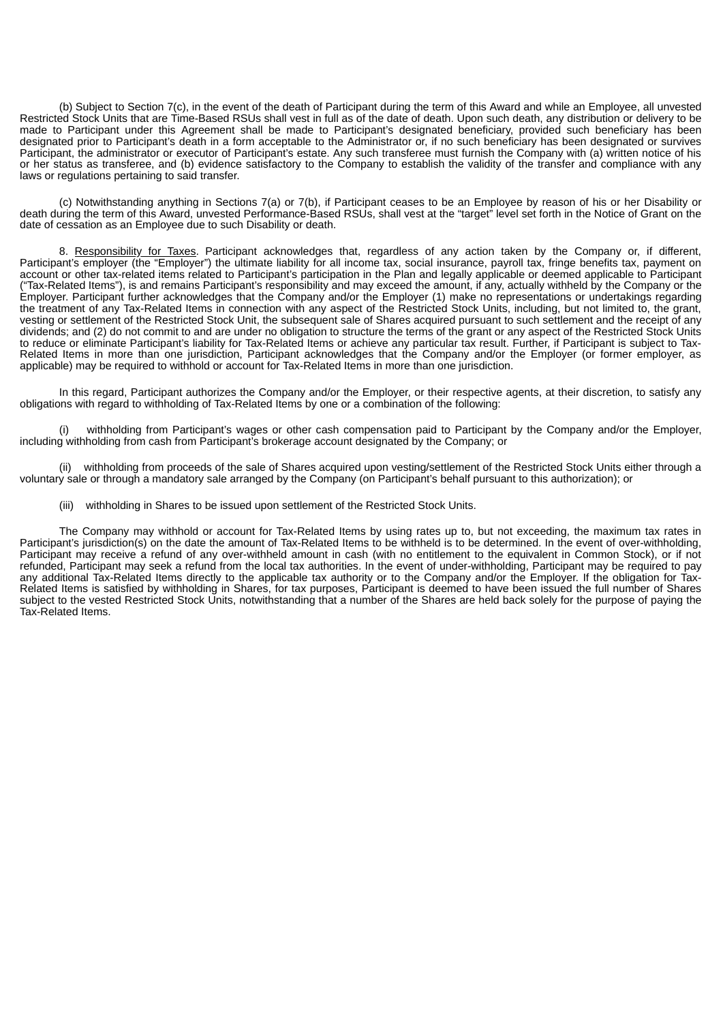(b) Subject to Section 7(c), in the event of the death of Participant during the term of this Award and while an Employee, all unvested Restricted Stock Units that are Time-Based RSUs shall vest in full as of the date of death. Upon such death, any distribution or delivery to be made to Participant under this Agreement shall be made to Participant's designated beneficiary, provided such beneficiary has been designated prior to Participant's death in a form acceptable to the Administrator or, if no such beneficiary has been designated or survives Participant, the administrator or executor of Participant's estate. Any such transferee must furnish the Company with (a) written notice of his or her status as transferee, and (b) evidence satisfactory to the Company to establish the validity of the transfer and compliance with any laws or regulations pertaining to said transfer.

(c) Notwithstanding anything in Sections 7(a) or 7(b), if Participant ceases to be an Employee by reason of his or her Disability or death during the term of this Award, unvested Performance-Based RSUs, shall vest at the "target" level set forth in the Notice of Grant on the date of cessation as an Employee due to such Disability or death.

8. Responsibility for Taxes. Participant acknowledges that, regardless of any action taken by the Company or, if different, Participant's employer (the "Employer") the ultimate liability for all income tax, social insurance, payroll tax, fringe benefits tax, payment on account or other tax-related items related to Participant's participation in the Plan and legally applicable or deemed applicable to Participant ("Tax-Related Items"), is and remains Participant's responsibility and may exceed the amount, if any, actually withheld by the Company or the Employer. Participant further acknowledges that the Company and/or the Employer (1) make no representations or undertakings regarding the treatment of any Tax-Related Items in connection with any aspect of the Restricted Stock Units, including, but not limited to, the grant, vesting or settlement of the Restricted Stock Unit, the subsequent sale of Shares acquired pursuant to such settlement and the receipt of any dividends; and (2) do not commit to and are under no obligation to structure the terms of the grant or any aspect of the Restricted Stock Units to reduce or eliminate Participant's liability for Tax-Related Items or achieve any particular tax result. Further, if Participant is subject to Tax-Related Items in more than one jurisdiction, Participant acknowledges that the Company and/or the Employer (or former employer, as applicable) may be required to withhold or account for Tax-Related Items in more than one jurisdiction.

In this regard, Participant authorizes the Company and/or the Employer, or their respective agents, at their discretion, to satisfy any obligations with regard to withholding of Tax-Related Items by one or a combination of the following:

withholding from Participant's wages or other cash compensation paid to Participant by the Company and/or the Employer, including withholding from cash from Participant's brokerage account designated by the Company; or

(ii) withholding from proceeds of the sale of Shares acquired upon vesting/settlement of the Restricted Stock Units either through a voluntary sale or through a mandatory sale arranged by the Company (on Participant's behalf pursuant to this authorization); or

(iii) withholding in Shares to be issued upon settlement of the Restricted Stock Units.

The Company may withhold or account for Tax-Related Items by using rates up to, but not exceeding, the maximum tax rates in Participant's jurisdiction(s) on the date the amount of Tax-Related Items to be withheld is to be determined. In the event of over-withholding, Participant may receive a refund of any over-withheld amount in cash (with no entitlement to the equivalent in Common Stock), or if not refunded, Participant may seek a refund from the local tax authorities. In the event of under-withholding, Participant may be required to pay any additional Tax-Related Items directly to the applicable tax authority or to the Company and/or the Employer. If the obligation for Tax-Related Items is satisfied by withholding in Shares, for tax purposes, Participant is deemed to have been issued the full number of Shares subject to the vested Restricted Stock Units, notwithstanding that a number of the Shares are held back solely for the purpose of paying the Tax-Related Items.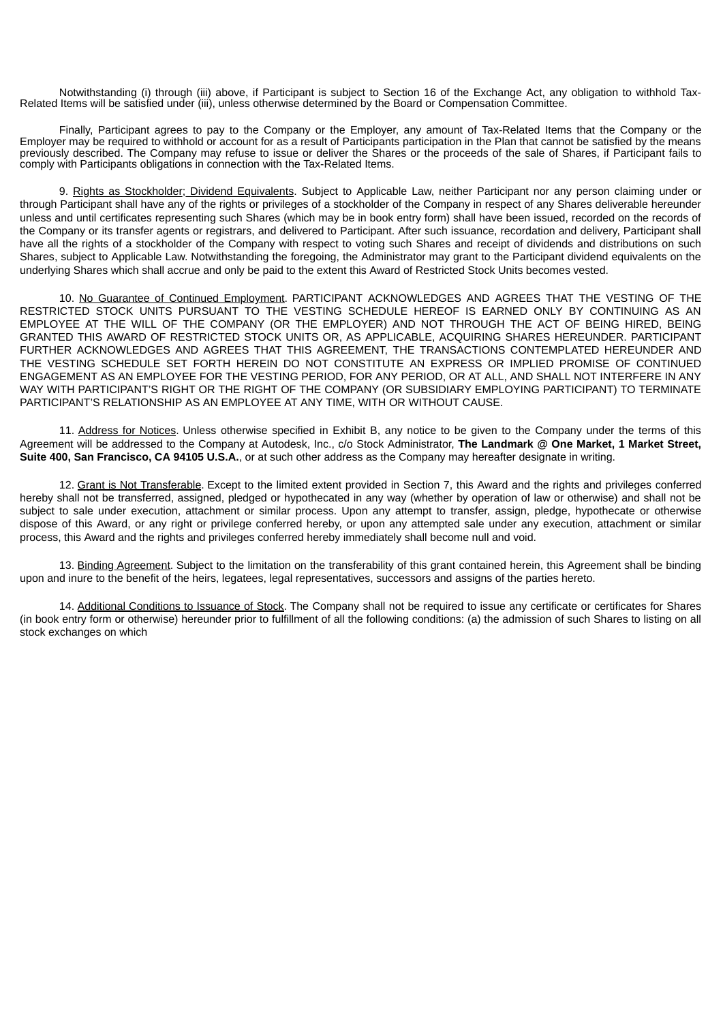Notwithstanding (i) through (iii) above, if Participant is subject to Section 16 of the Exchange Act, any obligation to withhold Tax-Related Items will be satisfied under (iii), unless otherwise determined by the Board or Compensation Committee.

Finally, Participant agrees to pay to the Company or the Employer, any amount of Tax-Related Items that the Company or the Employer may be required to withhold or account for as a result of Participants participation in the Plan that cannot be satisfied by the means previously described. The Company may refuse to issue or deliver the Shares or the proceeds of the sale of Shares, if Participant fails to comply with Participants obligations in connection with the Tax-Related Items.

9. Rights as Stockholder; Dividend Equivalents. Subject to Applicable Law, neither Participant nor any person claiming under or through Participant shall have any of the rights or privileges of a stockholder of the Company in respect of any Shares deliverable hereunder unless and until certificates representing such Shares (which may be in book entry form) shall have been issued, recorded on the records of the Company or its transfer agents or registrars, and delivered to Participant. After such issuance, recordation and delivery, Participant shall have all the rights of a stockholder of the Company with respect to voting such Shares and receipt of dividends and distributions on such Shares, subject to Applicable Law. Notwithstanding the foregoing, the Administrator may grant to the Participant dividend equivalents on the underlying Shares which shall accrue and only be paid to the extent this Award of Restricted Stock Units becomes vested.

10. No Guarantee of Continued Employment. PARTICIPANT ACKNOWLEDGES AND AGREES THAT THE VESTING OF THE RESTRICTED STOCK UNITS PURSUANT TO THE VESTING SCHEDULE HEREOF IS EARNED ONLY BY CONTINUING AS AN EMPLOYEE AT THE WILL OF THE COMPANY (OR THE EMPLOYER) AND NOT THROUGH THE ACT OF BEING HIRED, BEING GRANTED THIS AWARD OF RESTRICTED STOCK UNITS OR, AS APPLICABLE, ACQUIRING SHARES HEREUNDER. PARTICIPANT FURTHER ACKNOWLEDGES AND AGREES THAT THIS AGREEMENT, THE TRANSACTIONS CONTEMPLATED HEREUNDER AND THE VESTING SCHEDULE SET FORTH HEREIN DO NOT CONSTITUTE AN EXPRESS OR IMPLIED PROMISE OF CONTINUED ENGAGEMENT AS AN EMPLOYEE FOR THE VESTING PERIOD, FOR ANY PERIOD, OR AT ALL, AND SHALL NOT INTERFERE IN ANY WAY WITH PARTICIPANT'S RIGHT OR THE RIGHT OF THE COMPANY (OR SUBSIDIARY EMPLOYING PARTICIPANT) TO TERMINATE PARTICIPANT'S RELATIONSHIP AS AN EMPLOYEE AT ANY TIME, WITH OR WITHOUT CAUSE.

11. Address for Notices. Unless otherwise specified in Exhibit B, any notice to be given to the Company under the terms of this Agreement will be addressed to the Company at Autodesk, Inc., c/o Stock Administrator, **The Landmark @ One Market, 1 Market Street, Suite 400, San Francisco, CA 94105 U.S.A.**, or at such other address as the Company may hereafter designate in writing.

12. Grant is Not Transferable. Except to the limited extent provided in Section 7, this Award and the rights and privileges conferred hereby shall not be transferred, assigned, pledged or hypothecated in any way (whether by operation of law or otherwise) and shall not be subject to sale under execution, attachment or similar process. Upon any attempt to transfer, assign, pledge, hypothecate or otherwise dispose of this Award, or any right or privilege conferred hereby, or upon any attempted sale under any execution, attachment or similar process, this Award and the rights and privileges conferred hereby immediately shall become null and void.

13. Binding Agreement. Subject to the limitation on the transferability of this grant contained herein, this Agreement shall be binding upon and inure to the benefit of the heirs, legatees, legal representatives, successors and assigns of the parties hereto.

14. Additional Conditions to Issuance of Stock. The Company shall not be required to issue any certificate or certificates for Shares (in book entry form or otherwise) hereunder prior to fulfillment of all the following conditions: (a) the admission of such Shares to listing on all stock exchanges on which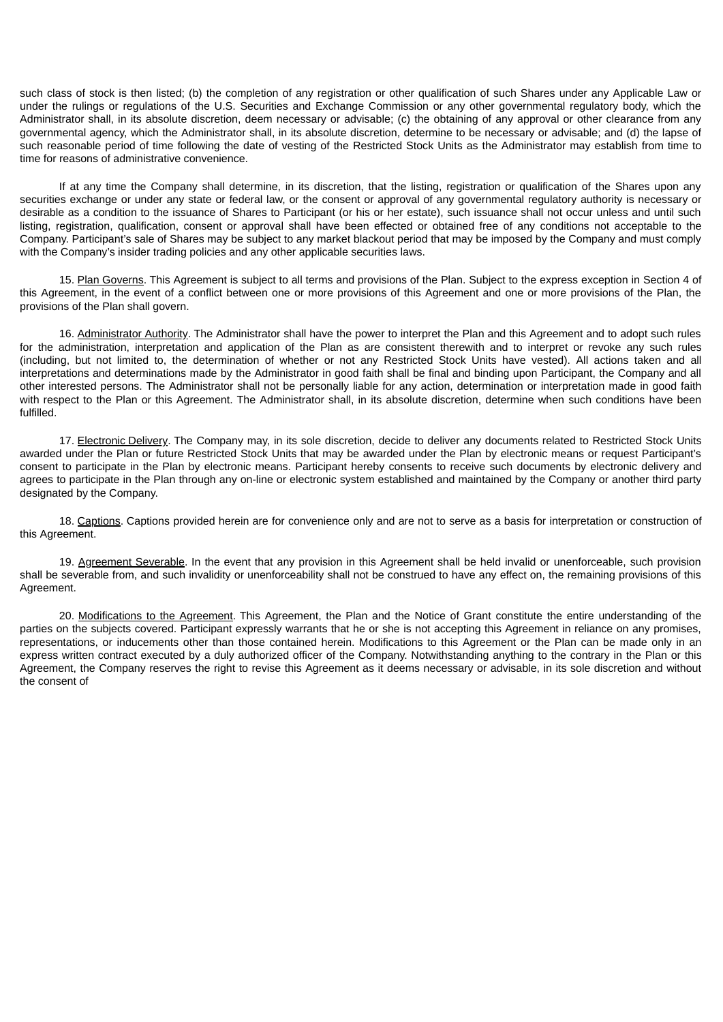such class of stock is then listed; (b) the completion of any registration or other qualification of such Shares under any Applicable Law or under the rulings or regulations of the U.S. Securities and Exchange Commission or any other governmental regulatory body, which the Administrator shall, in its absolute discretion, deem necessary or advisable; (c) the obtaining of any approval or other clearance from any governmental agency, which the Administrator shall, in its absolute discretion, determine to be necessary or advisable; and (d) the lapse of such reasonable period of time following the date of vesting of the Restricted Stock Units as the Administrator may establish from time to time for reasons of administrative convenience.

If at any time the Company shall determine, in its discretion, that the listing, registration or qualification of the Shares upon any securities exchange or under any state or federal law, or the consent or approval of any governmental regulatory authority is necessary or desirable as a condition to the issuance of Shares to Participant (or his or her estate), such issuance shall not occur unless and until such listing, registration, qualification, consent or approval shall have been effected or obtained free of any conditions not acceptable to the Company. Participant's sale of Shares may be subject to any market blackout period that may be imposed by the Company and must comply with the Company's insider trading policies and any other applicable securities laws.

15. Plan Governs. This Agreement is subject to all terms and provisions of the Plan. Subject to the express exception in Section 4 of this Agreement, in the event of a conflict between one or more provisions of this Agreement and one or more provisions of the Plan, the provisions of the Plan shall govern.

16. Administrator Authority. The Administrator shall have the power to interpret the Plan and this Agreement and to adopt such rules for the administration, interpretation and application of the Plan as are consistent therewith and to interpret or revoke any such rules (including, but not limited to, the determination of whether or not any Restricted Stock Units have vested). All actions taken and all interpretations and determinations made by the Administrator in good faith shall be final and binding upon Participant, the Company and all other interested persons. The Administrator shall not be personally liable for any action, determination or interpretation made in good faith with respect to the Plan or this Agreement. The Administrator shall, in its absolute discretion, determine when such conditions have been fulfilled.

17. Electronic Delivery. The Company may, in its sole discretion, decide to deliver any documents related to Restricted Stock Units awarded under the Plan or future Restricted Stock Units that may be awarded under the Plan by electronic means or request Participant's consent to participate in the Plan by electronic means. Participant hereby consents to receive such documents by electronic delivery and agrees to participate in the Plan through any on-line or electronic system established and maintained by the Company or another third party designated by the Company.

18. Captions. Captions provided herein are for convenience only and are not to serve as a basis for interpretation or construction of this Agreement.

19. Agreement Severable. In the event that any provision in this Agreement shall be held invalid or unenforceable, such provision shall be severable from, and such invalidity or unenforceability shall not be construed to have any effect on, the remaining provisions of this Agreement.

20. Modifications to the Agreement. This Agreement, the Plan and the Notice of Grant constitute the entire understanding of the parties on the subjects covered. Participant expressly warrants that he or she is not accepting this Agreement in reliance on any promises, representations, or inducements other than those contained herein. Modifications to this Agreement or the Plan can be made only in an express written contract executed by a duly authorized officer of the Company. Notwithstanding anything to the contrary in the Plan or this Agreement, the Company reserves the right to revise this Agreement as it deems necessary or advisable, in its sole discretion and without the consent of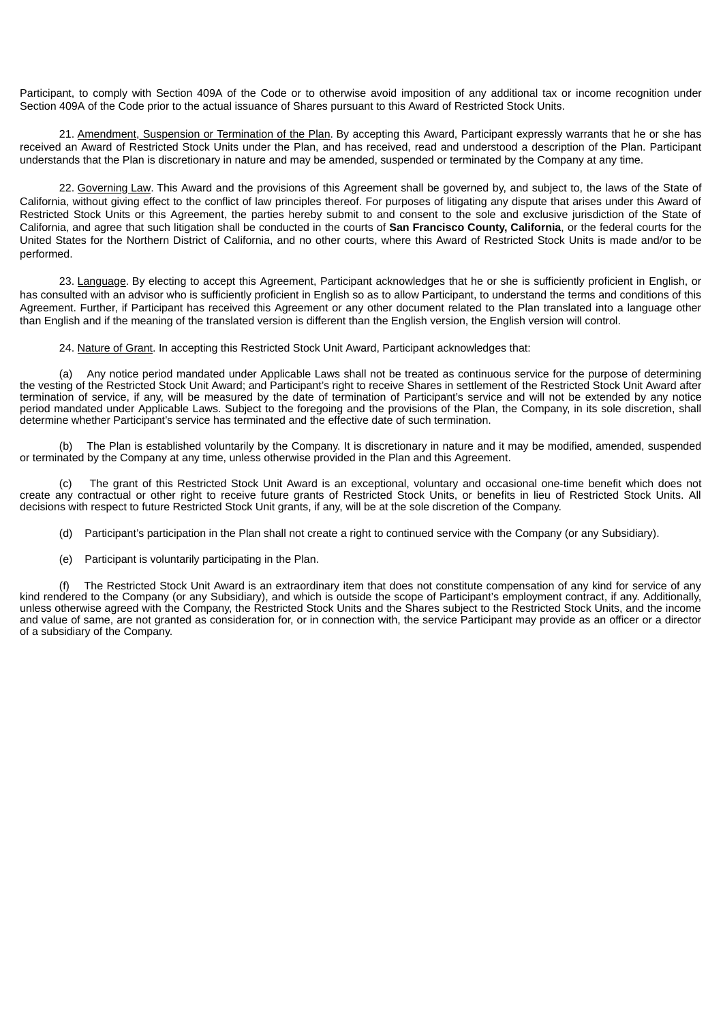Participant, to comply with Section 409A of the Code or to otherwise avoid imposition of any additional tax or income recognition under Section 409A of the Code prior to the actual issuance of Shares pursuant to this Award of Restricted Stock Units.

21. Amendment, Suspension or Termination of the Plan. By accepting this Award, Participant expressly warrants that he or she has received an Award of Restricted Stock Units under the Plan, and has received, read and understood a description of the Plan. Participant understands that the Plan is discretionary in nature and may be amended, suspended or terminated by the Company at any time.

22. Governing Law. This Award and the provisions of this Agreement shall be governed by, and subject to, the laws of the State of California, without giving effect to the conflict of law principles thereof. For purposes of litigating any dispute that arises under this Award of Restricted Stock Units or this Agreement, the parties hereby submit to and consent to the sole and exclusive jurisdiction of the State of California, and agree that such litigation shall be conducted in the courts of **San Francisco County, California**, or the federal courts for the United States for the Northern District of California, and no other courts, where this Award of Restricted Stock Units is made and/or to be performed.

23. Language. By electing to accept this Agreement, Participant acknowledges that he or she is sufficiently proficient in English, or has consulted with an advisor who is sufficiently proficient in English so as to allow Participant, to understand the terms and conditions of this Agreement. Further, if Participant has received this Agreement or any other document related to the Plan translated into a language other than English and if the meaning of the translated version is different than the English version, the English version will control.

24. Nature of Grant. In accepting this Restricted Stock Unit Award, Participant acknowledges that:

(a) Any notice period mandated under Applicable Laws shall not be treated as continuous service for the purpose of determining the vesting of the Restricted Stock Unit Award; and Participant's right to receive Shares in settlement of the Restricted Stock Unit Award after termination of service, if any, will be measured by the date of termination of Participant's service and will not be extended by any notice period mandated under Applicable Laws. Subject to the foregoing and the provisions of the Plan, the Company, in its sole discretion, shall determine whether Participant's service has terminated and the effective date of such termination.

(b) The Plan is established voluntarily by the Company. It is discretionary in nature and it may be modified, amended, suspended or terminated by the Company at any time, unless otherwise provided in the Plan and this Agreement.

(c) The grant of this Restricted Stock Unit Award is an exceptional, voluntary and occasional one-time benefit which does not create any contractual or other right to receive future grants of Restricted Stock Units, or benefits in lieu of Restricted Stock Units. All decisions with respect to future Restricted Stock Unit grants, if any, will be at the sole discretion of the Company.

- (d) Participant's participation in the Plan shall not create a right to continued service with the Company (or any Subsidiary).
- (e) Participant is voluntarily participating in the Plan.

The Restricted Stock Unit Award is an extraordinary item that does not constitute compensation of any kind for service of any kind rendered to the Company (or any Subsidiary), and which is outside the scope of Participant's employment contract, if any. Additionally, unless otherwise agreed with the Company, the Restricted Stock Units and the Shares subject to the Restricted Stock Units, and the income and value of same, are not granted as consideration for, or in connection with, the service Participant may provide as an officer or a director of a subsidiary of the Company.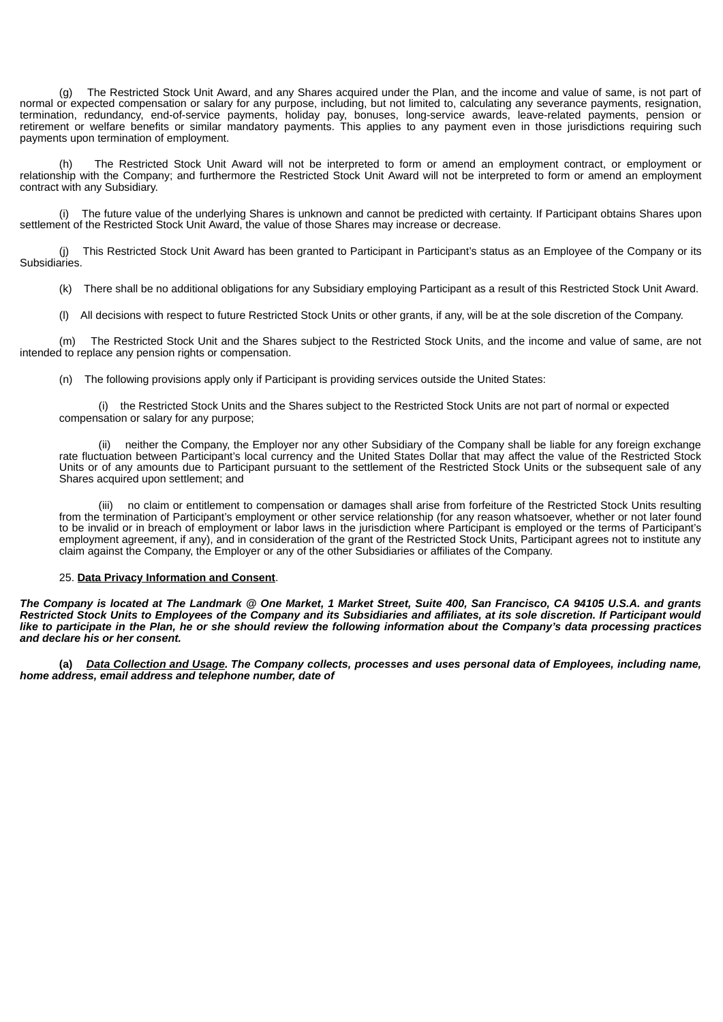(g) The Restricted Stock Unit Award, and any Shares acquired under the Plan, and the income and value of same, is not part of normal or expected compensation or salary for any purpose, including, but not limited to, calculating any severance payments, resignation, termination, redundancy, end-of-service payments, holiday pay, bonuses, long-service awards, leave-related payments, pension or retirement or welfare benefits or similar mandatory payments. This applies to any payment even in those jurisdictions requiring such payments upon termination of employment.

(h) The Restricted Stock Unit Award will not be interpreted to form or amend an employment contract, or employment or relationship with the Company; and furthermore the Restricted Stock Unit Award will not be interpreted to form or amend an employment contract with any Subsidiary.

The future value of the underlying Shares is unknown and cannot be predicted with certainty. If Participant obtains Shares upon settlement of the Restricted Stock Unit Award, the value of those Shares may increase or decrease.

(j) This Restricted Stock Unit Award has been granted to Participant in Participant's status as an Employee of the Company or its Subsidiaries.

(k) There shall be no additional obligations for any Subsidiary employing Participant as a result of this Restricted Stock Unit Award.

(l) All decisions with respect to future Restricted Stock Units or other grants, if any, will be at the sole discretion of the Company.

(m) The Restricted Stock Unit and the Shares subject to the Restricted Stock Units, and the income and value of same, are not intended to replace any pension rights or compensation.

(n) The following provisions apply only if Participant is providing services outside the United States:

(i) the Restricted Stock Units and the Shares subject to the Restricted Stock Units are not part of normal or expected compensation or salary for any purpose;

neither the Company, the Employer nor any other Subsidiary of the Company shall be liable for any foreign exchange rate fluctuation between Participant's local currency and the United States Dollar that may affect the value of the Restricted Stock Units or of any amounts due to Participant pursuant to the settlement of the Restricted Stock Units or the subsequent sale of any Shares acquired upon settlement; and

(iii) no claim or entitlement to compensation or damages shall arise from forfeiture of the Restricted Stock Units resulting from the termination of Participant's employment or other service relationship (for any reason whatsoever, whether or not later found to be invalid or in breach of employment or labor laws in the jurisdiction where Participant is employed or the terms of Participant's employment agreement, if any), and in consideration of the grant of the Restricted Stock Units, Participant agrees not to institute any claim against the Company, the Employer or any of the other Subsidiaries or affiliates of the Company.

# 25. **Data Privacy Information and Consent**.

The Company is located at The Landmark @ One Market, 1 Market Street, Suite 400, San Francisco, CA 94105 U.S.A. and grants Restricted Stock Units to Employees of the Company and its Subsidiaries and affiliates, at its sole discretion. If Participant would like to participate in the Plan, he or she should review the following information about the Company's data processing practices *and declare his or her consent.*

(a) Data Collection and Usage. The Company collects, processes and uses personal data of Employees, including name, *home address, email address and telephone number, date of*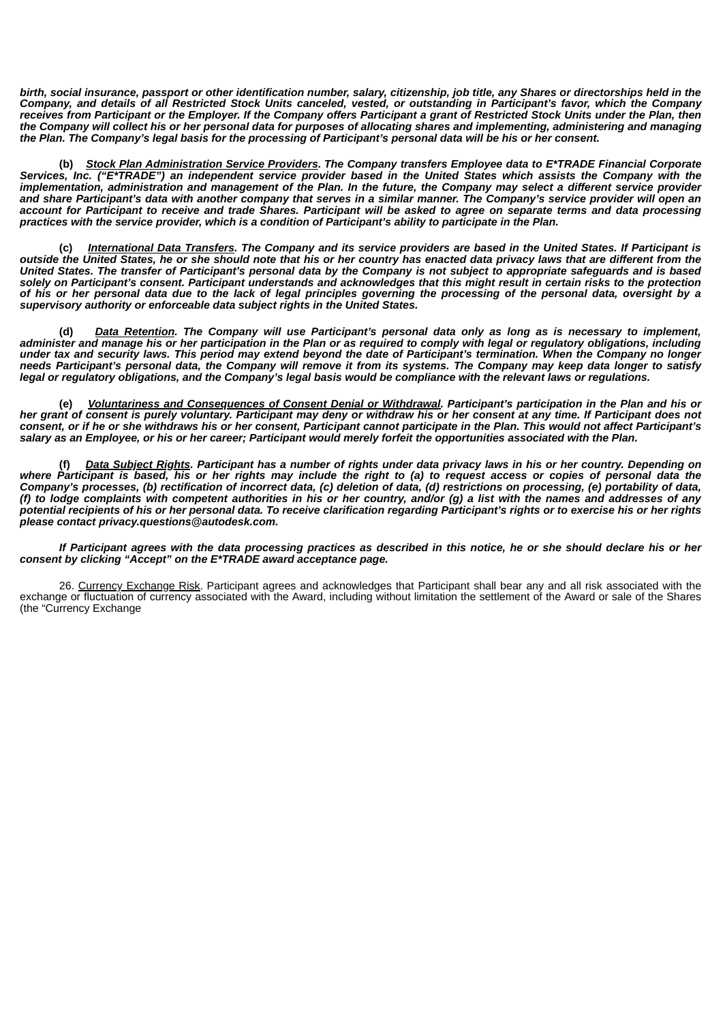birth, social insurance, passport or other identification number, salary, citizenship, job title, any Shares or directorships held in the Company, and details of all Restricted Stock Units canceled, vested, or outstanding in Participant's favor, which the Company receives from Participant or the Employer. If the Company offers Participant a grant of Restricted Stock Units under the Plan, then the Company will collect his or her personal data for purposes of allocating shares and implementing, administering and managing the Plan. The Company's legal basis for the processing of Participant's personal data will be his or her consent.

**(b)** *Stock Plan Administration Service Providers. The Company transfers Employee data to E\*TRADE Financial Corporate* Services, Inc. ("E\*TRADE") an independent service provider based in the United States which assists the Company with the implementation, administration and management of the Plan. In the future, the Company may select a different service provider and share Participant's data with another company that serves in a similar manner. The Company's service provider will open an account for Participant to receive and trade Shares. Participant will be asked to agree on separate terms and data processing practices with the service provider, which is a condition of Participant's ability to participate in the Plan.

International Data Transfers. The Company and its service providers are based in the United States. If Participant is outside the United States, he or she should note that his or her country has enacted data privacy laws that are different from the United States. The transfer of Participant's personal data by the Company is not subject to appropriate safeguards and is based solely on Participant's consent. Participant understands and acknowledges that this might result in certain risks to the protection of his or her personal data due to the lack of legal principles governing the processing of the personal data, oversight by a *supervisory authority or enforceable data subject rights in the United States.*

(d) Data Retention. The Company will use Participant's personal data only as long as is necessary to implement, administer and manage his or her participation in the Plan or as required to comply with legal or regulatory obligations, including under tax and security laws. This period may extend beyond the date of Participant's termination. When the Company no longer needs Participant's personal data, the Company will remove it from its systems. The Company may keep data longer to satisfy legal or regulatory obligations, and the Company's legal basis would be compliance with the relevant laws or regulations.

(e) Voluntariness and Consequences of Consent Denial or Withdrawal. Participant's participation in the Plan and his or her grant of consent is purely voluntary. Participant may deny or withdraw his or her consent at any time. If Participant does not consent. or if he or she withdraws his or her consent, Participant cannot participate in the Plan. This would not affect Participant's salary as an Employee, or his or her career; Participant would merely forfeit the opportunities associated with the Plan.

Data Subject Rights. Participant has a number of rights under data privacy laws in his or her country. Depending on where Participant is based, his or her rights may include the right to (a) to request access or copies of personal data the Company's processes, (b) rectification of incorrect data, (c) deletion of data, (d) restrictions on processing, (e) portability of data, (f) to lodge complaints with competent authorities in his or her country, and/or (g) a list with the names and addresses of any potential recipients of his or her personal data. To receive clarification regarding Participant's rights or to exercise his or her rights *please contact privacy.questions@autodesk.com.*

If Participant agrees with the data processing practices as described in this notice, he or she should declare his or her *consent by clicking "Accept" on the E\*TRADE award acceptance page.*

26. Currency Exchange Risk. Participant agrees and acknowledges that Participant shall bear any and all risk associated with the exchange or fluctuation of currency associated with the Award, including without limitation the settlement of the Award or sale of the Shares (the "Currency Exchange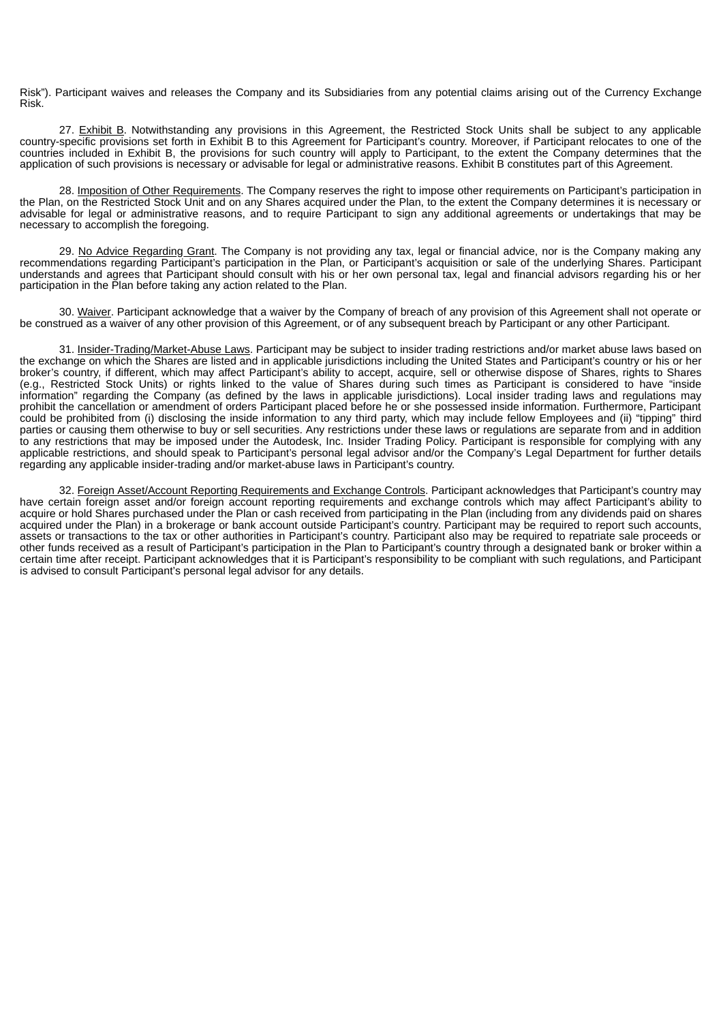Risk"). Participant waives and releases the Company and its Subsidiaries from any potential claims arising out of the Currency Exchange Risk.

27. Exhibit B. Notwithstanding any provisions in this Agreement, the Restricted Stock Units shall be subject to any applicable country-specific provisions set forth in Exhibit B to this Agreement for Participant's country. Moreover, if Participant relocates to one of the countries included in Exhibit B, the provisions for such country will apply to Participant, to the extent the Company determines that the application of such provisions is necessary or advisable for legal or administrative reasons. Exhibit B constitutes part of this Agreement.

28. Imposition of Other Requirements. The Company reserves the right to impose other requirements on Participant's participation in the Plan, on the Restricted Stock Unit and on any Shares acquired under the Plan, to the extent the Company determines it is necessary or advisable for legal or administrative reasons, and to require Participant to sign any additional agreements or undertakings that may be necessary to accomplish the foregoing.

29. No Advice Regarding Grant. The Company is not providing any tax, legal or financial advice, nor is the Company making any recommendations regarding Participant's participation in the Plan, or Participant's acquisition or sale of the underlying Shares. Participant understands and agrees that Participant should consult with his or her own personal tax, legal and financial advisors regarding his or her participation in the Plan before taking any action related to the Plan.

30. Waiver. Participant acknowledge that a waiver by the Company of breach of any provision of this Agreement shall not operate or be construed as a waiver of any other provision of this Agreement, or of any subsequent breach by Participant or any other Participant.

31. Insider-Trading/Market-Abuse Laws. Participant may be subject to insider trading restrictions and/or market abuse laws based on the exchange on which the Shares are listed and in applicable jurisdictions including the United States and Participant's country or his or her broker's country, if different, which may affect Participant's ability to accept, acquire, sell or otherwise dispose of Shares, rights to Shares (e.g., Restricted Stock Units) or rights linked to the value of Shares during such times as Participant is considered to have "inside information" regarding the Company (as defined by the laws in applicable jurisdictions). Local insider trading laws and regulations may prohibit the cancellation or amendment of orders Participant placed before he or she possessed inside information. Furthermore, Participant could be prohibited from (i) disclosing the inside information to any third party, which may include fellow Employees and (ii) "tipping" third parties or causing them otherwise to buy or sell securities. Any restrictions under these laws or regulations are separate from and in addition to any restrictions that may be imposed under the Autodesk, Inc. Insider Trading Policy. Participant is responsible for complying with any applicable restrictions, and should speak to Participant's personal legal advisor and/or the Company's Legal Department for further details regarding any applicable insider-trading and/or market-abuse laws in Participant's country.

32. Foreign Asset/Account Reporting Requirements and Exchange Controls. Participant acknowledges that Participant's country may have certain foreign asset and/or foreign account reporting requirements and exchange controls which may affect Participant's ability to acquire or hold Shares purchased under the Plan or cash received from participating in the Plan (including from any dividends paid on shares acquired under the Plan) in a brokerage or bank account outside Participant's country. Participant may be required to report such accounts, assets or transactions to the tax or other authorities in Participant's country. Participant also may be required to repatriate sale proceeds or other funds received as a result of Participant's participation in the Plan to Participant's country through a designated bank or broker within a certain time after receipt. Participant acknowledges that it is Participant's responsibility to be compliant with such regulations, and Participant is advised to consult Participant's personal legal advisor for any details.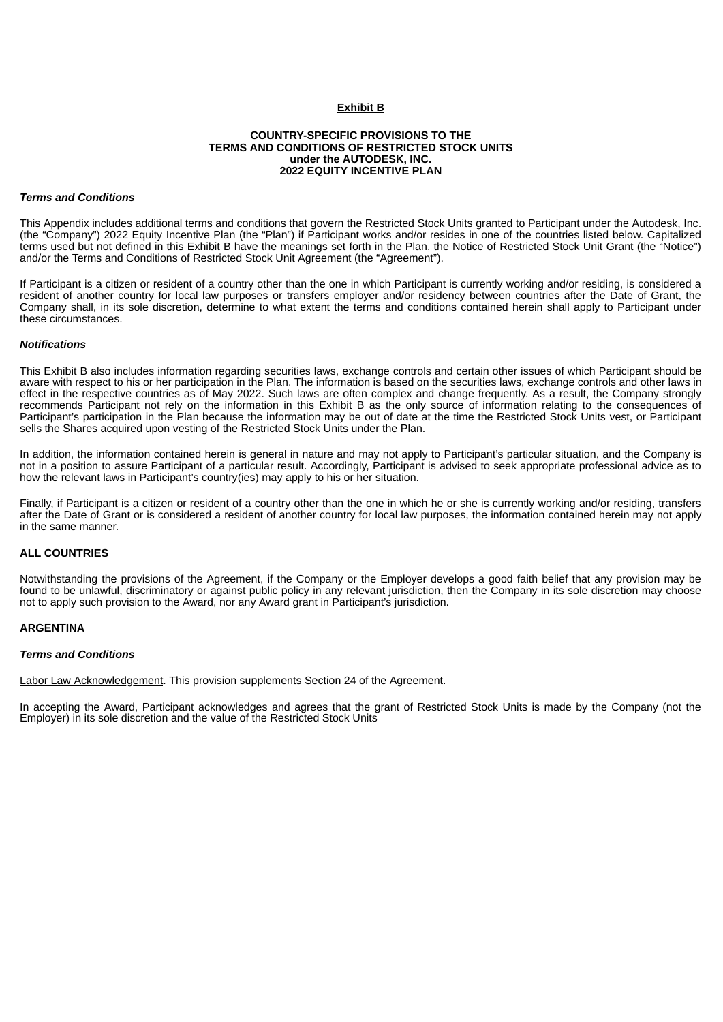## **Exhibit B**

## **COUNTRY-SPECIFIC PROVISIONS TO THE TERMS AND CONDITIONS OF RESTRICTED STOCK UNITS under the AUTODESK, INC. 2022 EQUITY INCENTIVE PLAN**

#### *Terms and Conditions*

This Appendix includes additional terms and conditions that govern the Restricted Stock Units granted to Participant under the Autodesk, Inc. (the "Company") 2022 Equity Incentive Plan (the "Plan") if Participant works and/or resides in one of the countries listed below. Capitalized terms used but not defined in this Exhibit B have the meanings set forth in the Plan, the Notice of Restricted Stock Unit Grant (the "Notice") and/or the Terms and Conditions of Restricted Stock Unit Agreement (the "Agreement").

If Participant is a citizen or resident of a country other than the one in which Participant is currently working and/or residing, is considered a resident of another country for local law purposes or transfers employer and/or residency between countries after the Date of Grant, the Company shall, in its sole discretion, determine to what extent the terms and conditions contained herein shall apply to Participant under these circumstances.

#### *Notifications*

This Exhibit B also includes information regarding securities laws, exchange controls and certain other issues of which Participant should be aware with respect to his or her participation in the Plan. The information is based on the securities laws, exchange controls and other laws in effect in the respective countries as of May 2022. Such laws are often complex and change frequently. As a result, the Company strongly recommends Participant not rely on the information in this Exhibit B as the only source of information relating to the consequences of Participant's participation in the Plan because the information may be out of date at the time the Restricted Stock Units vest, or Participant sells the Shares acquired upon vesting of the Restricted Stock Units under the Plan.

In addition, the information contained herein is general in nature and may not apply to Participant's particular situation, and the Company is not in a position to assure Participant of a particular result. Accordingly, Participant is advised to seek appropriate professional advice as to how the relevant laws in Participant's country(ies) may apply to his or her situation.

Finally, if Participant is a citizen or resident of a country other than the one in which he or she is currently working and/or residing, transfers after the Date of Grant or is considered a resident of another country for local law purposes, the information contained herein may not apply in the same manner.

# **ALL COUNTRIES**

Notwithstanding the provisions of the Agreement, if the Company or the Employer develops a good faith belief that any provision may be found to be unlawful, discriminatory or against public policy in any relevant jurisdiction, then the Company in its sole discretion may choose not to apply such provision to the Award, nor any Award grant in Participant's jurisdiction.

#### **ARGENTINA**

#### *Terms and Conditions*

Labor Law Acknowledgement. This provision supplements Section 24 of the Agreement.

In accepting the Award, Participant acknowledges and agrees that the grant of Restricted Stock Units is made by the Company (not the Employer) in its sole discretion and the value of the Restricted Stock Units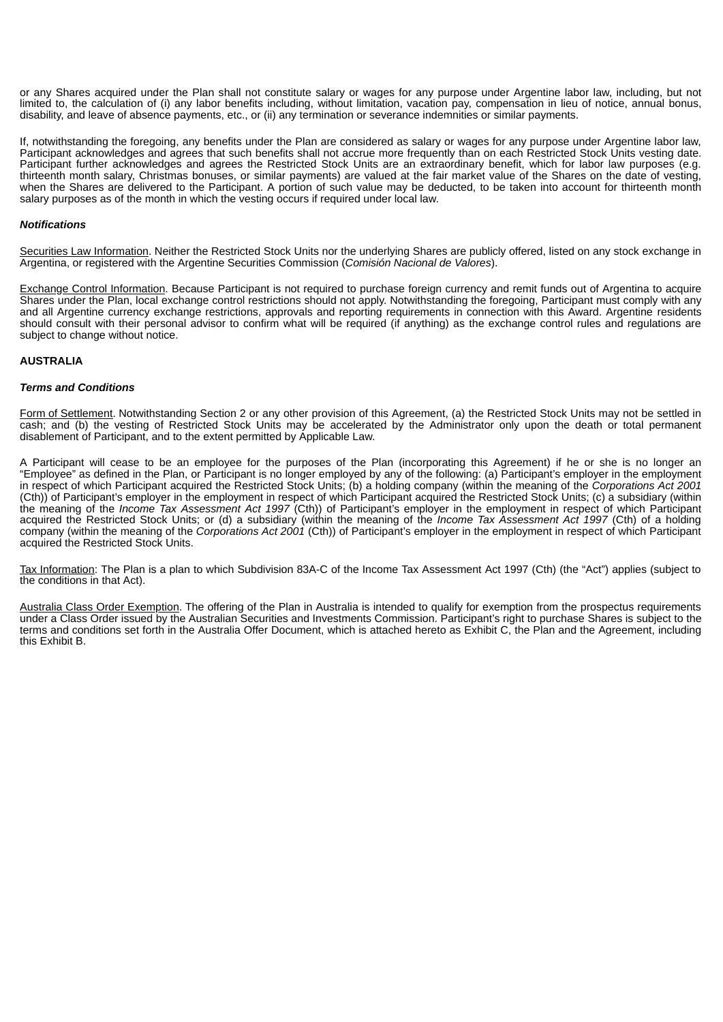or any Shares acquired under the Plan shall not constitute salary or wages for any purpose under Argentine labor law, including, but not limited to, the calculation of (i) any labor benefits including, without limitation, vacation pay, compensation in lieu of notice, annual bonus, disability, and leave of absence payments, etc., or (ii) any termination or severance indemnities or similar payments.

If, notwithstanding the foregoing, any benefits under the Plan are considered as salary or wages for any purpose under Argentine labor law, Participant acknowledges and agrees that such benefits shall not accrue more frequently than on each Restricted Stock Units vesting date. Participant further acknowledges and agrees the Restricted Stock Units are an extraordinary benefit, which for labor law purposes (e.g. thirteenth month salary, Christmas bonuses, or similar payments) are valued at the fair market value of the Shares on the date of vesting, when the Shares are delivered to the Participant. A portion of such value may be deducted, to be taken into account for thirteenth month salary purposes as of the month in which the vesting occurs if required under local law.

## *Notifications*

Securities Law Information. Neither the Restricted Stock Units nor the underlying Shares are publicly offered, listed on any stock exchange in Argentina, or registered with the Argentine Securities Commission (*Comisión Nacional de Valores*).

Exchange Control Information. Because Participant is not required to purchase foreign currency and remit funds out of Argentina to acquire Shares under the Plan, local exchange control restrictions should not apply. Notwithstanding the foregoing, Participant must comply with any and all Argentine currency exchange restrictions, approvals and reporting requirements in connection with this Award. Argentine residents should consult with their personal advisor to confirm what will be required (if anything) as the exchange control rules and regulations are subject to change without notice.

## **AUSTRALIA**

## *Terms and Conditions*

Form of Settlement. Notwithstanding Section 2 or any other provision of this Agreement, (a) the Restricted Stock Units may not be settled in cash; and (b) the vesting of Restricted Stock Units may be accelerated by the Administrator only upon the death or total permanent disablement of Participant, and to the extent permitted by Applicable Law.

A Participant will cease to be an employee for the purposes of the Plan (incorporating this Agreement) if he or she is no longer an "Employee" as defined in the Plan, or Participant is no longer employed by any of the following: (a) Participant's employer in the employment in respect of which Participant acquired the Restricted Stock Units; (b) a holding company (within the meaning of the *Corporations Act 2001* (Cth)) of Participant's employer in the employment in respect of which Participant acquired the Restricted Stock Units; (c) a subsidiary (within the meaning of the *Income Tax Assessment Act 1997* (Cth)) of Participant's employer in the employment in respect of which Participant acquired the Restricted Stock Units; or (d) a subsidiary (within the meaning of the *Income Tax Assessment Act 1997* (Cth) of a holding company (within the meaning of the *Corporations Act 2001* (Cth)) of Participant's employer in the employment in respect of which Participant acquired the Restricted Stock Units.

Tax Information: The Plan is a plan to which Subdivision 83A-C of the Income Tax Assessment Act 1997 (Cth) (the "Act") applies (subject to the conditions in that Act).

Australia Class Order Exemption. The offering of the Plan in Australia is intended to qualify for exemption from the prospectus requirements under a Class Order issued by the Australian Securities and Investments Commission. Participant's right to purchase Shares is subject to the terms and conditions set forth in the Australia Offer Document, which is attached hereto as Exhibit C, the Plan and the Agreement, including this Exhibit B.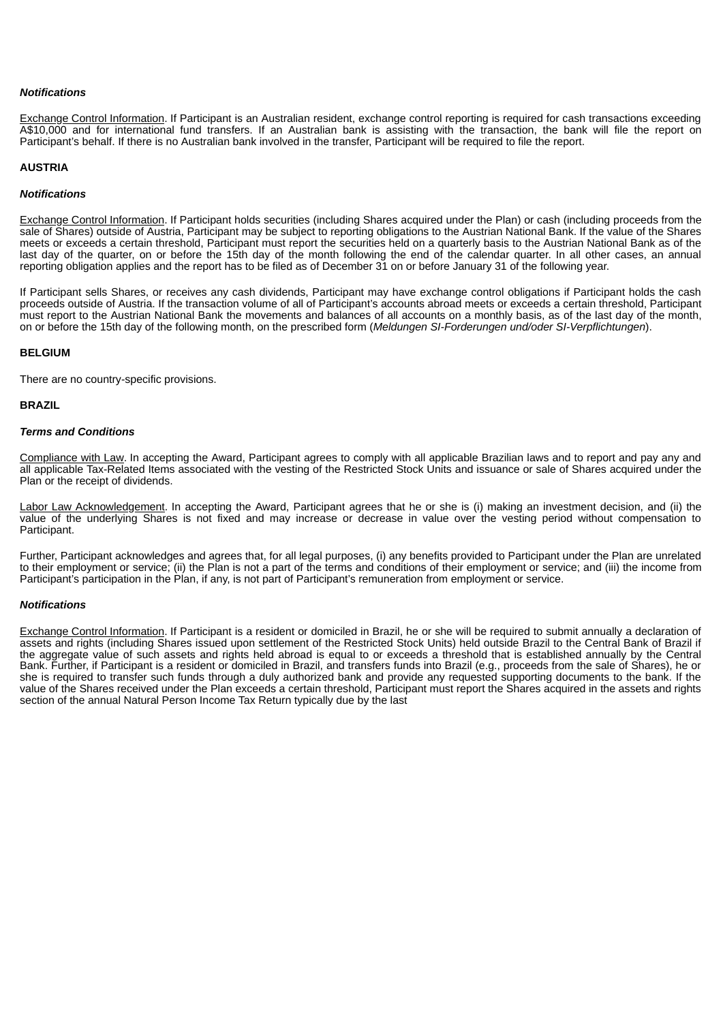#### *Notifications*

Exchange Control Information. If Participant is an Australian resident, exchange control reporting is required for cash transactions exceeding A\$10,000 and for international fund transfers. If an Australian bank is assisting with the transaction, the bank will file the report on Participant's behalf. If there is no Australian bank involved in the transfer, Participant will be required to file the report.

#### **AUSTRIA**

## *Notifications*

Exchange Control Information. If Participant holds securities (including Shares acquired under the Plan) or cash (including proceeds from the sale of Shares) outside of Austria, Participant may be subject to reporting obligations to the Austrian National Bank. If the value of the Shares meets or exceeds a certain threshold, Participant must report the securities held on a quarterly basis to the Austrian National Bank as of the last day of the quarter, on or before the 15th day of the month following the end of the calendar quarter. In all other cases, an annual reporting obligation applies and the report has to be filed as of December 31 on or before January 31 of the following year.

If Participant sells Shares, or receives any cash dividends, Participant may have exchange control obligations if Participant holds the cash proceeds outside of Austria. If the transaction volume of all of Participant's accounts abroad meets or exceeds a certain threshold, Participant must report to the Austrian National Bank the movements and balances of all accounts on a monthly basis, as of the last day of the month, on or before the 15th day of the following month, on the prescribed form (*Meldungen SI-Forderungen und/oder SI-Verpflichtungen*).

## **BELGIUM**

There are no country-specific provisions.

## **BRAZIL**

### *Terms and Conditions*

Compliance with Law. In accepting the Award, Participant agrees to comply with all applicable Brazilian laws and to report and pay any and all applicable Tax-Related Items associated with the vesting of the Restricted Stock Units and issuance or sale of Shares acquired under the Plan or the receipt of dividends.

Labor Law Acknowledgement. In accepting the Award, Participant agrees that he or she is (i) making an investment decision, and (ii) the value of the underlying Shares is not fixed and may increase or decrease in value over the vesting period without compensation to Participant.

Further, Participant acknowledges and agrees that, for all legal purposes, (i) any benefits provided to Participant under the Plan are unrelated to their employment or service; (ii) the Plan is not a part of the terms and conditions of their employment or service; and (iii) the income from Participant's participation in the Plan, if any, is not part of Participant's remuneration from employment or service.

# *Notifications*

Exchange Control Information. If Participant is a resident or domiciled in Brazil, he or she will be required to submit annually a declaration of assets and rights (including Shares issued upon settlement of the Restricted Stock Units) held outside Brazil to the Central Bank of Brazil if the aggregate value of such assets and rights held abroad is equal to or exceeds a threshold that is established annually by the Central Bank. Further, if Participant is a resident or domiciled in Brazil, and transfers funds into Brazil (e.g., proceeds from the sale of Shares), he or she is required to transfer such funds through a duly authorized bank and provide any requested supporting documents to the bank. If the value of the Shares received under the Plan exceeds a certain threshold, Participant must report the Shares acquired in the assets and rights section of the annual Natural Person Income Tax Return typically due by the last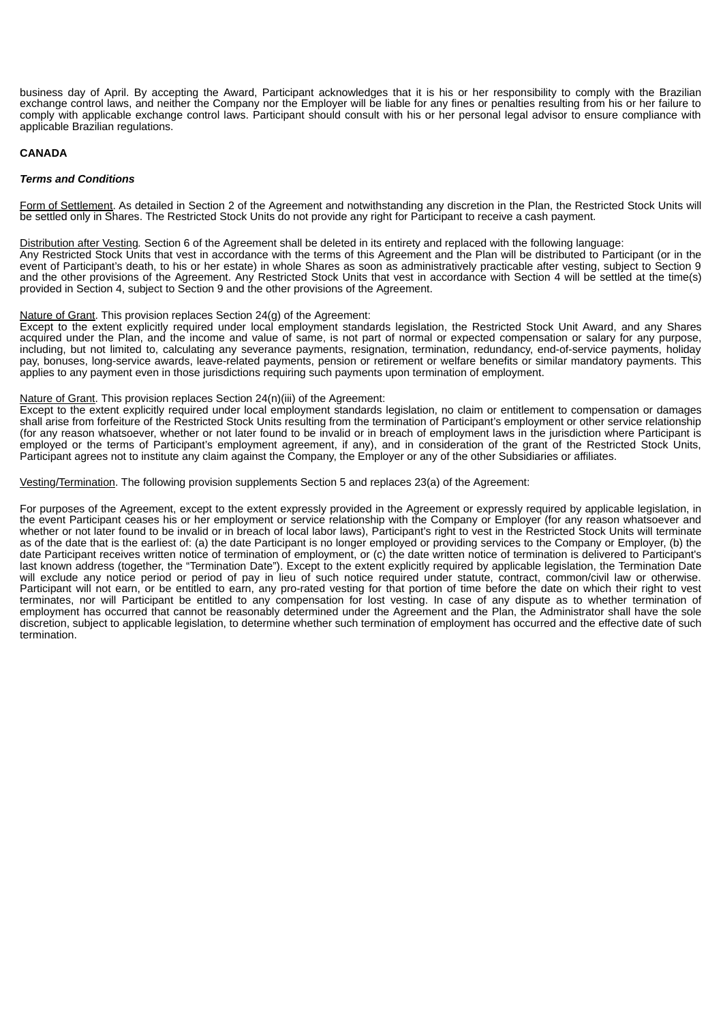business day of April. By accepting the Award, Participant acknowledges that it is his or her responsibility to comply with the Brazilian exchange control laws, and neither the Company nor the Employer will be liable for any fines or penalties resulting from his or her failure to comply with applicable exchange control laws. Participant should consult with his or her personal legal advisor to ensure compliance with applicable Brazilian regulations.

## **CANADA**

#### *Terms and Conditions*

Form of Settlement. As detailed in Section 2 of the Agreement and notwithstanding any discretion in the Plan, the Restricted Stock Units will be settled only in Shares. The Restricted Stock Units do not provide any right for Participant to receive a cash payment.

Distribution after Vesting*.* Section 6 of the Agreement shall be deleted in its entirety and replaced with the following language: Any Restricted Stock Units that vest in accordance with the terms of this Agreement and the Plan will be distributed to Participant (or in the event of Participant's death, to his or her estate) in whole Shares as soon as administratively practicable after vesting, subject to Section 9 and the other provisions of the Agreement. Any Restricted Stock Units that vest in accordance with Section 4 will be settled at the time(s)

# Nature of Grant. This provision replaces Section 24(g) of the Agreement:

provided in Section 4, subject to Section 9 and the other provisions of the Agreement.

Except to the extent explicitly required under local employment standards legislation, the Restricted Stock Unit Award, and any Shares acquired under the Plan, and the income and value of same, is not part of normal or expected compensation or salary for any purpose, including, but not limited to, calculating any severance payments, resignation, termination, redundancy, end-of-service payments, holiday pay, bonuses, long-service awards, leave-related payments, pension or retirement or welfare benefits or similar mandatory payments. This applies to any payment even in those jurisdictions requiring such payments upon termination of employment.

#### Nature of Grant. This provision replaces Section 24(n)(iii) of the Agreement:

Except to the extent explicitly required under local employment standards legislation, no claim or entitlement to compensation or damages shall arise from forfeiture of the Restricted Stock Units resulting from the termination of Participant's employment or other service relationship (for any reason whatsoever, whether or not later found to be invalid or in breach of employment laws in the jurisdiction where Participant is employed or the terms of Participant's employment agreement, if any), and in consideration of the grant of the Restricted Stock Units, Participant agrees not to institute any claim against the Company, the Employer or any of the other Subsidiaries or affiliates.

Vesting/Termination. The following provision supplements Section 5 and replaces 23(a) of the Agreement:

For purposes of the Agreement, except to the extent expressly provided in the Agreement or expressly required by applicable legislation, in the event Participant ceases his or her employment or service relationship with the Company or Employer (for any reason whatsoever and whether or not later found to be invalid or in breach of local labor laws), Participant's right to vest in the Restricted Stock Units will terminate as of the date that is the earliest of: (a) the date Participant is no longer employed or providing services to the Company or Employer, (b) the date Participant receives written notice of termination of employment, or (c) the date written notice of termination is delivered to Participant's last known address (together, the "Termination Date"). Except to the extent explicitly required by applicable legislation, the Termination Date will exclude any notice period or period of pay in lieu of such notice required under statute, contract, common/civil law or otherwise. Participant will not earn, or be entitled to earn, any pro-rated vesting for that portion of time before the date on which their right to vest terminates, nor will Participant be entitled to any compensation for lost vesting. In case of any dispute as to whether termination of employment has occurred that cannot be reasonably determined under the Agreement and the Plan, the Administrator shall have the sole discretion, subject to applicable legislation, to determine whether such termination of employment has occurred and the effective date of such termination.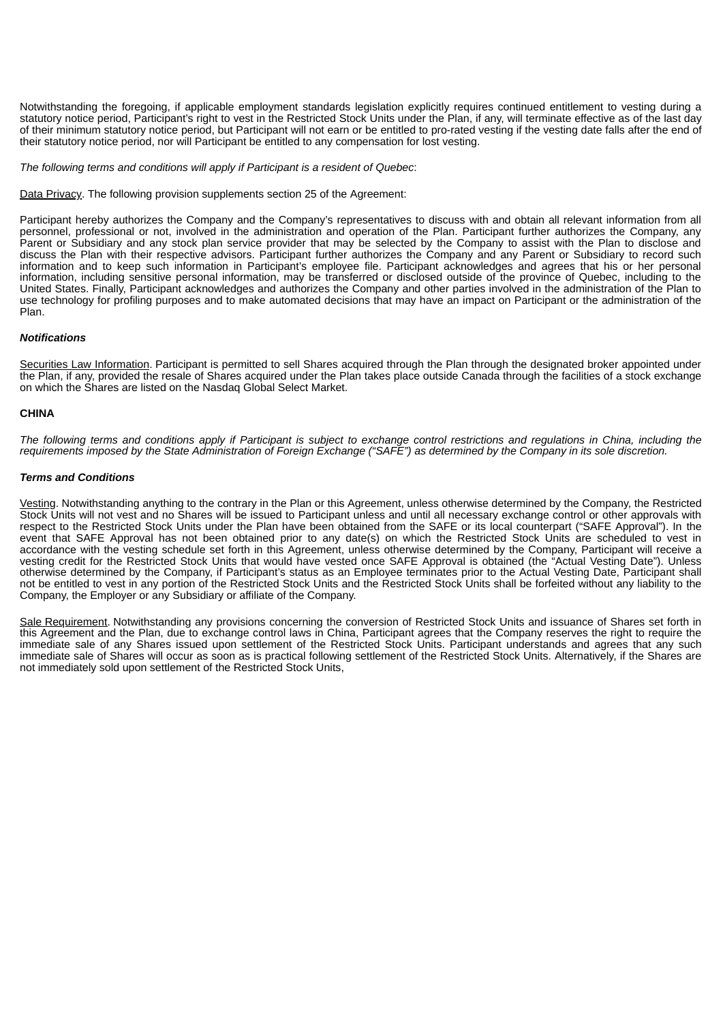Notwithstanding the foregoing, if applicable employment standards legislation explicitly requires continued entitlement to vesting during a statutory notice period, Participant's right to vest in the Restricted Stock Units under the Plan, if any, will terminate effective as of the last day of their minimum statutory notice period, but Participant will not earn or be entitled to pro-rated vesting if the vesting date falls after the end of their statutory notice period, nor will Participant be entitled to any compensation for lost vesting.

*The following terms and conditions will apply if Participant is a resident of Quebec*:

Data Privacy. The following provision supplements section 25 of the Agreement:

Participant hereby authorizes the Company and the Company's representatives to discuss with and obtain all relevant information from all personnel, professional or not, involved in the administration and operation of the Plan. Participant further authorizes the Company, any Parent or Subsidiary and any stock plan service provider that may be selected by the Company to assist with the Plan to disclose and discuss the Plan with their respective advisors. Participant further authorizes the Company and any Parent or Subsidiary to record such information and to keep such information in Participant's employee file. Participant acknowledges and agrees that his or her personal information, including sensitive personal information, may be transferred or disclosed outside of the province of Quebec, including to the United States. Finally, Participant acknowledges and authorizes the Company and other parties involved in the administration of the Plan to use technology for profiling purposes and to make automated decisions that may have an impact on Participant or the administration of the Plan.

# *Notifications*

Securities Law Information. Participant is permitted to sell Shares acquired through the Plan through the designated broker appointed under the Plan, if any, provided the resale of Shares acquired under the Plan takes place outside Canada through the facilities of a stock exchange on which the Shares are listed on the Nasdaq Global Select Market.

# **CHINA**

The following terms and conditions apply if Participant is subject to exchange control restrictions and regulations in China, including the requirements imposed by the State Administration of Foreign Exchange ("SAFE") as determined by the Company in its sole discretion.

# *Terms and Conditions*

Vesting. Notwithstanding anything to the contrary in the Plan or this Agreement, unless otherwise determined by the Company, the Restricted Stock Units will not vest and no Shares will be issued to Participant unless and until all necessary exchange control or other approvals with respect to the Restricted Stock Units under the Plan have been obtained from the SAFE or its local counterpart ("SAFE Approval"). In the event that SAFE Approval has not been obtained prior to any date(s) on which the Restricted Stock Units are scheduled to vest in accordance with the vesting schedule set forth in this Agreement, unless otherwise determined by the Company, Participant will receive a vesting credit for the Restricted Stock Units that would have vested once SAFE Approval is obtained (the "Actual Vesting Date"). Unless otherwise determined by the Company, if Participant's status as an Employee terminates prior to the Actual Vesting Date, Participant shall not be entitled to vest in any portion of the Restricted Stock Units and the Restricted Stock Units shall be forfeited without any liability to the Company, the Employer or any Subsidiary or affiliate of the Company.

Sale Requirement. Notwithstanding any provisions concerning the conversion of Restricted Stock Units and issuance of Shares set forth in this Agreement and the Plan, due to exchange control laws in China, Participant agrees that the Company reserves the right to require the immediate sale of any Shares issued upon settlement of the Restricted Stock Units. Participant understands and agrees that any such immediate sale of Shares will occur as soon as is practical following settlement of the Restricted Stock Units. Alternatively, if the Shares are not immediately sold upon settlement of the Restricted Stock Units,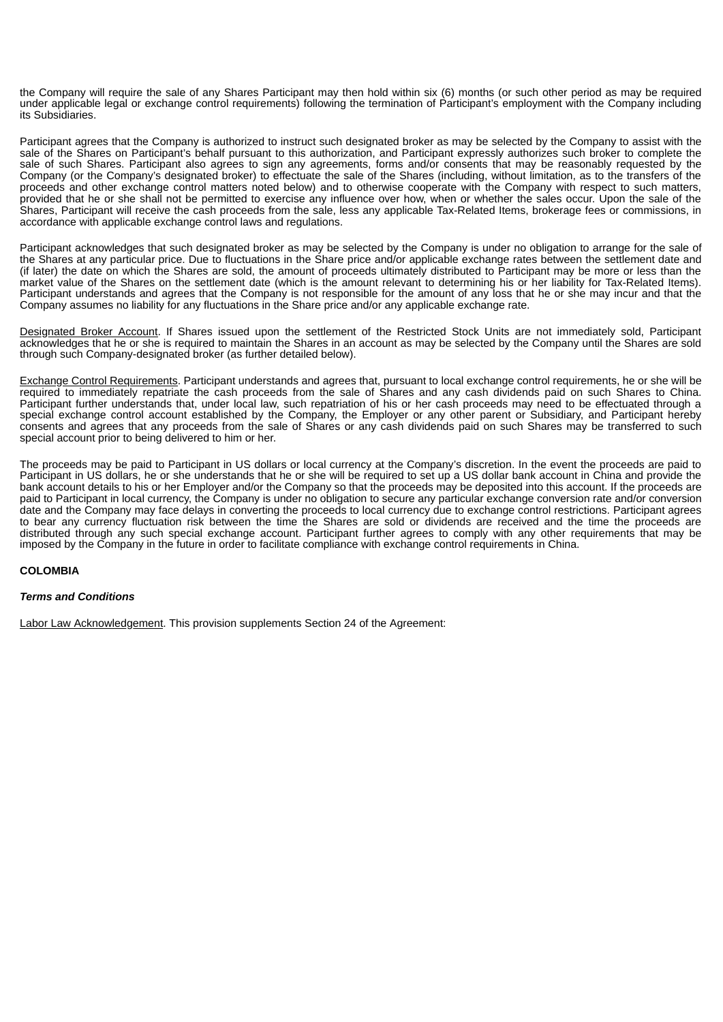the Company will require the sale of any Shares Participant may then hold within six (6) months (or such other period as may be required under applicable legal or exchange control requirements) following the termination of Participant's employment with the Company including its Subsidiaries.

Participant agrees that the Company is authorized to instruct such designated broker as may be selected by the Company to assist with the sale of the Shares on Participant's behalf pursuant to this authorization, and Participant expressly authorizes such broker to complete the sale of such Shares. Participant also agrees to sign any agreements, forms and/or consents that may be reasonably requested by the Company (or the Company's designated broker) to effectuate the sale of the Shares (including, without limitation, as to the transfers of the proceeds and other exchange control matters noted below) and to otherwise cooperate with the Company with respect to such matters, provided that he or she shall not be permitted to exercise any influence over how, when or whether the sales occur. Upon the sale of the Shares, Participant will receive the cash proceeds from the sale, less any applicable Tax-Related Items, brokerage fees or commissions, in accordance with applicable exchange control laws and regulations.

Participant acknowledges that such designated broker as may be selected by the Company is under no obligation to arrange for the sale of the Shares at any particular price. Due to fluctuations in the Share price and/or applicable exchange rates between the settlement date and (if later) the date on which the Shares are sold, the amount of proceeds ultimately distributed to Participant may be more or less than the market value of the Shares on the settlement date (which is the amount relevant to determining his or her liability for Tax-Related Items). Participant understands and agrees that the Company is not responsible for the amount of any loss that he or she may incur and that the Company assumes no liability for any fluctuations in the Share price and/or any applicable exchange rate.

Designated Broker Account. If Shares issued upon the settlement of the Restricted Stock Units are not immediately sold, Participant acknowledges that he or she is required to maintain the Shares in an account as may be selected by the Company until the Shares are sold through such Company-designated broker (as further detailed below).

Exchange Control Requirements. Participant understands and agrees that, pursuant to local exchange control requirements, he or she will be required to immediately repatriate the cash proceeds from the sale of Shares and any cash dividends paid on such Shares to China. Participant further understands that, under local law, such repatriation of his or her cash proceeds may need to be effectuated through a special exchange control account established by the Company, the Employer or any other parent or Subsidiary, and Participant hereby consents and agrees that any proceeds from the sale of Shares or any cash dividends paid on such Shares may be transferred to such special account prior to being delivered to him or her.

The proceeds may be paid to Participant in US dollars or local currency at the Company's discretion. In the event the proceeds are paid to Participant in US dollars, he or she understands that he or she will be required to set up a US dollar bank account in China and provide the bank account details to his or her Employer and/or the Company so that the proceeds may be deposited into this account. If the proceeds are paid to Participant in local currency, the Company is under no obligation to secure any particular exchange conversion rate and/or conversion date and the Company may face delays in converting the proceeds to local currency due to exchange control restrictions. Participant agrees to bear any currency fluctuation risk between the time the Shares are sold or dividends are received and the time the proceeds are distributed through any such special exchange account. Participant further agrees to comply with any other requirements that may be imposed by the Company in the future in order to facilitate compliance with exchange control requirements in China.

# **COLOMBIA**

# *Terms and Conditions*

Labor Law Acknowledgement. This provision supplements Section 24 of the Agreement: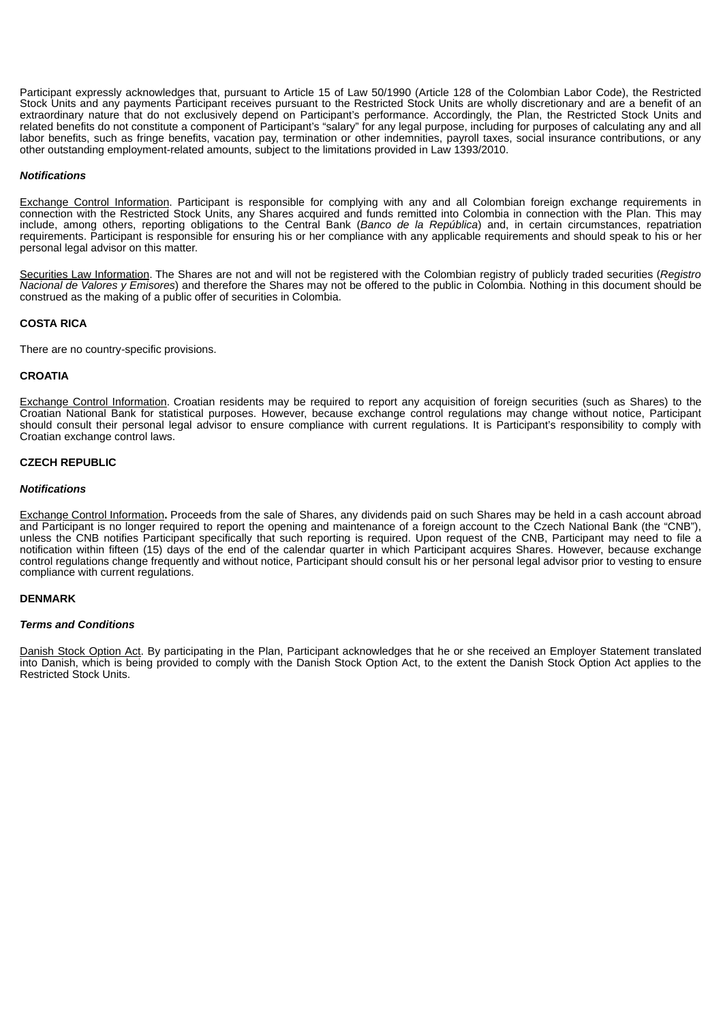Participant expressly acknowledges that, pursuant to Article 15 of Law 50/1990 (Article 128 of the Colombian Labor Code), the Restricted Stock Units and any payments Participant receives pursuant to the Restricted Stock Units are wholly discretionary and are a benefit of an extraordinary nature that do not exclusively depend on Participant's performance. Accordingly, the Plan, the Restricted Stock Units and related benefits do not constitute a component of Participant's "salary" for any legal purpose, including for purposes of calculating any and all labor benefits, such as fringe benefits, vacation pay, termination or other indemnities, payroll taxes, social insurance contributions, or any other outstanding employment-related amounts, subject to the limitations provided in Law 1393/2010.

# *Notifications*

Exchange Control Information. Participant is responsible for complying with any and all Colombian foreign exchange requirements in connection with the Restricted Stock Units, any Shares acquired and funds remitted into Colombia in connection with the Plan. This may include, among others, reporting obligations to the Central Bank (*Banco de la República*) and, in certain circumstances, repatriation requirements. Participant is responsible for ensuring his or her compliance with any applicable requirements and should speak to his or her personal legal advisor on this matter.

Securities Law Information. The Shares are not and will not be registered with the Colombian registry of publicly traded securities (*Registro Nacional de Valores y Emisores*) and therefore the Shares may not be offered to the public in Colombia. Nothing in this document should be construed as the making of a public offer of securities in Colombia.

## **COSTA RICA**

There are no country-specific provisions.

#### **CROATIA**

Exchange Control Information. Croatian residents may be required to report any acquisition of foreign securities (such as Shares) to the Croatian National Bank for statistical purposes. However, because exchange control regulations may change without notice, Participant should consult their personal legal advisor to ensure compliance with current regulations. It is Participant's responsibility to comply with Croatian exchange control laws.

## **CZECH REPUBLIC**

#### *Notifications*

Exchange Control Information**.** Proceeds from the sale of Shares, any dividends paid on such Shares may be held in a cash account abroad and Participant is no longer required to report the opening and maintenance of a foreign account to the Czech National Bank (the "CNB"), unless the CNB notifies Participant specifically that such reporting is required. Upon request of the CNB, Participant may need to file a notification within fifteen (15) days of the end of the calendar quarter in which Participant acquires Shares. However, because exchange control regulations change frequently and without notice, Participant should consult his or her personal legal advisor prior to vesting to ensure compliance with current regulations.

#### **DENMARK**

#### *Terms and Conditions*

Danish Stock Option Act. By participating in the Plan, Participant acknowledges that he or she received an Employer Statement translated into Danish, which is being provided to comply with the Danish Stock Option Act, to the extent the Danish Stock Option Act applies to the Restricted Stock Units.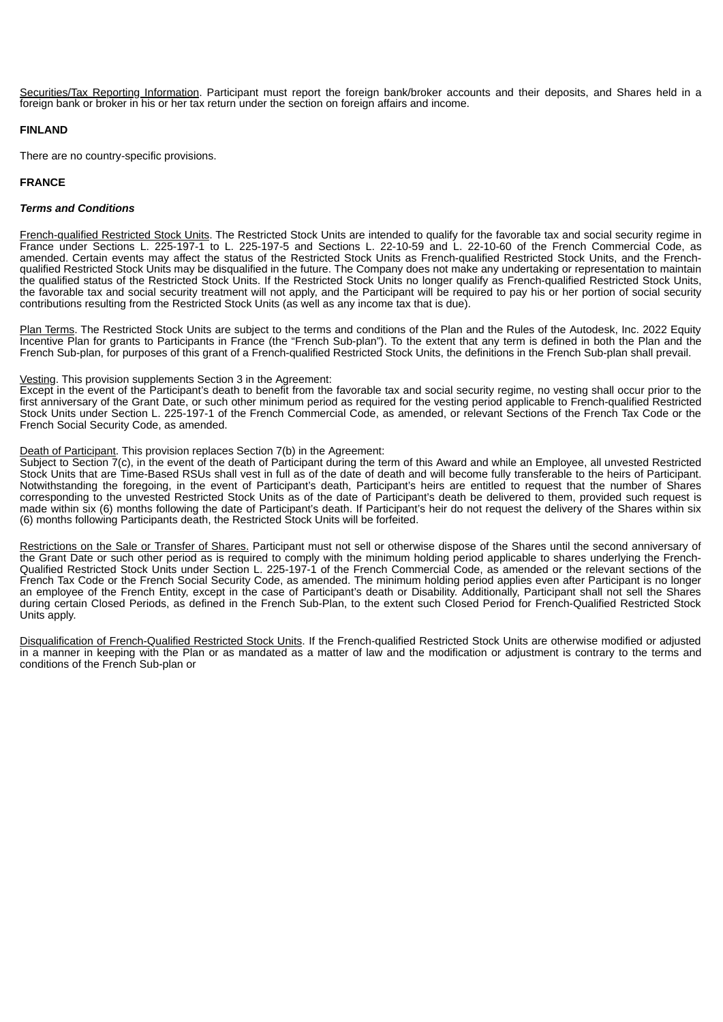Securities/Tax Reporting Information. Participant must report the foreign bank/broker accounts and their deposits, and Shares held in a foreign bank or broker in his or her tax return under the section on foreign affairs and income.

# **FINLAND**

There are no country-specific provisions.

# **FRANCE**

# *Terms and Conditions*

French-qualified Restricted Stock Units. The Restricted Stock Units are intended to qualify for the favorable tax and social security regime in France under Sections L. 225-197-1 to L. 225-197-5 and Sections L. 22-10-59 and L. 22-10-60 of the French Commercial Code, as amended. Certain events may affect the status of the Restricted Stock Units as French-qualified Restricted Stock Units, and the Frenchqualified Restricted Stock Units may be disqualified in the future. The Company does not make any undertaking or representation to maintain the qualified status of the Restricted Stock Units. If the Restricted Stock Units no longer qualify as French-qualified Restricted Stock Units, the favorable tax and social security treatment will not apply, and the Participant will be required to pay his or her portion of social security contributions resulting from the Restricted Stock Units (as well as any income tax that is due).

Plan Terms. The Restricted Stock Units are subject to the terms and conditions of the Plan and the Rules of the Autodesk, Inc. 2022 Equity Incentive Plan for grants to Participants in France (the "French Sub-plan"). To the extent that any term is defined in both the Plan and the French Sub-plan, for purposes of this grant of a French-qualified Restricted Stock Units, the definitions in the French Sub-plan shall prevail.

# Vesting. This provision supplements Section 3 in the Agreement:

Except in the event of the Participant's death to benefit from the favorable tax and social security regime, no vesting shall occur prior to the first anniversary of the Grant Date, or such other minimum period as required for the vesting period applicable to French-qualified Restricted Stock Units under Section L. 225-197-1 of the French Commercial Code, as amended, or relevant Sections of the French Tax Code or the French Social Security Code, as amended.

# Death of Participant. This provision replaces Section 7(b) in the Agreement:

Subject to Section 7(c), in the event of the death of Participant during the term of this Award and while an Employee, all unvested Restricted Stock Units that are Time-Based RSUs shall vest in full as of the date of death and will become fully transferable to the heirs of Participant. Notwithstanding the foregoing, in the event of Participant's death, Participant's heirs are entitled to request that the number of Shares corresponding to the unvested Restricted Stock Units as of the date of Participant's death be delivered to them, provided such request is made within six (6) months following the date of Participant's death. If Participant's heir do not request the delivery of the Shares within six (6) months following Participants death, the Restricted Stock Units will be forfeited.

Restrictions on the Sale or Transfer of Shares. Participant must not sell or otherwise dispose of the Shares until the second anniversary of the Grant Date or such other period as is required to comply with the minimum holding period applicable to shares underlying the French-Qualified Restricted Stock Units under Section L. 225-197-1 of the French Commercial Code, as amended or the relevant sections of the French Tax Code or the French Social Security Code, as amended. The minimum holding period applies even after Participant is no longer an employee of the French Entity, except in the case of Participant's death or Disability. Additionally, Participant shall not sell the Shares during certain Closed Periods, as defined in the French Sub-Plan, to the extent such Closed Period for French-Qualified Restricted Stock Units apply.

Disqualification of French-Qualified Restricted Stock Units. If the French-qualified Restricted Stock Units are otherwise modified or adjusted in a manner in keeping with the Plan or as mandated as a matter of law and the modification or adjustment is contrary to the terms and conditions of the French Sub-plan or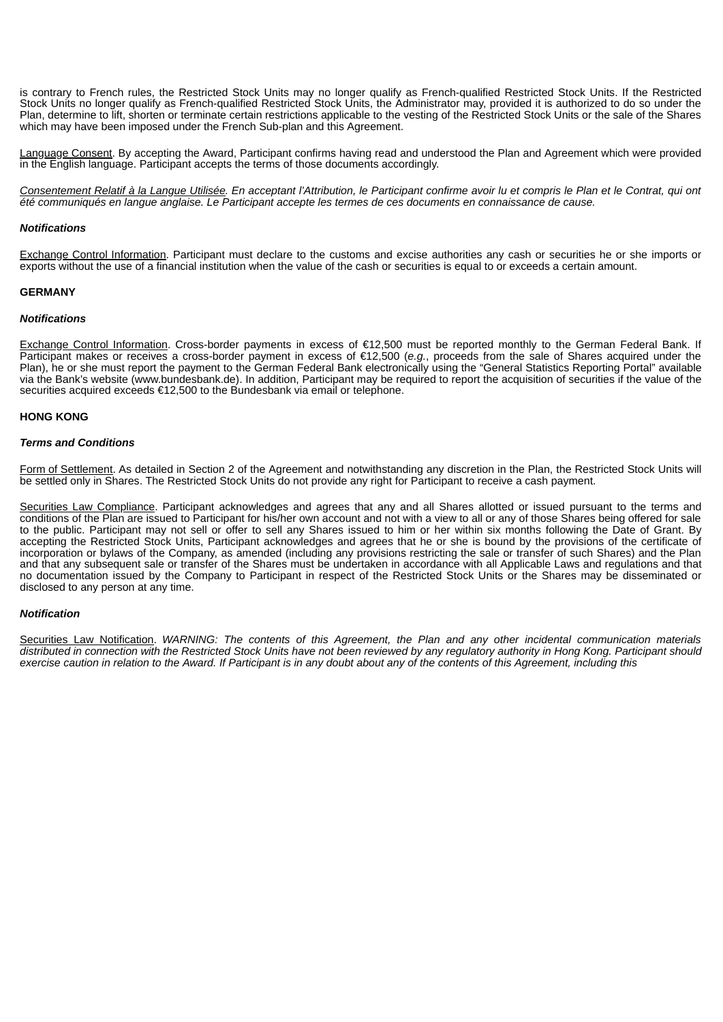is contrary to French rules, the Restricted Stock Units may no longer qualify as French-qualified Restricted Stock Units. If the Restricted Stock Units no longer qualify as French-qualified Restricted Stock Units, the Administrator may, provided it is authorized to do so under the Plan, determine to lift, shorten or terminate certain restrictions applicable to the vesting of the Restricted Stock Units or the sale of the Shares which may have been imposed under the French Sub-plan and this Agreement.

Language Consent. By accepting the Award, Participant confirms having read and understood the Plan and Agreement which were provided in the English language. Participant accepts the terms of those documents accordingly.

Consentement Relatif à la Langue Utilisée. En acceptant l'Attribution, le Participant confirme avoir lu et compris le Plan et le Contrat, qui ont eté communiqués en langue anglaise. Le Participant accepte les termes de ces documents en connaissance de cause.

## *Notifications*

Exchange Control Information. Participant must declare to the customs and excise authorities any cash or securities he or she imports or exports without the use of a financial institution when the value of the cash or securities is equal to or exceeds a certain amount.

## **GERMANY**

#### *Notifications*

Exchange Control Information. Cross-border payments in excess of €12,500 must be reported monthly to the German Federal Bank. If Participant makes or receives a cross-border payment in excess of €12,500 (*e.g.*, proceeds from the sale of Shares acquired under the Plan), he or she must report the payment to the German Federal Bank electronically using the "General Statistics Reporting Portal" available via the Bank's website (www.bundesbank.de). In addition, Participant may be required to report the acquisition of securities if the value of the securities acquired exceeds €12,500 to the Bundesbank via email or telephone.

## **HONG KONG**

## *Terms and Conditions*

Form of Settlement. As detailed in Section 2 of the Agreement and notwithstanding any discretion in the Plan, the Restricted Stock Units will be settled only in Shares. The Restricted Stock Units do not provide any right for Participant to receive a cash payment.

Securities Law Compliance. Participant acknowledges and agrees that any and all Shares allotted or issued pursuant to the terms and conditions of the Plan are issued to Participant for his/her own account and not with a view to all or any of those Shares being offered for sale to the public. Participant may not sell or offer to sell any Shares issued to him or her within six months following the Date of Grant. By accepting the Restricted Stock Units, Participant acknowledges and agrees that he or she is bound by the provisions of the certificate of incorporation or bylaws of the Company, as amended (including any provisions restricting the sale or transfer of such Shares) and the Plan and that any subsequent sale or transfer of the Shares must be undertaken in accordance with all Applicable Laws and regulations and that no documentation issued by the Company to Participant in respect of the Restricted Stock Units or the Shares may be disseminated or disclosed to any person at any time.

# *Notification*

Securities Law Notification. WARNING: The contents of this Agreement, the Plan and any other incidental communication materials distributed in connection with the Restricted Stock Units have not been reviewed by any regulatory authority in Hong Kong. Participant should exercise caution in relation to the Award. If Participant is in any doubt about any of the contents of this Agreement, including this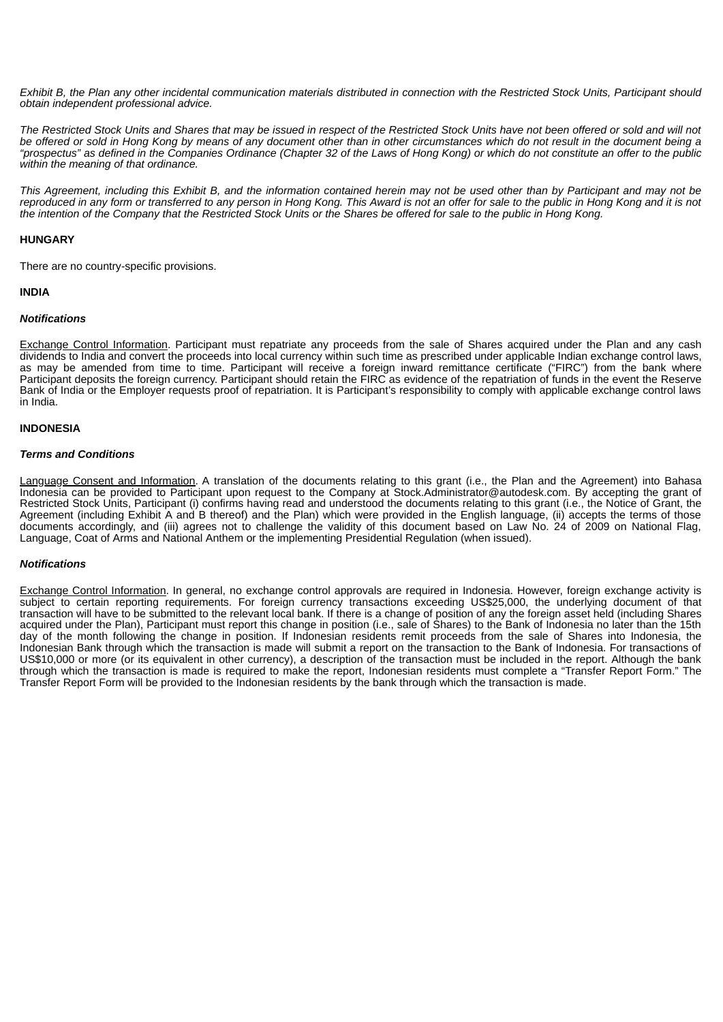Exhibit B, the Plan any other incidental communication materials distributed in connection with the Restricted Stock Units, Participant should *obtain independent professional advice.*

The Restricted Stock Units and Shares that may be issued in respect of the Restricted Stock Units have not been offered or sold and will not be offered or sold in Hong Kong by means of any document other than in other circumstances which do not result in the document being a "prospectus" as defined in the Companies Ordinance (Chapter 32 of the Laws of Hong Kong) or which do not constitute an offer to the public *within the meaning of that ordinance.*

This Agreement, including this Exhibit B, and the information contained herein may not be used other than by Participant and may not be reproduced in any form or transferred to any person in Hong Kong. This Award is not an offer for sale to the public in Hong Kong and it is not the intention of the Company that the Restricted Stock Units or the Shares be offered for sale to the public in Hong Kong.

# **HUNGARY**

There are no country-specific provisions.

# **INDIA**

## *Notifications*

Exchange Control Information. Participant must repatriate any proceeds from the sale of Shares acquired under the Plan and any cash dividends to India and convert the proceeds into local currency within such time as prescribed under applicable Indian exchange control laws, as may be amended from time to time. Participant will receive a foreign inward remittance certificate ("FIRC") from the bank where Participant deposits the foreign currency. Participant should retain the FIRC as evidence of the repatriation of funds in the event the Reserve Bank of India or the Employer requests proof of repatriation. It is Participant's responsibility to comply with applicable exchange control laws in India.

## **INDONESIA**

## *Terms and Conditions*

Language Consent and Information. A translation of the documents relating to this grant (i.e., the Plan and the Agreement) into Bahasa Indonesia can be provided to Participant upon request to the Company at Stock.Administrator@autodesk.com. By accepting the grant of Restricted Stock Units, Participant (i) confirms having read and understood the documents relating to this grant (i.e., the Notice of Grant, the Agreement (including Exhibit A and B thereof) and the Plan) which were provided in the English language, (ii) accepts the terms of those documents accordingly, and (iii) agrees not to challenge the validity of this document based on Law No. 24 of 2009 on National Flag, Language, Coat of Arms and National Anthem or the implementing Presidential Regulation (when issued).

#### *Notifications*

Exchange Control Information. In general, no exchange control approvals are required in Indonesia. However, foreign exchange activity is subject to certain reporting requirements. For foreign currency transactions exceeding US\$25,000, the underlying document of that transaction will have to be submitted to the relevant local bank. If there is a change of position of any the foreign asset held (including Shares acquired under the Plan), Participant must report this change in position (i.e., sale of Shares) to the Bank of Indonesia no later than the 15th day of the month following the change in position. If Indonesian residents remit proceeds from the sale of Shares into Indonesia, the Indonesian Bank through which the transaction is made will submit a report on the transaction to the Bank of Indonesia. For transactions of US\$10,000 or more (or its equivalent in other currency), a description of the transaction must be included in the report. Although the bank through which the transaction is made is required to make the report, Indonesian residents must complete a "Transfer Report Form." The Transfer Report Form will be provided to the Indonesian residents by the bank through which the transaction is made.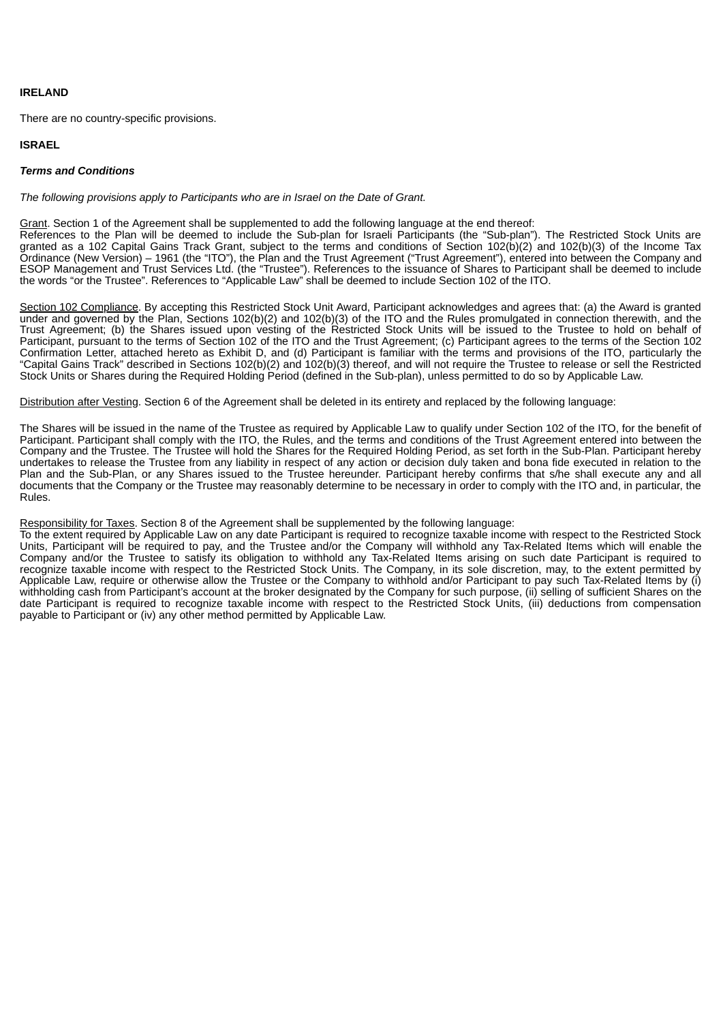## **IRELAND**

There are no country-specific provisions.

# **ISRAEL**

## *Terms and Conditions*

*The following provisions apply to Participants who are in Israel on the Date of Grant.*

Grant. Section 1 of the Agreement shall be supplemented to add the following language at the end thereof:

References to the Plan will be deemed to include the Sub-plan for Israeli Participants (the "Sub-plan"). The Restricted Stock Units are granted as a 102 Capital Gains Track Grant, subject to the terms and conditions of Section 102(b)(2) and 102(b)(3) of the Income Tax Ordinance (New Version) – 1961 (the "ITO"), the Plan and the Trust Agreement ("Trust Agreement"), entered into between the Company and ESOP Management and Trust Services Ltd. (the "Trustee"). References to the issuance of Shares to Participant shall be deemed to include the words "or the Trustee". References to "Applicable Law" shall be deemed to include Section 102 of the ITO.

Section 102 Compliance. By accepting this Restricted Stock Unit Award, Participant acknowledges and agrees that: (a) the Award is granted under and governed by the Plan, Sections 102(b)(2) and 102(b)(3) of the ITO and the Rules promulgated in connection therewith, and the Trust Agreement; (b) the Shares issued upon vesting of the Restricted Stock Units will be issued to the Trustee to hold on behalf of Participant, pursuant to the terms of Section 102 of the ITO and the Trust Agreement; (c) Participant agrees to the terms of the Section 102 Confirmation Letter, attached hereto as Exhibit D, and (d) Participant is familiar with the terms and provisions of the ITO, particularly the "Capital Gains Track" described in Sections 102(b)(2) and 102(b)(3) thereof, and will not require the Trustee to release or sell the Restricted Stock Units or Shares during the Required Holding Period (defined in the Sub-plan), unless permitted to do so by Applicable Law.

Distribution after Vesting. Section 6 of the Agreement shall be deleted in its entirety and replaced by the following language:

The Shares will be issued in the name of the Trustee as required by Applicable Law to qualify under Section 102 of the ITO, for the benefit of Participant. Participant shall comply with the ITO, the Rules, and the terms and conditions of the Trust Agreement entered into between the Company and the Trustee. The Trustee will hold the Shares for the Required Holding Period, as set forth in the Sub-Plan. Participant hereby undertakes to release the Trustee from any liability in respect of any action or decision duly taken and bona fide executed in relation to the Plan and the Sub-Plan, or any Shares issued to the Trustee hereunder. Participant hereby confirms that s/he shall execute any and all documents that the Company or the Trustee may reasonably determine to be necessary in order to comply with the ITO and, in particular, the Rules.

Responsibility for Taxes. Section 8 of the Agreement shall be supplemented by the following language:

To the extent required by Applicable Law on any date Participant is required to recognize taxable income with respect to the Restricted Stock Units, Participant will be required to pay, and the Trustee and/or the Company will withhold any Tax-Related Items which will enable the Company and/or the Trustee to satisfy its obligation to withhold any Tax-Related Items arising on such date Participant is required to recognize taxable income with respect to the Restricted Stock Units. The Company, in its sole discretion, may, to the extent permitted by Applicable Law, require or otherwise allow the Trustee or the Company to withhold and/or Participant to pay such Tax-Related Items by (i) withholding cash from Participant's account at the broker designated by the Company for such purpose, (ii) selling of sufficient Shares on the date Participant is required to recognize taxable income with respect to the Restricted Stock Units, (iii) deductions from compensation payable to Participant or (iv) any other method permitted by Applicable Law.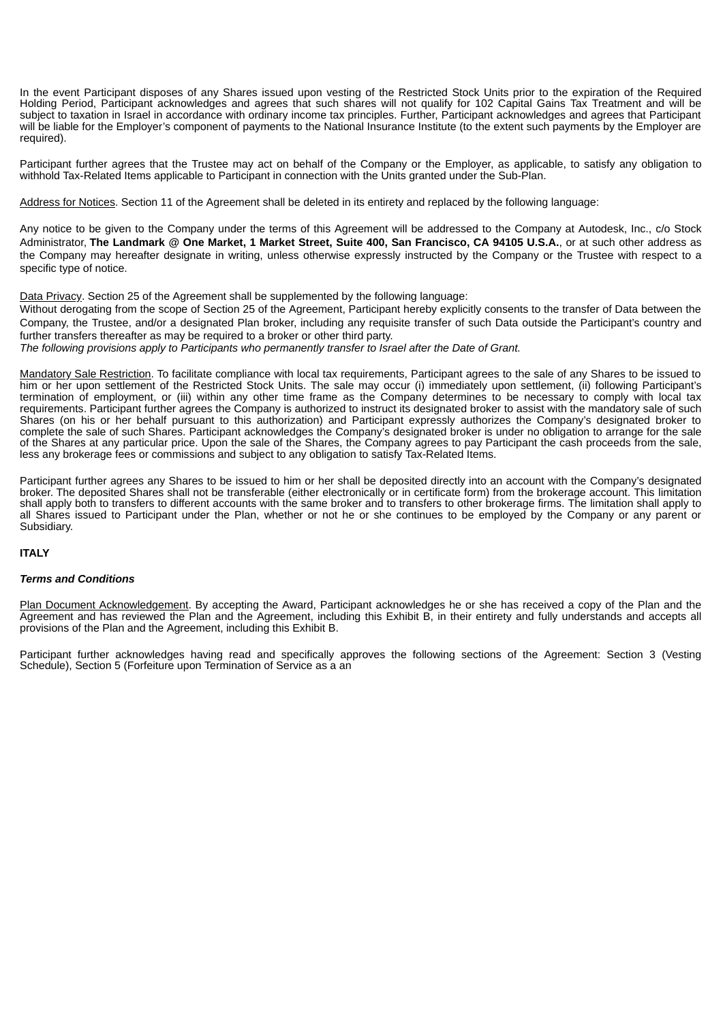In the event Participant disposes of any Shares issued upon vesting of the Restricted Stock Units prior to the expiration of the Required Holding Period, Participant acknowledges and agrees that such shares will not qualify for 102 Capital Gains Tax Treatment and will be subject to taxation in Israel in accordance with ordinary income tax principles. Further, Participant acknowledges and agrees that Participant will be liable for the Employer's component of payments to the National Insurance Institute (to the extent such payments by the Employer are required).

Participant further agrees that the Trustee may act on behalf of the Company or the Employer, as applicable, to satisfy any obligation to withhold Tax-Related Items applicable to Participant in connection with the Units granted under the Sub-Plan.

Address for Notices. Section 11 of the Agreement shall be deleted in its entirety and replaced by the following language:

Any notice to be given to the Company under the terms of this Agreement will be addressed to the Company at Autodesk, Inc., c/o Stock Administrator. The Landmark @ One Market, 1 Market Street, Suite 400, San Francisco, CA 94105 U.S.A., or at such other address as the Company may hereafter designate in writing, unless otherwise expressly instructed by the Company or the Trustee with respect to a specific type of notice.

Data Privacy. Section 25 of the Agreement shall be supplemented by the following language:

Without derogating from the scope of Section 25 of the Agreement, Participant hereby explicitly consents to the transfer of Data between the Company, the Trustee, and/or a designated Plan broker, including any requisite transfer of such Data outside the Participant's country and further transfers thereafter as may be required to a broker or other third party.

*The following provisions apply to Participants who permanently transfer to Israel after the Date of Grant.*

Mandatory Sale Restriction. To facilitate compliance with local tax requirements, Participant agrees to the sale of any Shares to be issued to him or her upon settlement of the Restricted Stock Units. The sale may occur (i) immediately upon settlement, (ii) following Participant's termination of employment, or (iii) within any other time frame as the Company determines to be necessary to comply with local tax requirements. Participant further agrees the Company is authorized to instruct its designated broker to assist with the mandatory sale of such Shares (on his or her behalf pursuant to this authorization) and Participant expressly authorizes the Company's designated broker to complete the sale of such Shares. Participant acknowledges the Company's designated broker is under no obligation to arrange for the sale of the Shares at any particular price. Upon the sale of the Shares, the Company agrees to pay Participant the cash proceeds from the sale, less any brokerage fees or commissions and subject to any obligation to satisfy Tax-Related Items.

Participant further agrees any Shares to be issued to him or her shall be deposited directly into an account with the Company's designated broker. The deposited Shares shall not be transferable (either electronically or in certificate form) from the brokerage account. This limitation shall apply both to transfers to different accounts with the same broker and to transfers to other brokerage firms. The limitation shall apply to all Shares issued to Participant under the Plan, whether or not he or she continues to be employed by the Company or any parent or Subsidiary.

# **ITALY**

### *Terms and Conditions*

Plan Document Acknowledgement. By accepting the Award, Participant acknowledges he or she has received a copy of the Plan and the Agreement and has reviewed the Plan and the Agreement, including this Exhibit B, in their entirety and fully understands and accepts all provisions of the Plan and the Agreement, including this Exhibit B.

Participant further acknowledges having read and specifically approves the following sections of the Agreement: Section 3 (Vesting Schedule), Section 5 (Forfeiture upon Termination of Service as a an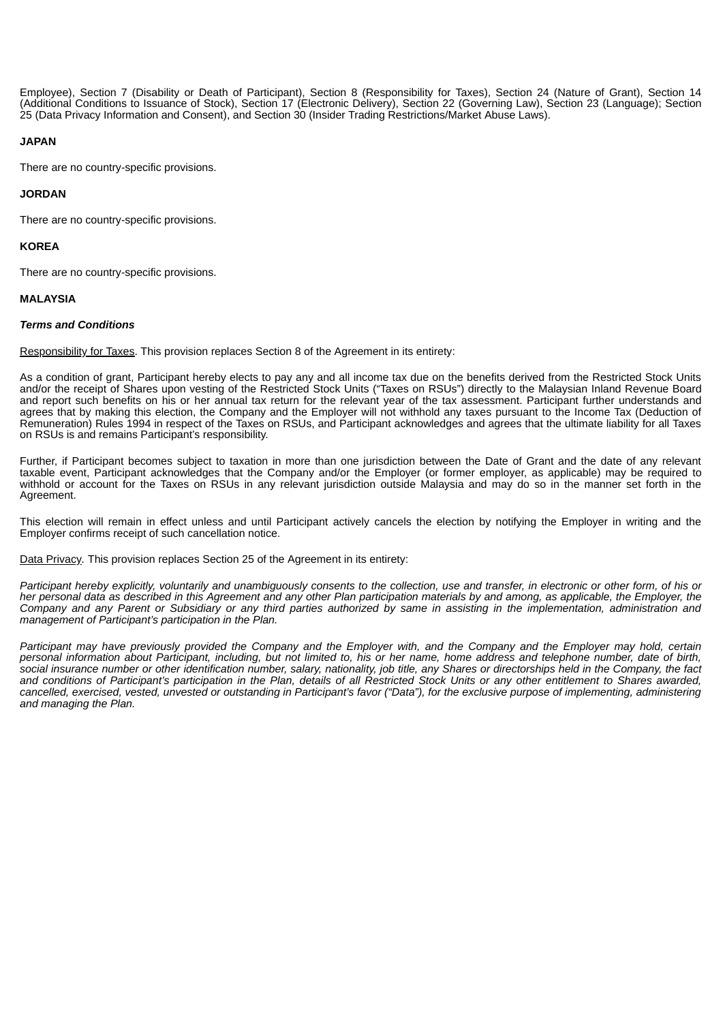Employee), Section 7 (Disability or Death of Participant), Section 8 (Responsibility for Taxes), Section 24 (Nature of Grant), Section 14 (Additional Conditions to Issuance of Stock), Section 17 (Electronic Delivery), Section 22 (Governing Law), Section 23 (Language); Section 25 (Data Privacy Information and Consent), and Section 30 (Insider Trading Restrictions/Market Abuse Laws).

# **JAPAN**

There are no country-specific provisions.

# **JORDAN**

There are no country-specific provisions.

# **KOREA**

There are no country-specific provisions.

# **MALAYSIA**

# *Terms and Conditions*

Responsibility for Taxes. This provision replaces Section 8 of the Agreement in its entirety:

As a condition of grant, Participant hereby elects to pay any and all income tax due on the benefits derived from the Restricted Stock Units and/or the receipt of Shares upon vesting of the Restricted Stock Units ("Taxes on RSUs") directly to the Malaysian Inland Revenue Board and report such benefits on his or her annual tax return for the relevant year of the tax assessment. Participant further understands and agrees that by making this election, the Company and the Employer will not withhold any taxes pursuant to the Income Tax (Deduction of Remuneration) Rules 1994 in respect of the Taxes on RSUs, and Participant acknowledges and agrees that the ultimate liability for all Taxes on RSUs is and remains Participant's responsibility.

Further, if Participant becomes subject to taxation in more than one jurisdiction between the Date of Grant and the date of any relevant taxable event, Participant acknowledges that the Company and/or the Employer (or former employer, as applicable) may be required to withhold or account for the Taxes on RSUs in any relevant jurisdiction outside Malaysia and may do so in the manner set forth in the Agreement.

This election will remain in effect unless and until Participant actively cancels the election by notifying the Employer in writing and the Employer confirms receipt of such cancellation notice.

Data Privacy*.* This provision replaces Section 25 of the Agreement in its entirety:

Participant hereby explicitly, voluntarily and unambiguously consents to the collection, use and transfer, in electronic or other form, of his or her personal data as described in this Agreement and any other Plan participation materials by and among, as applicable, the Employer, the Company and any Parent or Subsidiary or any third parties authorized by same in assisting in the implementation, administration and *management of Participant's participation in the Plan.*

Participant may have previously provided the Company and the Employer with, and the Company and the Employer may hold, certain personal information about Participant, including, but not limited to, his or her name, home address and telephone number, date of birth, social insurance number or other identification number, salary, nationality, job title, any Shares or directorships held in the Company, the fact and conditions of Participant's participation in the Plan, details of all Restricted Stock Units or any other entitlement to Shares awarded, cancelled, exercised, vested, unvested or outstanding in Participant's favor ("Data"), for the exclusive purpose of implementing, administering *and managing the Plan.*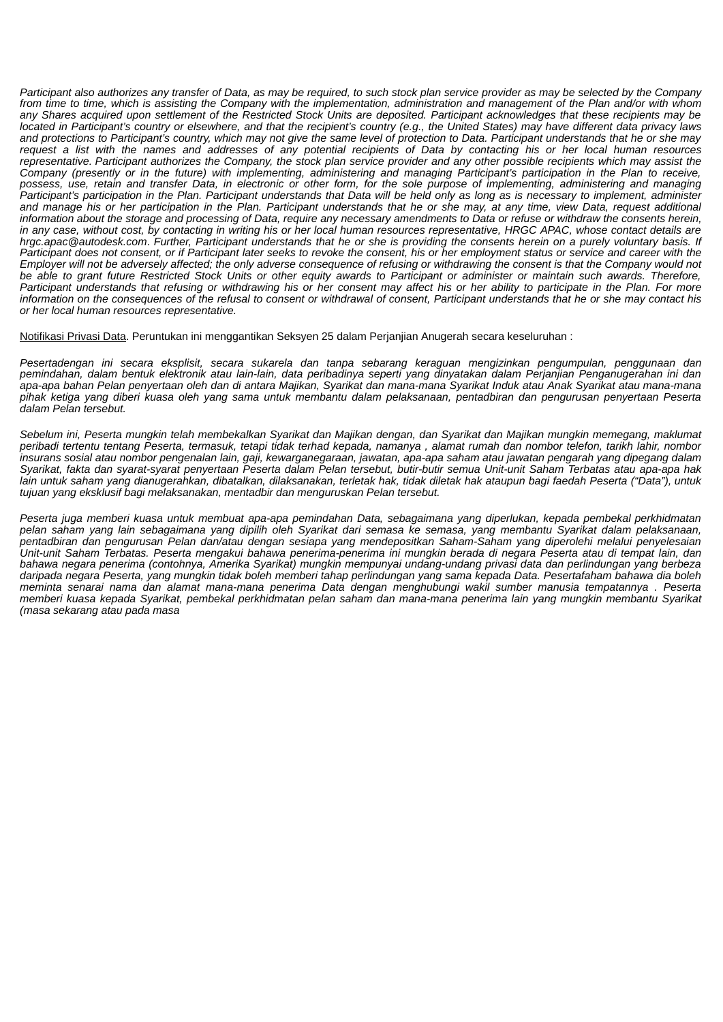Participant also authorizes any transfer of Data, as may be required, to such stock plan service provider as may be selected by the Company from time to time, which is assisting the Company with the implementation, administration and management of the Plan and/or with whom any Shares acquired upon settlement of the Restricted Stock Units are deposited. Participant acknowledges that these recipients may be located in Participant's country or elsewhere, and that the recipient's country (e.g., the United States) may have different data privacy laws and protections to Participant's country, which may not give the same level of protection to Data. Participant understands that he or she may request a list with the names and addresses of any potential recipients of Data by contacting his or her local human resources representative. Participant authorizes the Company, the stock plan service provider and any other possible recipients which may assist the Company (presently or in the future) with implementing, administering and managing Participant's participation in the Plan to receive, possess, use, retain and transfer Data, in electronic or other form, for the sole purpose of implementing, administering and managing Participant's participation in the Plan. Participant understands that Data will be held only as long as is necessary to implement, administer and manage his or her participation in the Plan. Participant understands that he or she may, at any time, view Data, request additional information about the storage and processing of Data, require any necessary amendments to Data or refuse or withdraw the consents herein, in any case, without cost, by contacting in writing his or her local human resources representative, HRGC APAC, whose contact details are hrgc.apac@autodesk.com. Further, Participant understands that he or she is providing the consents herein on a purely voluntary basis. If Participant does not consent, or if Participant later seeks to revoke the consent, his or her employment status or service and career with the Employer will not be adversely affected; the only adverse consequence of refusing or withdrawing the consent is that the Company would not be able to grant future Restricted Stock Units or other equity awards to Participant or administer or maintain such awards. Therefore, Participant understands that refusing or withdrawing his or her consent may affect his or her ability to participate in the Plan. For more information on the consequences of the refusal to consent or withdrawal of consent, Participant understands that he or she may contact his *or her local human resources representative.*

Notifikasi Privasi Data. Peruntukan ini menggantikan Seksyen 25 dalam Perjanjian Anugerah secara keseluruhan :

*Pesertadengan ini secara eksplisit, secara sukarela dan tanpa sebarang keraguan mengizinkan pengumpulan, penggunaan dan* pemindahan, dalam bentuk elektronik atau lain-lain, data peribadinya seperti yang dinyatakan dalam Perjanjian Penganugerahan ini dan apa-apa bahan Pelan penyertaan oleh dan di antara Majikan, Syarikat dan mana-mana Syarikat Induk atau Anak Syarikat atau mana-mana pihak ketiga yang diberi kuasa oleh yang sama untuk membantu dalam pelaksanaan, pentadbiran dan pengurusan penyertaan Peserta *dalam Pelan tersebut.*

Sebelum ini, Peserta mungkin telah membekalkan Syarikat dan Majikan dengan, dan Syarikat dan Majikan mungkin memegang, maklumat peribadi tertentu tentang Peserta, termasuk, tetapi tidak terhad kepada, namanya, alamat rumah dan nombor telefon, tarikh lahir, nombor insurans sosial atau nombor pengenalan lain, gaji, kewarganegaraan, jawatan, apa-apa saham atau jawatan pengarah yang dipegang dalam Syarikat, fakta dan syarat-syarat penyertaan Peserta dalam Pelan tersebut, butir-butir semua Unit-unit Saham Terbatas atau apa-apa hak lain untuk saham vang dianugerahkan, dibatalkan, dilaksanakan, terletak hak, tidak diletak hak ataupun bagi faedah Peserta ("Data"), untuk *tujuan yang eksklusif bagi melaksanakan, mentadbir dan menguruskan Pelan tersebut.*

Peserta juga memberi kuasa untuk membuat apa-apa pemindahan Data, sebagaimana yang diperlukan, kepada pembekal perkhidmatan pelan saham yang lain sebagaimana yang dipilih oleh Syarikat dari semasa ke semasa, yang membantu Syarikat dalam pelaksanaan, *pentadbiran dan pengurusan Pelan dan/atau dengan sesiapa yang mendepositkan Saham-Saham yang diperolehi melalui penyelesaian* .<br>Unit-unit Saham Terbatas. Peserta mengakui bahawa penerima-penerima ini mungkin berada di negara Peserta atau di tempat lain, dan bahawa negara penerima (contohnya, Amerika Syarikat) mungkin mempunyai undang-undang privasi data dan perlindungan yang berbeza daripada negara Peserta, yang mungkin tidak boleh memberi tahap perlindungan yang sama kepada Data. Pesertafaham bahawa dia boleh meminta senarai nama dan alamat mana-mana penerima Data dengan menghubungi wakil sumber manusia tempatannya. Peserta memberi kuasa kepada Syarikat, pembekal perkhidmatan pelan saham dan mana-mana penerima lain yang mungkin membantu Syarikat *(masa sekarang atau pada masa*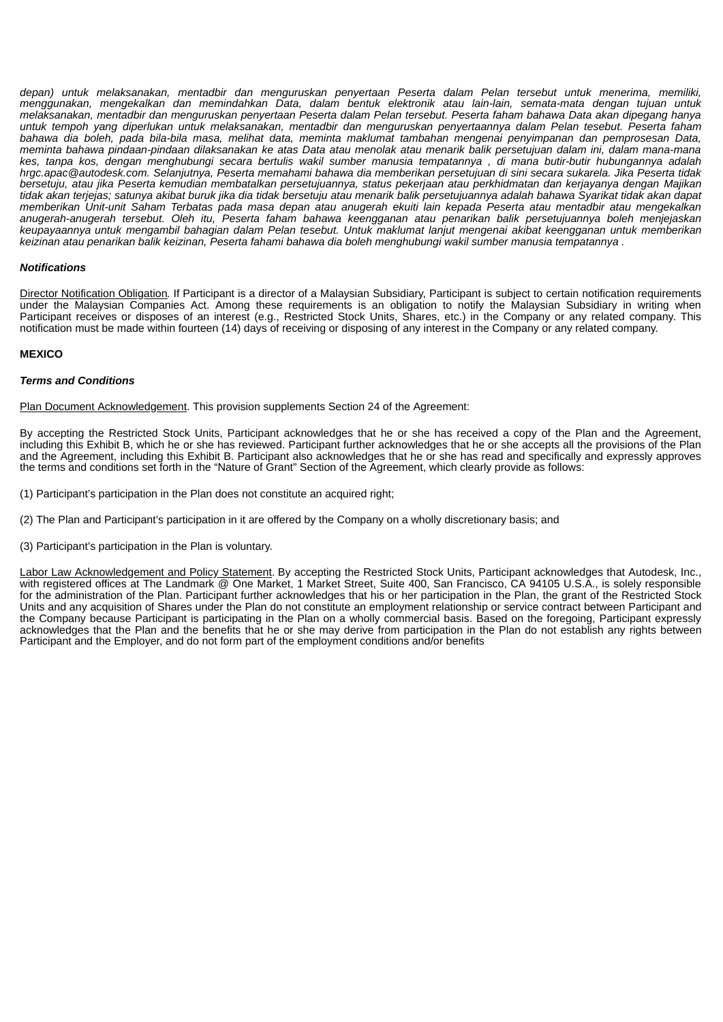*depan) untuk melaksanakan, mentadbir dan menguruskan penyertaan Peserta dalam Pelan tersebut untuk menerima, memiliki, menggunakan, mengekalkan dan memindahkan Data, dalam bentuk elektronik atau lain-lain, semata-mata dengan tujuan untuk* melaksanakan, mentadbir dan menguruskan penyertaan Peserta dalam Pelan tersebut. Peserta faham bahawa Data akan dipegang hanya untuk tempoh yang diperlukan untuk melaksanakan, mentadbir dan menguruskan penyertaannya dalam Pelan tesebut. Peserta faham bahawa dia boleh, pada bila-bila masa, melihat data, meminta maklumat tambahan mengenai penyimpanan dan pemprosesan Data, meminta bahawa pindaan-pindaan dilaksanakan ke atas Data atau menolak atau menarik balik persetujuan dalam ini, dalam mana-mana kes, tanpa kos, dengan menghubungi secara bertulis wakil sumber manusia tempatannya , di mana butir-butir hubungannya adalah hrgc.apac@autodesk.com. Selanjutnya, Peserta memahami bahawa dia memberikan persetujuan di sini secara sukarela. Jika Peserta tidak bersetuju, atau jika Peserta kemudian membatalkan persetujuannya, status pekerjaan atau perkhidmatan dan kerjayanya dengan Majikan tidak akan terjejas; satunya akibat buruk jika dia tidak bersetuju atau menarik balik persetujuannya adalah bahawa Syarikat tidak akan dapat memberikan Unit-unit Saham Terbatas pada masa depan atau anugerah ekuiti lain kepada Peserta atau mentadbir atau mengekalkan *anugerah-anugerah tersebut. Oleh itu, Peserta faham bahawa keengganan atau penarikan balik persetujuannya boleh menjejaskan* keupayaannya untuk mengambil bahagian dalam Pelan tesebut. Untuk maklumat lanjut mengenai akibat keengganan untuk memberikan keizinan atau penarikan balik keizinan, Peserta fahami bahawa dia boleh menghubungi wakil sumber manusia tempatannya.

## *Notifications*

Director Notification Obligation*.* If Participant is a director of a Malaysian Subsidiary, Participant is subject to certain notification requirements under the Malaysian Companies Act. Among these requirements is an obligation to notify the Malaysian Subsidiary in writing when Participant receives or disposes of an interest (e.g., Restricted Stock Units, Shares, etc.) in the Company or any related company. This notification must be made within fourteen (14) days of receiving or disposing of any interest in the Company or any related company.

## **MEXICO**

#### *Terms and Conditions*

Plan Document Acknowledgement. This provision supplements Section 24 of the Agreement:

By accepting the Restricted Stock Units, Participant acknowledges that he or she has received a copy of the Plan and the Agreement, including this Exhibit B, which he or she has reviewed. Participant further acknowledges that he or she accepts all the provisions of the Plan and the Agreement, including this Exhibit B. Participant also acknowledges that he or she has read and specifically and expressly approves the terms and conditions set forth in the "Nature of Grant" Section of the Agreement, which clearly provide as follows:

(1) Participant's participation in the Plan does not constitute an acquired right;

(2) The Plan and Participant's participation in it are offered by the Company on a wholly discretionary basis; and

(3) Participant's participation in the Plan is voluntary.

Labor Law Acknowledgement and Policy Statement. By accepting the Restricted Stock Units, Participant acknowledges that Autodesk, Inc., with registered offices at The Landmark @ One Market, 1 Market Street, Suite 400, San Francisco, CA 94105 U.S.A., is solely responsible for the administration of the Plan. Participant further acknowledges that his or her participation in the Plan, the grant of the Restricted Stock Units and any acquisition of Shares under the Plan do not constitute an employment relationship or service contract between Participant and the Company because Participant is participating in the Plan on a wholly commercial basis. Based on the foregoing, Participant expressly acknowledges that the Plan and the benefits that he or she may derive from participation in the Plan do not establish any rights between Participant and the Employer, and do not form part of the employment conditions and/or benefits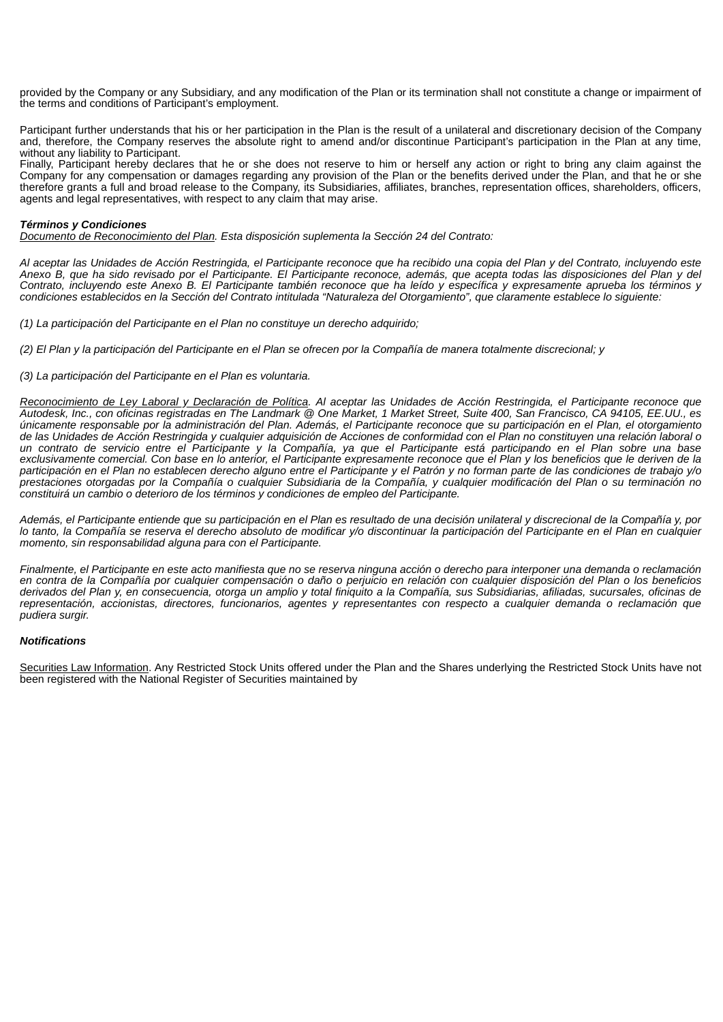provided by the Company or any Subsidiary, and any modification of the Plan or its termination shall not constitute a change or impairment of the terms and conditions of Participant's employment.

Participant further understands that his or her participation in the Plan is the result of a unilateral and discretionary decision of the Company and, therefore, the Company reserves the absolute right to amend and/or discontinue Participant's participation in the Plan at any time, without any liability to Participant.

Finally, Participant hereby declares that he or she does not reserve to him or herself any action or right to bring any claim against the Company for any compensation or damages regarding any provision of the Plan or the benefits derived under the Plan, and that he or she therefore grants a full and broad release to the Company, its Subsidiaries, affiliates, branches, representation offices, shareholders, officers, agents and legal representatives, with respect to any claim that may arise.

# *Términos y Condiciones*

*Documento de Reconocimiento del Plan. Esta disposición suplementa la Sección 24 del Contrato:*

Al aceptar las Unidades de Acción Restringida, el Participante reconoce que ha recibido una copia del Plan y del Contrato, incluyendo este Anexo B, que ha sido revisado por el Participante. El Participante reconoce, además, que acepta todas las disposiciones del Plan y del Contrato, incluyendo este Anexo B. El Participante también reconoce que ha leído y específica y expresamente aprueba los términos y condiciones establecidos en la Sección del Contrato intitulada "Naturaleza del Otorgamiento", que claramente establece lo siguiente:

*(1) La participación del Participante en el Plan no constituye un derecho adquirido;*

(2) El Plan y la participación del Participante en el Plan se ofrecen por la Compañía de manera totalmente discrecional; y

#### *(3) La participación del Participante en el Plan es voluntaria.*

Reconocimiento de Ley Laboral y Declaración de Política. Al aceptar las Unidades de Acción Restringida, el Participante reconoce que Autodesk, Inc., con oficinas registradas en The Landmark @ One Market, 1 Market Street, Suite 400, San Francisco, CA 94105, EE.UU., es únicamente responsable por la administración del Plan. Además, el Participante reconoce que su participación en el Plan, el otorgamiento de las Unidades de Acción Restringida y cualquier adquisición de Acciones de conformidad con el Plan no constituyen una relación laboral o un contrato de servicio entre el Participante y la Compañía, ya que el Participante está participando en el Plan sobre una base exclusivamente comercial. Con base en lo anterior, el Participante expresamente reconoce que el Plan y los beneficios que le deriven de la participación en el Plan no establecen derecho alguno entre el Participante y el Patrón y no forman parte de las condiciones de trabajo y/o prestaciones otorgadas por la Compañía o cualquier Subsidiaria de la Compañía, y cualquier modificación del Plan o su terminación no *constituirá un cambio o deterioro de los términos y condiciones de empleo del Participante.*

Además, el Participante entiende que su participación en el Plan es resultado de una decisión unilateral y discrecional de la Compañía y, por lo tanto. la Compañía se reserva el derecho absoluto de modificar v/o discontinuar la participación del Participante en el Plan en cualquier *momento, sin responsabilidad alguna para con el Participante.*

Finalmente, el Participante en este acto manifiesta que no se reserva ninguna acción o derecho para interponer una demanda o reclamación en contra de la Compañía por cualquier compensación o daño o perjuicio en relación con cualquier disposición del Plan o los beneficios derivados del Plan y, en consecuencia, otorga un amplio y total finiquito a la Compañía, sus Subsidiarias, afiliadas, sucursales, oficinas de representación, accionistas, directores, funcionarios, agentes y representantes con respecto a cualquier demanda o reclamación que *pudiera surgir.*

#### *Notifications*

Securities Law Information. Any Restricted Stock Units offered under the Plan and the Shares underlying the Restricted Stock Units have not been registered with the National Register of Securities maintained by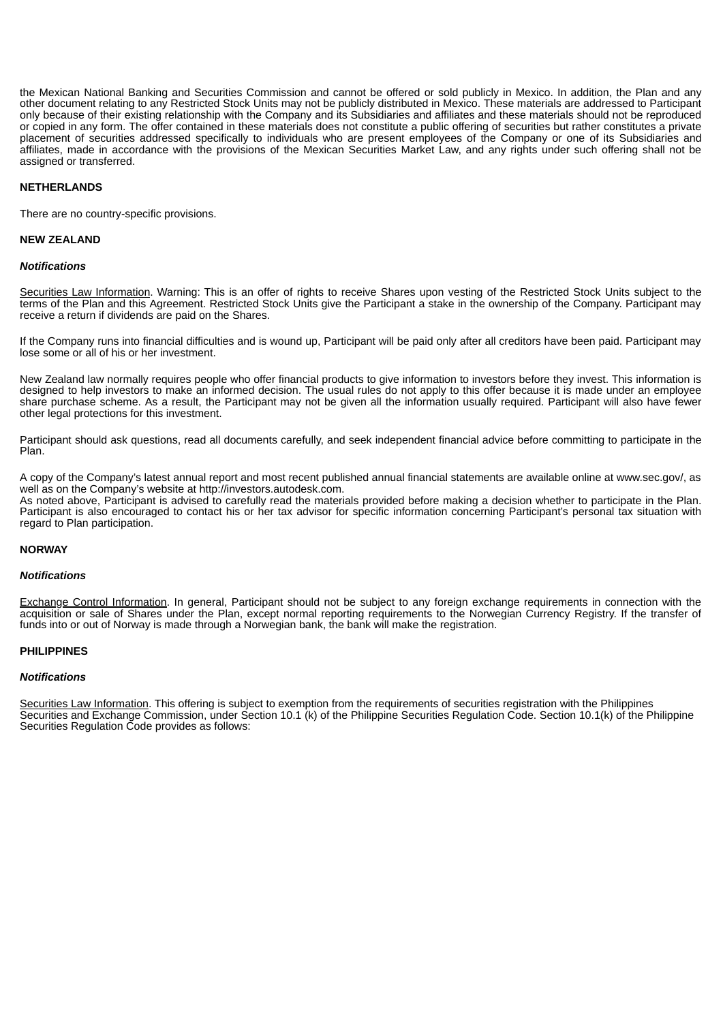the Mexican National Banking and Securities Commission and cannot be offered or sold publicly in Mexico. In addition, the Plan and any other document relating to any Restricted Stock Units may not be publicly distributed in Mexico. These materials are addressed to Participant only because of their existing relationship with the Company and its Subsidiaries and affiliates and these materials should not be reproduced or copied in any form. The offer contained in these materials does not constitute a public offering of securities but rather constitutes a private placement of securities addressed specifically to individuals who are present employees of the Company or one of its Subsidiaries and affiliates, made in accordance with the provisions of the Mexican Securities Market Law, and any rights under such offering shall not be assigned or transferred.

## **NETHERLANDS**

There are no country-specific provisions.

#### **NEW ZEALAND**

#### *Notifications*

Securities Law Information. Warning: This is an offer of rights to receive Shares upon vesting of the Restricted Stock Units subject to the terms of the Plan and this Agreement. Restricted Stock Units give the Participant a stake in the ownership of the Company. Participant may receive a return if dividends are paid on the Shares.

If the Company runs into financial difficulties and is wound up, Participant will be paid only after all creditors have been paid. Participant may lose some or all of his or her investment.

New Zealand law normally requires people who offer financial products to give information to investors before they invest. This information is designed to help investors to make an informed decision. The usual rules do not apply to this offer because it is made under an employee share purchase scheme. As a result, the Participant may not be given all the information usually required. Participant will also have fewer other legal protections for this investment.

Participant should ask questions, read all documents carefully, and seek independent financial advice before committing to participate in the Plan.

A copy of the Company's latest annual report and most recent published annual financial statements are available online at www.sec.gov/, as well as on the Company's website at http://investors.autodesk.com. As noted above, Participant is advised to carefully read the materials provided before making a decision whether to participate in the Plan. Participant is also encouraged to contact his or her tax advisor for specific information concerning Participant's personal tax situation with regard to Plan participation.

## **NORWAY**

#### *Notifications*

Exchange Control Information. In general, Participant should not be subject to any foreign exchange requirements in connection with the acquisition or sale of Shares under the Plan, except normal reporting requirements to the Norwegian Currency Registry. If the transfer of funds into or out of Norway is made through a Norwegian bank, the bank will make the registration.

#### **PHILIPPINES**

## *Notifications*

Securities Law Information. This offering is subject to exemption from the requirements of securities registration with the Philippines Securities and Exchange Commission, under Section 10.1 (k) of the Philippine Securities Regulation Code. Section 10.1(k) of the Philippine Securities Regulation Code provides as follows: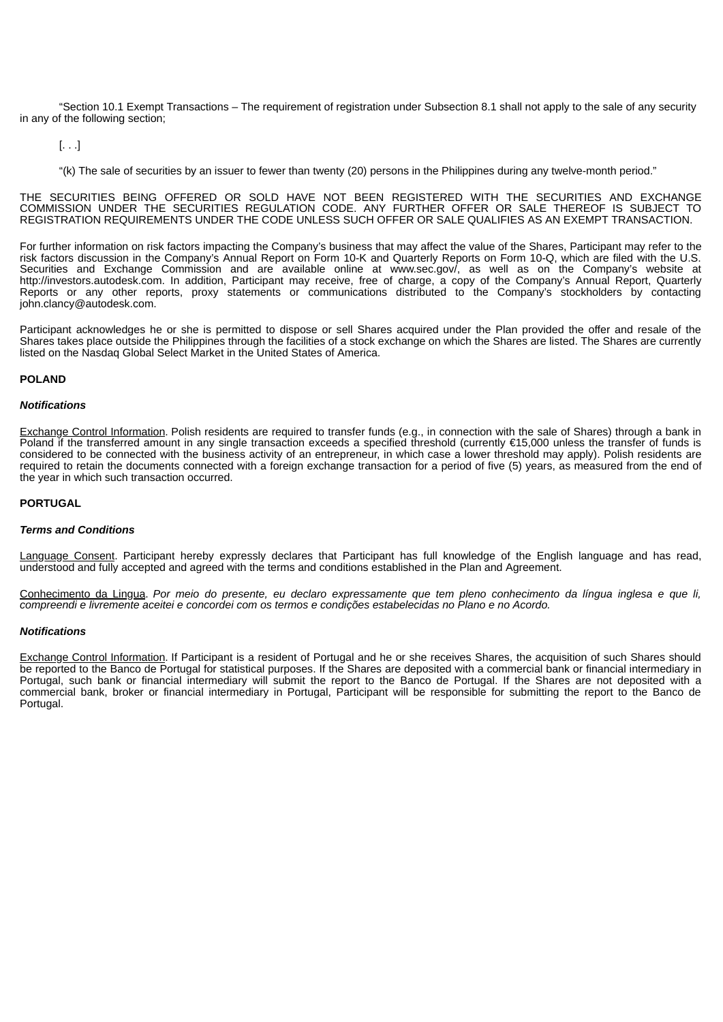"Section 10.1 Exempt Transactions – The requirement of registration under Subsection 8.1 shall not apply to the sale of any security in any of the following section;

[. . .]

"(k) The sale of securities by an issuer to fewer than twenty (20) persons in the Philippines during any twelve-month period."

THE SECURITIES BEING OFFERED OR SOLD HAVE NOT BEEN REGISTERED WITH THE SECURITIES AND EXCHANGE COMMISSION UNDER THE SECURITIES REGULATION CODE. ANY FURTHER OFFER OR SALE THEREOF IS SUBJECT TO REGISTRATION REQUIREMENTS UNDER THE CODE UNLESS SUCH OFFER OR SALE QUALIFIES AS AN EXEMPT TRANSACTION.

For further information on risk factors impacting the Company's business that may affect the value of the Shares, Participant may refer to the risk factors discussion in the Company's Annual Report on Form 10-K and Quarterly Reports on Form 10-Q, which are filed with the U.S. Securities and Exchange Commission and are available online at www.sec.gov/, as well as on the Company's website at http://investors.autodesk.com. In addition, Participant may receive, free of charge, a copy of the Company's Annual Report, Quarterly Reports or any other reports, proxy statements or communications distributed to the Company's stockholders by contacting john.clancy@autodesk.com.

Participant acknowledges he or she is permitted to dispose or sell Shares acquired under the Plan provided the offer and resale of the Shares takes place outside the Philippines through the facilities of a stock exchange on which the Shares are listed. The Shares are currently listed on the Nasdaq Global Select Market in the United States of America.

# **POLAND**

## *Notifications*

Exchange Control Information. Polish residents are required to transfer funds (e.g., in connection with the sale of Shares) through a bank in Poland if the transferred amount in any single transaction exceeds a specified threshold (currently €15,000 unless the transfer of funds is considered to be connected with the business activity of an entrepreneur, in which case a lower threshold may apply). Polish residents are required to retain the documents connected with a foreign exchange transaction for a period of five (5) years, as measured from the end of the year in which such transaction occurred.

## **PORTUGAL**

# *Terms and Conditions*

Language Consent. Participant hereby expressly declares that Participant has full knowledge of the English language and has read, understood and fully accepted and agreed with the terms and conditions established in the Plan and Agreement.

<u>Conhecimento da Lingua</u>. Por meio do presente, eu declaro expressamente que tem pleno conhecimento da língua inglesa e que li, *compreendi e livremente aceitei e concordei com os termos e condições estabelecidas no Plano e no Acordo.*

# *Notifications*

Exchange Control Information. If Participant is a resident of Portugal and he or she receives Shares, the acquisition of such Shares should be reported to the Banco de Portugal for statistical purposes. If the Shares are deposited with a commercial bank or financial intermediary in Portugal, such bank or financial intermediary will submit the report to the Banco de Portugal. If the Shares are not deposited with a commercial bank, broker or financial intermediary in Portugal, Participant will be responsible for submitting the report to the Banco de Portugal.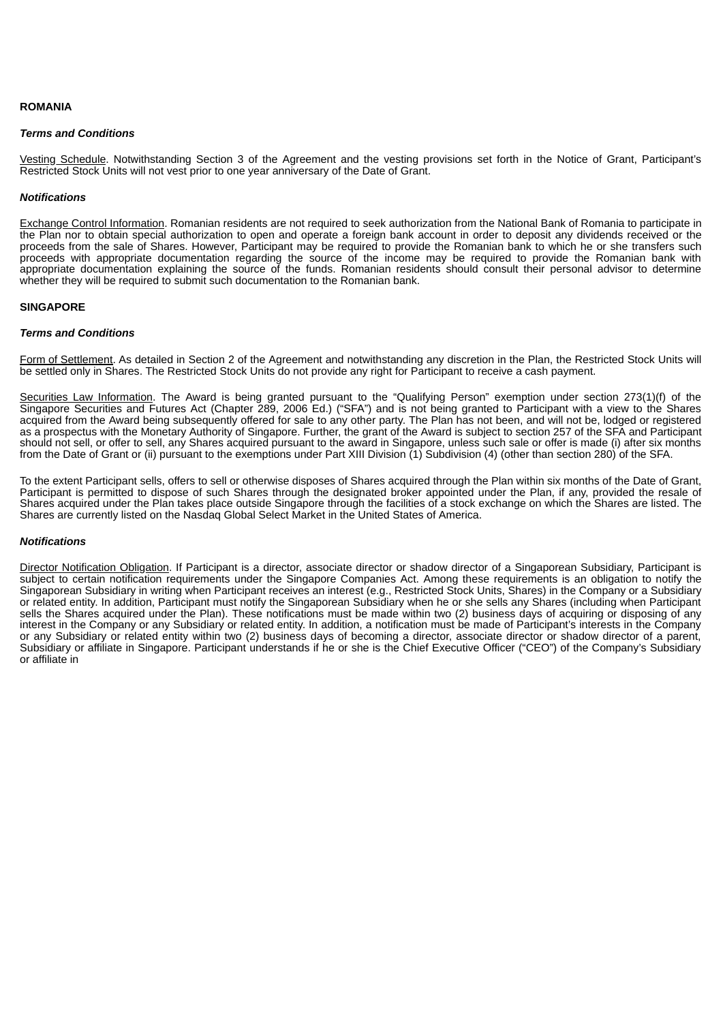## **ROMANIA**

#### *Terms and Conditions*

Vesting Schedule. Notwithstanding Section 3 of the Agreement and the vesting provisions set forth in the Notice of Grant, Participant's Restricted Stock Units will not vest prior to one year anniversary of the Date of Grant.

#### *Notifications*

Exchange Control Information. Romanian residents are not required to seek authorization from the National Bank of Romania to participate in the Plan nor to obtain special authorization to open and operate a foreign bank account in order to deposit any dividends received or the proceeds from the sale of Shares. However, Participant may be required to provide the Romanian bank to which he or she transfers such proceeds with appropriate documentation regarding the source of the income may be required to provide the Romanian bank with appropriate documentation explaining the source of the funds. Romanian residents should consult their personal advisor to determine whether they will be required to submit such documentation to the Romanian bank.

## **SINGAPORE**

## *Terms and Conditions*

Form of Settlement. As detailed in Section 2 of the Agreement and notwithstanding any discretion in the Plan, the Restricted Stock Units will be settled only in Shares. The Restricted Stock Units do not provide any right for Participant to receive a cash payment.

Securities Law Information. The Award is being granted pursuant to the "Qualifying Person" exemption under section 273(1)(f) of the Singapore Securities and Futures Act (Chapter 289, 2006 Ed.) ("SFA") and is not being granted to Participant with a view to the Shares acquired from the Award being subsequently offered for sale to any other party. The Plan has not been, and will not be, lodged or registered as a prospectus with the Monetary Authority of Singapore. Further, the grant of the Award is subject to section 257 of the SFA and Participant should not sell, or offer to sell, any Shares acquired pursuant to the award in Singapore, unless such sale or offer is made (i) after six months from the Date of Grant or (ii) pursuant to the exemptions under Part XIII Division (1) Subdivision (4) (other than section 280) of the SFA.

To the extent Participant sells, offers to sell or otherwise disposes of Shares acquired through the Plan within six months of the Date of Grant, Participant is permitted to dispose of such Shares through the designated broker appointed under the Plan, if any, provided the resale of Shares acquired under the Plan takes place outside Singapore through the facilities of a stock exchange on which the Shares are listed. The Shares are currently listed on the Nasdaq Global Select Market in the United States of America.

# *Notifications*

Director Notification Obligation. If Participant is a director, associate director or shadow director of a Singaporean Subsidiary, Participant is subject to certain notification requirements under the Singapore Companies Act. Among these requirements is an obligation to notify the Singaporean Subsidiary in writing when Participant receives an interest (e.g., Restricted Stock Units, Shares) in the Company or a Subsidiary or related entity. In addition, Participant must notify the Singaporean Subsidiary when he or she sells any Shares (including when Participant sells the Shares acquired under the Plan). These notifications must be made within two (2) business days of acquiring or disposing of any interest in the Company or any Subsidiary or related entity. In addition, a notification must be made of Participant's interests in the Company or any Subsidiary or related entity within two (2) business days of becoming a director, associate director or shadow director of a parent, Subsidiary or affiliate in Singapore. Participant understands if he or she is the Chief Executive Officer ("CEO") of the Company's Subsidiary or affiliate in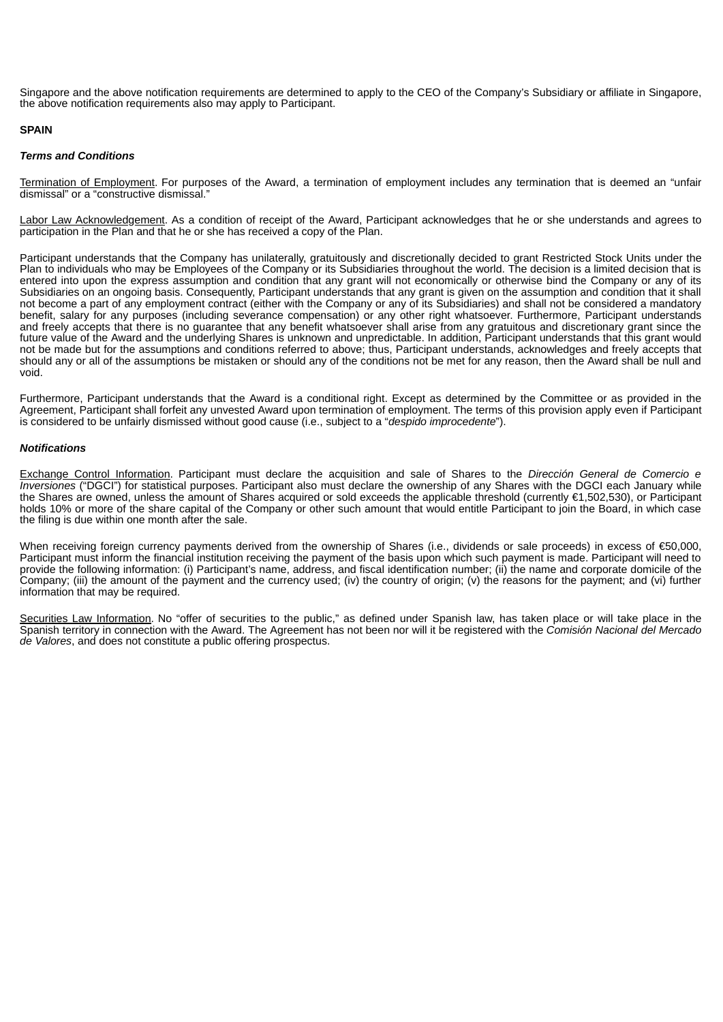Singapore and the above notification requirements are determined to apply to the CEO of the Company's Subsidiary or affiliate in Singapore, the above notification requirements also may apply to Participant.

## **SPAIN**

#### *Terms and Conditions*

Termination of Employment. For purposes of the Award, a termination of employment includes any termination that is deemed an "unfair dismissal" or a "constructive dismissal."

Labor Law Acknowledgement. As a condition of receipt of the Award, Participant acknowledges that he or she understands and agrees to participation in the Plan and that he or she has received a copy of the Plan.

Participant understands that the Company has unilaterally, gratuitously and discretionally decided to grant Restricted Stock Units under the Plan to individuals who may be Employees of the Company or its Subsidiaries throughout the world. The decision is a limited decision that is entered into upon the express assumption and condition that any grant will not economically or otherwise bind the Company or any of its Subsidiaries on an ongoing basis. Consequently, Participant understands that any grant is given on the assumption and condition that it shall not become a part of any employment contract (either with the Company or any of its Subsidiaries) and shall not be considered a mandatory benefit, salary for any purposes (including severance compensation) or any other right whatsoever. Furthermore, Participant understands and freely accepts that there is no guarantee that any benefit whatsoever shall arise from any gratuitous and discretionary grant since the future value of the Award and the underlying Shares is unknown and unpredictable. In addition, Participant understands that this grant would not be made but for the assumptions and conditions referred to above; thus, Participant understands, acknowledges and freely accepts that should any or all of the assumptions be mistaken or should any of the conditions not be met for any reason, then the Award shall be null and void.

Furthermore, Participant understands that the Award is a conditional right. Except as determined by the Committee or as provided in the Agreement, Participant shall forfeit any unvested Award upon termination of employment. The terms of this provision apply even if Participant is considered to be unfairly dismissed without good cause (i.e., subject to a "*despido improcedente*").

## *Notifications*

Exchange Control Information. Participant must declare the acquisition and sale of Shares to the *Dirección General de Comercio e Inversiones* ("DGCI") for statistical purposes. Participant also must declare the ownership of any Shares with the DGCI each January while the Shares are owned, unless the amount of Shares acquired or sold exceeds the applicable threshold (currently €1,502,530), or Participant holds 10% or more of the share capital of the Company or other such amount that would entitle Participant to join the Board, in which case the filing is due within one month after the sale.

When receiving foreign currency payments derived from the ownership of Shares (i.e., dividends or sale proceeds) in excess of €50,000, Participant must inform the financial institution receiving the payment of the basis upon which such payment is made. Participant will need to provide the following information: (i) Participant's name, address, and fiscal identification number; (ii) the name and corporate domicile of the Company; (iii) the amount of the payment and the currency used; (iv) the country of origin; (v) the reasons for the payment; and (vi) further information that may be required.

Securities Law Information. No "offer of securities to the public," as defined under Spanish law, has taken place or will take place in the Spanish territory in connection with the Award. The Agreement has not been nor will it be registered with the *Comisión Nacional del Mercado de Valores*, and does not constitute a public offering prospectus.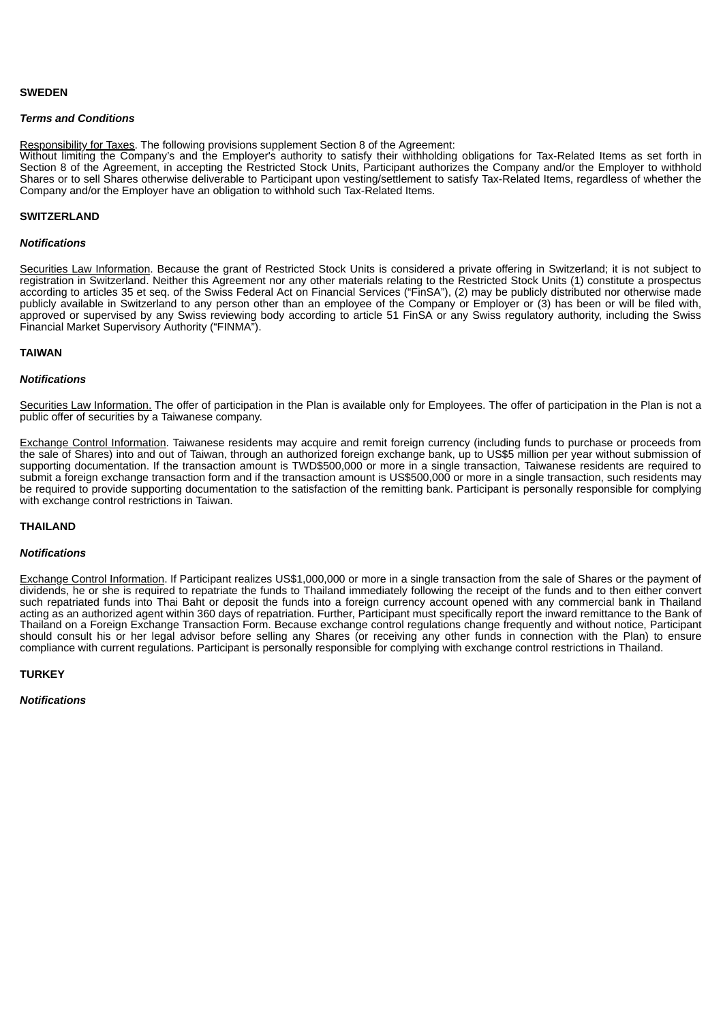# **SWEDEN**

#### *Terms and Conditions*

Responsibility for Taxes. The following provisions supplement Section 8 of the Agreement:

Without limiting the Company's and the Employer's authority to satisfy their withholding obligations for Tax-Related Items as set forth in Section 8 of the Agreement, in accepting the Restricted Stock Units, Participant authorizes the Company and/or the Employer to withhold Shares or to sell Shares otherwise deliverable to Participant upon vesting/settlement to satisfy Tax-Related Items, regardless of whether the Company and/or the Employer have an obligation to withhold such Tax-Related Items.

## **SWITZERLAND**

#### *Notifications*

Securities Law Information. Because the grant of Restricted Stock Units is considered a private offering in Switzerland; it is not subject to registration in Switzerland. Neither this Agreement nor any other materials relating to the Restricted Stock Units (1) constitute a prospectus according to articles 35 et seq. of the Swiss Federal Act on Financial Services ("FinSA"), (2) may be publicly distributed nor otherwise made publicly available in Switzerland to any person other than an employee of the Company or Employer or (3) has been or will be filed with, approved or supervised by any Swiss reviewing body according to article 51 FinSA or any Swiss regulatory authority, including the Swiss Financial Market Supervisory Authority ("FINMA").

## **TAIWAN**

## *Notifications*

Securities Law Information. The offer of participation in the Plan is available only for Employees. The offer of participation in the Plan is not a public offer of securities by a Taiwanese company.

Exchange Control Information. Taiwanese residents may acquire and remit foreign currency (including funds to purchase or proceeds from the sale of Shares) into and out of Taiwan, through an authorized foreign exchange bank, up to US\$5 million per year without submission of supporting documentation. If the transaction amount is TWD\$500,000 or more in a single transaction, Taiwanese residents are required to submit a foreign exchange transaction form and if the transaction amount is US\$500,000 or more in a single transaction, such residents may be required to provide supporting documentation to the satisfaction of the remitting bank. Participant is personally responsible for complying with exchange control restrictions in Taiwan.

#### **THAILAND**

# *Notifications*

Exchange Control Information. If Participant realizes US\$1,000,000 or more in a single transaction from the sale of Shares or the payment of dividends, he or she is required to repatriate the funds to Thailand immediately following the receipt of the funds and to then either convert such repatriated funds into Thai Baht or deposit the funds into a foreign currency account opened with any commercial bank in Thailand acting as an authorized agent within 360 days of repatriation. Further, Participant must specifically report the inward remittance to the Bank of Thailand on a Foreign Exchange Transaction Form. Because exchange control regulations change frequently and without notice, Participant should consult his or her legal advisor before selling any Shares (or receiving any other funds in connection with the Plan) to ensure compliance with current regulations. Participant is personally responsible for complying with exchange control restrictions in Thailand.

# **TURKEY**

*Notifications*